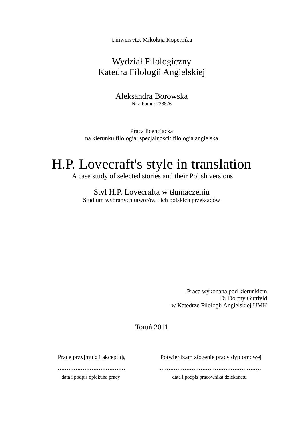Uniwersytet Mikołaja Kopernika

# Wydział Filologiczny Katedra Filologii Angielskiej

Aleksandra Borowska Nr albumu: 228876

Praca licencjacka na kierunku filologia; specjalności: filologia angielska

# H.P. Lovecraft's style in translation

A case study of selected stories and their Polish versions

Styl H.P. Lovecrafta w tłumaczeniu Studium wybranych utworów i ich polskich przekładów

> Praca wykonana pod kierunkiem Dr Doroty Guttfeld w Katedrze Filologii Angielskiej UMK

Toruń 2011

Prace przyjmuję i akceptuję Potwierdzam złożenie pracy dyplomowej

...................................... .........................................................

data i podpis opiekuna pracy data i podpis pracownika dziekanatu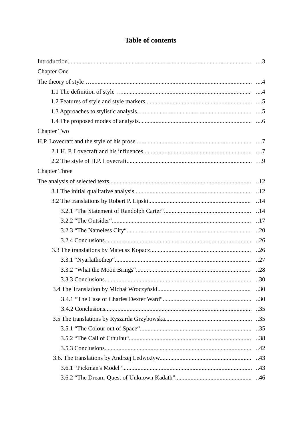|  |  | <b>Table of contents</b> |
|--|--|--------------------------|
|--|--|--------------------------|

| <b>Chapter One</b>   |  |
|----------------------|--|
|                      |  |
|                      |  |
|                      |  |
|                      |  |
|                      |  |
| <b>Chapter Two</b>   |  |
|                      |  |
|                      |  |
|                      |  |
| <b>Chapter Three</b> |  |
|                      |  |
|                      |  |
|                      |  |
|                      |  |
|                      |  |
|                      |  |
|                      |  |
|                      |  |
|                      |  |
|                      |  |
|                      |  |
|                      |  |
|                      |  |
|                      |  |
|                      |  |
|                      |  |
|                      |  |
|                      |  |
|                      |  |
|                      |  |
|                      |  |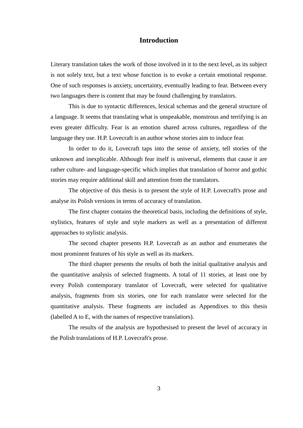# **Introduction**

Literary translation takes the work of those involved in it to the next level, as its subject is not solely text, but a text whose function is to evoke a certain emotional response. One of such responses is anxiety, uncertainty, eventually leading to fear. Between every two languages there is content that may be found challenging by translators.

This is due to syntactic differences, lexical schemas and the general structure of a language. It seems that translating what is unspeakable, monstrous and terrifying is an even greater difficulty. Fear is an emotion shared across cultures, regardless of the language they use. H.P. Lovecraft is an author whose stories aim to induce fear.

In order to do it, Lovecraft taps into the sense of anxiety, tell stories of the unknown and inexplicable. Although fear itself is universal, elements that cause it are rather culture- and language-specific which implies that translation of horror and gothic stories may require additional skill and attention from the translators.

The objective of this thesis is to present the style of H.P. Lovecraft's prose and analyse its Polish versions in terms of accuracy of translation.

The first chapter contains the theoretical basis, including the definitions of style, stylistics, features of style and style markers as well as a presentation of different approaches to stylistic analysis.

The second chapter presents H.P. Lovecraft as an author and enumerates the most prominent features of his style as well as its markers.

The third chapter presents the results of both the initial qualitative analysis and the quantitative analysis of selected fragments. A total of 11 stories, at least one by every Polish contemporary translator of Lovecraft, were selected for qualitative analysis, fragments from six stories, one for each translator were selected for the quantitative analysis. These fragments are included as Appendixes to this thesis (labelled A to E, with the names of respective translatiors).

The results of the analysis are hypothesised to present the level of accuracy in the Polish translations of H.P. Lovecraft's prose.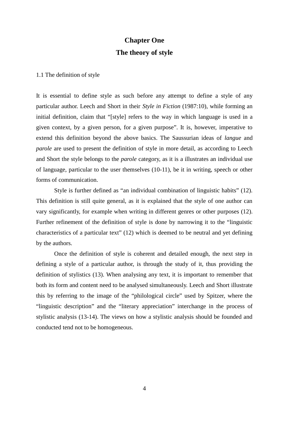# **Chapter One The theory of style**

### 1.1 The definition of style

It is essential to define style as such before any attempt to define a style of any particular author. Leech and Short in their *Style in Fiction* (1987:10), while forming an initial definition, claim that "[style] refers to the way in which language is used in a given context, by a given person, for a given purpose". It is, however, imperative to extend this definition beyond the above basics. The Saussurian ideas of *langue* and *parole* are used to present the definition of style in more detail, as according to Leech and Short the style belongs to the *parole* category, as it is a illustrates an individual use of language, particular to the user themselves (10-11), be it in writing, speech or other forms of communication.

Style is further defined as "an individual combination of linguistic habits" (12). This definition is still quite general, as it is explained that the style of one author can vary significantly, for example when writing in different genres or other purposes (12). Further refinement of the definition of style is done by narrowing it to the "linguistic characteristics of a particular text" (12) which is deemed to be neutral and yet defining by the authors.

Once the definition of style is coherent and detailed enough, the next step in defining a style of a particular author, is through the study of it, thus providing the definition of stylistics (13). When analysing any text, it is important to remember that both its form and content need to be analysed simultaneously. Leech and Short illustrate this by referring to the image of the "philological circle" used by Spitzer, where the "linguistic description" and the "literary appreciation" interchange in the process of stylistic analysis (13-14). The views on how a stylistic analysis should be founded and conducted tend not to be homogeneous.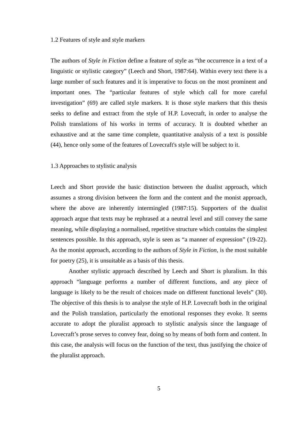### 1.2 Features of style and style markers

The authors of *Style in Fiction* define a feature of style as "the occurrence in a text of a linguistic or stylistic category" (Leech and Short, 1987:64). Within every text there is a large number of such features and it is imperative to focus on the most prominent and important ones. The "particular features of style which call for more careful investigation" (69) are called style markers. It is those style markers that this thesis seeks to define and extract from the style of H.P. Lovecraft, in order to analyse the Polish translations of his works in terms of accuracy. It is doubted whether an exhaustive and at the same time complete, quantitative analysis of a text is possible (44), hence only some of the features of Lovecraft's style will be subject to it.

# 1.3 Approaches to stylistic analysis

Leech and Short provide the basic distinction between the dualist approach, which assumes a strong division between the form and the content and the monist approach, where the above are inherently intermingled (1987:15). Supporters of the dualist approach argue that texts may be rephrased at a neutral level and still convey the same meaning, while displaying a normalised, repetitive structure which contains the simplest sentences possible. In this approach, style is seen as "a manner of expression" (19-22). As the monist approach, according to the authors of *Style in Fiction*, is the most suitable for poetry (25), it is unsuitable as a basis of this thesis.

Another stylistic approach described by Leech and Short is pluralism. In this approach "language performs a number of different functions, and any piece of language is likely to be the result of choices made on different functional levels" (30). The objective of this thesis is to analyse the style of H.P. Lovecraft both in the original and the Polish translation, particularly the emotional responses they evoke. It seems accurate to adopt the pluralist approach to stylistic analysis since the language of Lovecraft's prose serves to convey fear, doing so by means of both form and content. In this case, the analysis will focus on the function of the text, thus justifying the choice of the pluralist approach.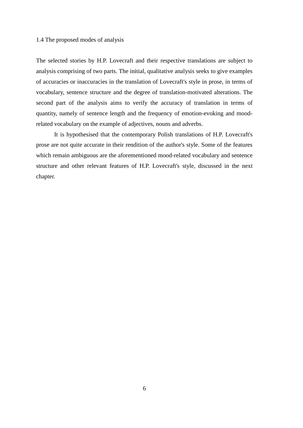### 1.4 The proposed modes of analysis

The selected stories by H.P. Lovecraft and their respective translations are subject to analysis comprising of two parts. The initial, qualitative analysis seeks to give examples of accuracies or inaccuracies in the translation of Lovecraft's style in prose, in terms of vocabulary, sentence structure and the degree of translation-motivated alterations. The second part of the analysis aims to verify the accuracy of translation in terms of quantity, namely of sentence length and the frequency of emotion-evoking and moodrelated vocabulary on the example of adjectives, nouns and adverbs.

It is hypothesised that the contemporary Polish translations of H.P. Lovecraft's prose are not quite accurate in their rendition of the author's style. Some of the features which remain ambiguous are the aforementioned mood-related vocabulary and sentence structure and other relevant features of H.P. Lovecraft's style, discussed in the next chapter.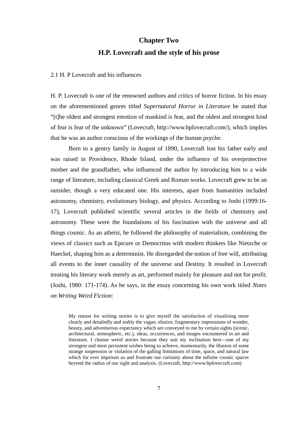# **Chapter Two H.P. Lovecraft and the style of his prose**

## 2.1 H. P Lovecraft and his influences

H. P. Lovecraft is one of the renowned authors and critics of horror fiction. In his essay on the aforementioned genres titled *Supernatural Horror in Literature* he stated that "[t]he oldest and strongest emotion of mankind is fear, and the oldest and strongest kind of fear is fear of the unknown" (Lovecraft, http://www.hplovecraft.com/), which implies that he was an author conscious of the workings of the human psyche.

Born to a gentry family in August of 1890, Lovecraft lost his father early and was raised in Providence, Rhode Island, under the influence of his overprotective mother and the grandfather, who influenced the author by introducing him to a wide range of literature, including classical Greek and Roman works. Lovecraft grew to be an outsider, though a very educated one. His interests, apart from humanities included astronomy, chemistry, evolutionary biology, and physics. According to Joshi (1999:16- 17), Lovecraft published scientific several articles in the fields of chemistry and astronomy. These were the foundations of his fascination with the universe and all things cosmic. As an atheist, he followed the philosophy of materialism, combining the views of classics such as Epicure or Democritus with modern thinkers like Nietzche or Haeckel, shaping him as a determinist. He disregarded the notion of free will, attributing all events to the inner causality of the universe and Destiny. It resulted in Lovecraft treating his literary work merely as art, performed mainly for pleasure and not for profit. (Joshi, 1980: 171-174). As he says, in the essay concerning his own work titled *Notes on Writing Weird Fiction*:

My reason for writing stories is to give myself the satisfaction of visualising more clearly and detailedly and stably the vague, elusive, fragmentary impressions of wonder, beauty, and adventurous expectancy which are conveyed to me by certain sights (scenic, architectural, atmospheric, etc.), ideas, occurrences, and images encountered in art and literature. I choose weird stories because they suit my inclination best—one of my strongest and most persistent wishes being to achieve, momentarily, the illusion of some strange suspension or violation of the galling limitations of time, space, and natural law which for ever imprison us and frustrate our curiosity about the infinite cosmic spaces beyond the radius of our sight and analysis. (Lovecraft, http://www.hplovecraft.com)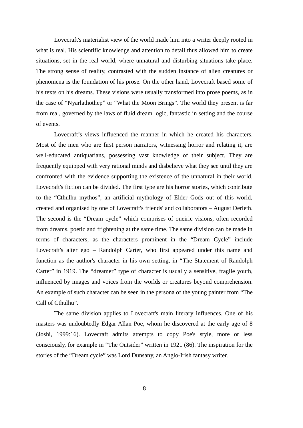Lovecraft's materialist view of the world made him into a writer deeply rooted in what is real. His scientific knowledge and attention to detail thus allowed him to create situations, set in the real world, where unnatural and disturbing situations take place. The strong sense of reality, contrasted with the sudden instance of alien creatures or phenomena is the foundation of his prose. On the other hand, Lovecraft based some of his texts on his dreams. These visions were usually transformed into prose poems, as in the case of "Nyarlathothep" or "What the Moon Brings". The world they present is far from real, governed by the laws of fluid dream logic, fantastic in setting and the course of events.

Lovecraft's views influenced the manner in which he created his characters. Most of the men who are first person narrators, witnessing horror and relating it, are well-educated antiquarians, possessing vast knowledge of their subject. They are frequently equipped with very rational minds and disbelieve what they see until they are confronted with the evidence supporting the existence of the unnatural in their world. Lovecraft's fiction can be divided. The first type are his horror stories, which contribute to the "Cthulhu mythos", an artificial mythology of Elder Gods out of this world, created and organised by one of Lovecraft's friends' and collaborators – August Derleth. The second is the "Dream cycle" which comprises of oneiric visions, often recorded from dreams, poetic and frightening at the same time. The same division can be made in terms of characters, as the characters prominent in the "Dream Cycle" include Lovecraft's alter ego – Randolph Carter, who first appeared under this name and function as the author's character in his own setting, in "The Statement of Randolph Carter" in 1919. The "dreamer" type of character is usually a sensitive, fragile youth, influenced by images and voices from the worlds or creatures beyond comprehension. An example of such character can be seen in the persona of the young painter from "The Call of Cthulhu".

The same division applies to Lovecraft's main literary influences. One of his masters was undoubtedly Edgar Allan Poe, whom he discovered at the early age of 8 (Joshi, 1999:16). Lovecraft admits attempts to copy Poe's style, more or less consciously, for example in "The Outsider" written in 1921 (86). The inspiration for the stories of the "Dream cycle" was Lord Dunsany, an Anglo-Irish fantasy writer.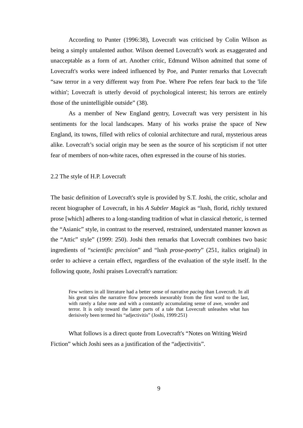According to Punter (1996:38), Lovecraft was criticised by Colin Wilson as being a simply untalented author. Wilson deemed Lovecraft's work as exaggerated and unacceptable as a form of art. Another critic, Edmund Wilson admitted that some of Lovecraft's works were indeed influenced by Poe, and Punter remarks that Lovecraft "saw terror in a very different way from Poe. Where Poe refers fear back to the 'life within'; Lovecraft is utterly devoid of psychological interest; his terrors are entirely those of the unintelligible outside" (38).

As a member of New England gentry, Lovecraft was very persistent in his sentiments for the local landscapes. Many of his works praise the space of New England, its towns, filled with relics of colonial architecture and rural, mysterious areas alike. Lovecraft's social origin may be seen as the source of his scepticism if not utter fear of members of non-white races, often expressed in the course of his stories.

2.2 The style of H.P. Lovecraft

The basic definition of Lovecraft's style is provided by S.T. Joshi, the critic, scholar and recent biographer of Lovecraft, in his *A Subtler Magick* as "lush, florid, richly textured prose [which] adheres to a long-standing tradition of what in classical rhetoric, is termed the "Asianic" style, in contrast to the reserved, restrained, understated manner known as the "Attic" style" (1999: 250). Joshi then remarks that Lovecraft combines two basic ingredients of "*scientific precision*" and "lush *prose-poetry*" (251, italics original) in order to achieve a certain effect, regardless of the evaluation of the style itself. In the following quote, Joshi praises Lovecraft's narration:

Few writers in all literature had a better sense of narrative *pacing* than Lovecraft. In all his great tales the narrative flow proceeds inexorably from the first word to the last, with rarely a false note and with a constantly accumulating sense of awe, wonder and terror. It is only toward the latter parts of a tale that Lovecraft unleashes what has derisively been termed his "adjectivitis" (Joshi, 1999:251)

What follows is a direct quote from Lovecraft's "Notes on Writing Weird Fiction" which Joshi sees as a justification of the "adjectivitis".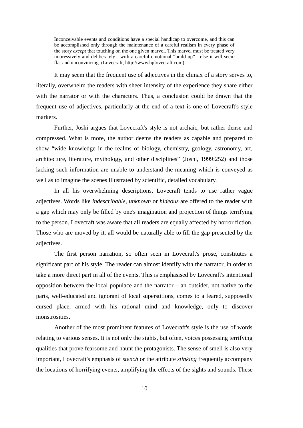Inconceivable events and conditions have a special handicap to overcome, and this can be accomplished only through the maintenance of a careful realism in every phase of the story *except* that touching on the one given marvel. This marvel must be treated very impressively and deliberately—with a careful emotional "build-up"—else it will seem flat and unconvincing. (Lovecraft, http://www.hplovecraft.com)

It may seem that the frequent use of adjectives in the climax of a story serves to, literally, overwhelm the readers with sheer intensity of the experience they share either with the narrator or with the characters. Thus, a conclusion could be drawn that the frequent use of adjectives, particularly at the end of a text is one of Lovecraft's style markers.

Further, Joshi argues that Lovecraft's style is not archaic, but rather dense and compressed. What is more, the author deems the readers as capable and prepared to show "wide knowledge in the realms of biology, chemistry, geology, astronomy, art, architecture, literature, mythology, and other disciplines" (Joshi, 1999:252) and those lacking such information are unable to understand the meaning which is conveyed as well as to imagine the scenes illustrated by scientific, detailed vocabulary.

In all his overwhelming descriptions, Lovecraft tends to use rather vague adjectives. Words like *indescribable, unknown* or *hideous* are offered to the reader with a gap which may only be filled by one's imagination and projection of things terrifying to the person. Lovecraft was aware that all readers are equally affected by horror fiction. Those who are moved by it, all would be naturally able to fill the gap presented by the adjectives.

The first person narration, so often seen in Lovecraft's prose, constitutes a significant part of his style. The reader can almost identify with the narrator, in order to take a more direct part in all of the events. This is emphasised by Lovecraft's intentional opposition between the local populace and the narrator – an outsider, not native to the parts, well-educated and ignorant of local superstitions, comes to a feared, supposedly cursed place, armed with his rational mind and knowledge, only to discover monstrosities.

Another of the most prominent features of Lovecraft's style is the use of words relating to various senses. It is not only the sights, but often, voices possessing terrifying qualities that prove fearsome and haunt the protagonists. The sense of smell is also very important, Lovecraft's emphasis of *stench* or the attribute *stinking* frequently accompany the locations of horrifying events, amplifying the effects of the sights and sounds. These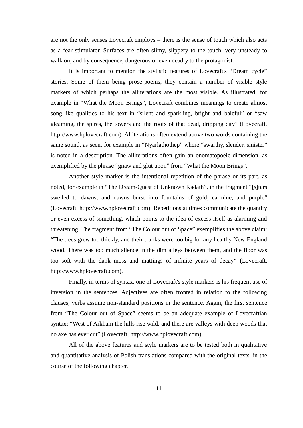are not the only senses Lovecraft employs – there is the sense of touch which also acts as a fear stimulator. Surfaces are often slimy, slippery to the touch, very unsteady to walk on, and by consequence, dangerous or even deadly to the protagonist.

It is important to mention the stylistic features of Lovecraft's "Dream cycle" stories. Some of them being prose-poems, they contain a number of visible style markers of which perhaps the alliterations are the most visible. As illustrated, for example in "What the Moon Brings", Lovecraft combines meanings to create almost song-like qualities to his text in "silent and sparkling, bright and baleful" or "saw gleaming, the spires, the towers and the roofs of that dead, dripping city" (Lovecraft, http://www.hplovecraft.com). Alliterations often extend above two words containing the same sound, as seen, for example in "Nyarlathothep" where "swarthy, slender, sinister" is noted in a description. The alliterations often gain an onomatopoeic dimension, as exemplified by the phrase "gnaw and glut upon" from "What the Moon Brings".

Another style marker is the intentional repetition of the phrase or its part, as noted, for example in "The Dream-Quest of Unknown Kadath", in the fragment "[s]tars swelled to dawns, and dawns burst into fountains of gold, carmine, and purple" (Lovecraft, http://www.hplovecraft.com). Repetitions at times communicate the quantity or even excess of something, which points to the idea of excess itself as alarming and threatening. The fragment from "The Colour out of Space" exemplifies the above claim: "The trees grew too thickly, and their trunks were too big for any healthy New England wood. There was too much silence in the dim alleys between them, and the floor was too soft with the dank moss and mattings of infinite years of decay" (Lovecraft, http://www.hplovecraft.com).

Finally, in terms of syntax, one of Lovecraft's style markers is his frequent use of inversion in the sentences. Adjectives are often fronted in relation to the following clauses, verbs assume non-standard positions in the sentence. Again, the first sentence from "The Colour out of Space" seems to be an adequate example of Lovecraftian syntax: "West of Arkham the hills rise wild, and there are valleys with deep woods that no axe has ever cut" (Lovecraft, http://www.hplovecraft.com).

All of the above features and style markers are to be tested both in qualitative and quantitative analysis of Polish translations compared with the original texts, in the course of the following chapter.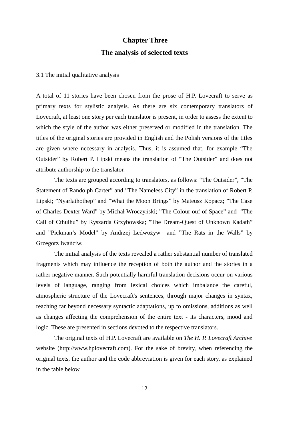# **Chapter Three The analysis of selected texts**

3.1 The initial qualitative analysis

A total of 11 stories have been chosen from the prose of H.P. Lovecraft to serve as primary texts for stylistic analysis. As there are six contemporary translators of Lovecraft, at least one story per each translator is present, in order to assess the extent to which the style of the author was either preserved or modified in the translation. The titles of the original stories are provided in English and the Polish versions of the titles are given where necessary in analysis. Thus, it is assumed that, for example "The Outsider" by Robert P. Lipski means the translation of "The Outsider" and does not attribute authorship to the translator.

The texts are grouped according to translators, as follows: "The Outsider", "The Statement of Randolph Carter" and "The Nameless City" in the translation of Robert P. Lipski; "Nyarlathothep" and "What the Moon Brings" by Mateusz Kopacz; "The Case of Charles Dexter Ward" by Michał Wroczyński; "The Colour ouf of Space" and "The Call of Cthulhu" by Ryszarda Grzybowska; "The Dream-Quest of Unknown Kadath" and "Pickman's Model" by Andrzej Ledwożyw and "The Rats in the Walls" by Grzegorz Iwańciw.

The initial analysis of the texts revealed a rather substantial number of translated fragments which may influence the reception of both the author and the stories in a rather negative manner. Such potentially harmful translation decisions occur on various levels of language, ranging from lexical choices which imbalance the careful, atmospheric structure of the Lovecraft's sentences, through major changes in syntax, reaching far beyond necessary syntactic adaptations, up to omissions, additions as well as changes affecting the comprehension of the entire text - its characters, mood and logic. These are presented in sections devoted to the respective translators.

The original texts of H.P. Lovecraft are available on *The H. P. Lovecraft Archive* website (http://www.hplovecraft.com). For the sake of brevity, when referencing the original texts, the author and the code abbreviation is given for each story, as explained in the table below.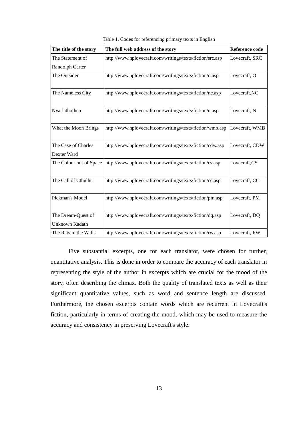| The title of the story  | The full web address of the story                         | Reference code |
|-------------------------|-----------------------------------------------------------|----------------|
| The Statement of        | http://www.hplovecraft.com/writings/texts/fiction/src.asp | Lovecraft, SRC |
| Randolph Carter         |                                                           |                |
| The Outsider            | http://www.hplovecraft.com/writings/texts/fiction/o.asp   | Lovecraft, O   |
| The Nameless City       | http://www.hplovecraft.com/writings/texts/fiction/nc.asp  | Lovecraft, NC  |
| Nyarlathothep           | http://www.hplovecraft.com/writings/texts/fiction/n.asp   | Lovecraft, N   |
| What the Moon Brings    | http://www.hplovecraft.com/writings/texts/fiction/wmb.asp | Lovecraft, WMB |
| The Case of Charles     | http://www.hplovecraft.com/writings/texts/fiction/cdw.asp | Lovecraft, CDW |
| Dexter Ward             |                                                           |                |
| The Colour out of Space | http://www.hplovecraft.com/writings/texts/fiction/cs.asp  | Lovecraft, CS  |
| The Call of Cthulhu     | http://www.hplovecraft.com/writings/texts/fiction/cc.asp  | Lovecraft, CC  |
| Pickman's Model         | http://www.hplovecraft.com/writings/texts/fiction/pm.asp  | Lovecraft, PM  |
| The Dream-Quest of      | http://www.hplovecraft.com/writings/texts/fiction/dq.asp  | Lovecraft, DQ  |
| Unknown Kadath          |                                                           |                |
| The Rats in the Walls   | http://www.hplovecraft.com/writings/texts/fiction/rw.asp  | Lovecraft, RW  |

Table 1. Codes for referencing primary texts in English

Five substantial excerpts, one for each translator, were chosen for further, quantitative analysis. This is done in order to compare the accuracy of each translator in representing the style of the author in excerpts which are crucial for the mood of the story, often describing the climax. Both the quality of translated texts as well as their significant quantitative values, such as word and sentence length are discussed. Furthermore, the chosen excerpts contain words which are recurrent in Lovecraft's fiction, particularly in terms of creating the mood, which may be used to measure the accuracy and consistency in preserving Lovecraft's style.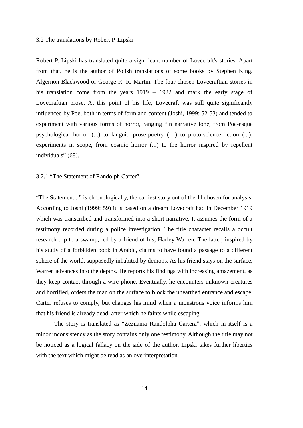### 3.2 The translations by Robert P. Lipski

Robert P. Lipski has translated quite a significant number of Lovecraft's stories. Apart from that, he is the author of Polish translations of some books by Stephen King, Algernon Blackwood or George R. R. Martin. The four chosen Lovecraftian stories in his translation come from the years 1919 – 1922 and mark the early stage of Lovecraftian prose. At this point of his life, Lovecraft was still quite significantly influenced by Poe, both in terms of form and content (Joshi, 1999: 52-53) and tended to experiment with various forms of horror, ranging "in narrative tone, from Poe-esque psychological horror (...) to languid prose-poetry (…) to proto-science-fiction (...); experiments in scope, from cosmic horror (...) to the horror inspired by repellent individuals" (68).

# 3.2.1 "The Statement of Randolph Carter"

"The Statement..." is chronologically, the earliest story out of the 11 chosen for analysis. According to Joshi (1999: 59) it is based on a dream Lovecraft had in December 1919 which was transcribed and transformed into a short narrative. It assumes the form of a testimony recorded during a police investigation. The title character recalls a occult research trip to a swamp, led by a friend of his, Harley Warren. The latter, inspired by his study of a forbidden book in Arabic, claims to have found a passage to a different sphere of the world, supposedly inhabited by demons. As his friend stays on the surface, Warren advances into the depths. He reports his findings with increasing amazement, as they keep contact through a wire phone. Eventually, he encounters unknown creatures and horrified, orders the man on the surface to block the unearthed entrance and escape. Carter refuses to comply, but changes his mind when a monstrous voice informs him that his friend is already dead, after which he faints while escaping.

The story is translated as "Zeznania Randolpha Cartera", which in itself is a minor inconsistency as the story contains only one testimony. Although the title may not be noticed as a logical fallacy on the side of the author, Lipski takes further liberties with the text which might be read as an overinterpretation.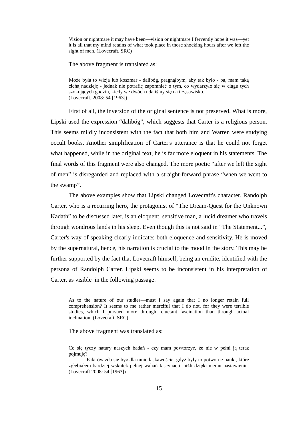Vision or nightmare it may have been—vision or nightmare I fervently hope it was—yet it is all that my mind retains of what took place in those shocking hours after we left the sight of men. (Lovecraft, SRC)

The above fragment is translated as:

Może była to wizja lub koszmar - dalibóg, pragnąłbym, aby tak było - ba, mam taką cichą nadzieję - jednak nie potrafię zapomnieć o tym, co wydarzyło się w ciągu tych szokujących godzin, kiedy we dwóch udaliśmy się na trzęsawisko. (Lovecraft, 2008: 54 [1963])

First of all, the inversion of the original sentence is not preserved. What is more, Lipski used the expression "dalibóg", which suggests that Carter is a religious person. This seems mildly inconsistent with the fact that both him and Warren were studying occult books. Another simplification of Carter's utterance is that he could not forget what happened, while in the original text, he is far more eloquent in his statements. The final words of this fragment were also changed. The more poetic "after we left the sight of men" is disregarded and replaced with a straight-forward phrase "when we went to the swamp".

The above examples show that Lipski changed Lovecraft's character. Randolph Carter, who is a recurring hero, the protagonist of "The Dream-Quest for the Unknown Kadath" to be discussed later, is an eloquent, sensitive man, a lucid dreamer who travels through wondrous lands in his sleep. Even though this is not said in "The Statement..."*,* Carter's way of speaking clearly indicates both eloquence and sensitivity. He is moved by the supernatural, hence, his narration is crucial to the mood in the story. This may be further supported by the fact that Lovecraft himself, being an erudite, identified with the persona of Randolph Carter. Lipski seems to be inconsistent in his interpretation of Carter, as visible in the following passage:

As to the nature of our studies—must I say again that I no longer retain full comprehension? It seems to me rather merciful that I do not, for they were terrible studies, which I pursued more through reluctant fascination than through actual inclination. (Lovecraft, SRC)

The above fragment was translated as:

Co się tyczy natury naszych badań - czy mam powtórzyć, że nie w pełni ją teraz pojmuję?

Fakt ów zda się być dla mnie łaskawością, gdyż były to potworne nauki, które zgłębiałem bardziej wskutek pełnej wahań fascynacji, niźli dzięki memu nastawieniu. (Lovecraft 2008: 54 [1963])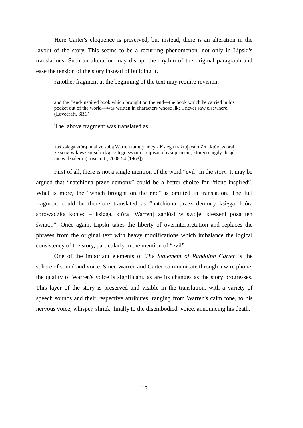Here Carter's eloquence is preserved, but instead, there is an alteration in the layout of the story. This seems to be a recurring phenomenon, not only in Lipski's translations. Such an alteration may disrupt the rhythm of the original paragraph and ease the tension of the story instead of building it.

Another fragment at the beginning of the text may require revision:

and the fiend-inspired book which brought on the end—the book which he carried in his pocket out of the world—was written in characters whose like I never saw elsewhere. (Lovecraft, SRC)

The above fragment was translated as:

zaś księga którą miał ze sobą Warren tamtej nocy - Księga traktująca o Złu, którą zabrał ze sobą w kieszeni schodząc z tego świata - zapisana była pismem, którego nigdy dotąd nie widziałem. (Lovecraft, 2008:54 [1963])

First of all, there is not a single mention of the word "evil" in the story. It may be argued that "natchiona przez demony" could be a better choice for "fiend-inspired". What is more, the "which brought on the end" is omitted in translation. The full fragment could be therefore translated as "natchiona przez demony księga, która sprowadziła koniec – księga, którą [Warren] zaniósł w swojej kieszeni poza ten świat...". Once again, Lipski takes the liberty of overinterpretation and replaces the phrases from the original text with heavy modifications which imbalance the logical consistency of the story, particularly in the mention of "evil".

One of the important elements of *The Statement of Randolph Carter* is the sphere of sound and voice. Since Warren and Carter communicate through a wire phone, the quality of Warren's voice is significant, as are its changes as the story progresses. This layer of the story is preserved and visible in the translation, with a variety of speech sounds and their respective attributes, ranging from Warren's calm tone, to his nervous voice, whisper, shriek, finally to the disembodied voice, announcing his death.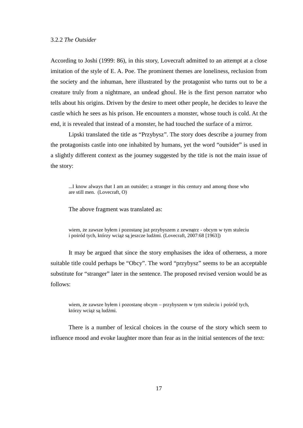# 3.2.2 *The Outsider*

According to Joshi (1999: 86), in this story, Lovecraft admitted to an attempt at a close imitation of the style of E. A. Poe. The prominent themes are loneliness, reclusion from the society and the inhuman, here illustrated by the protagonist who turns out to be a creature truly from a nightmare, an undead ghoul. He is the first person narrator who tells about his origins. Driven by the desire to meet other people, he decides to leave the castle which he sees as his prison. He encounters a monster, whose touch is cold. At the end, it is revealed that instead of a monster, he had touched the surface of a mirror.

Lipski translated the title as "Przybysz". The story does describe a journey from the protagonists castle into one inhabited by humans, yet the word "outsider" is used in a slightly different context as the journey suggested by the title is not the main issue of the story:

...I know always that I am an outsider; a stranger in this century and among those who are still men. (Lovecraft, O)

The above fragment was translated as:

wiem, że zawsze byłem i pozostanę już przybyszem z zewnątrz - obcym w tym stuleciu i pośród tych, którzy wciąż są jeszcze ludźmi. (Lovecraft, 2007:68 [1963])

It may be argued that since the story emphasises the idea of otherness, a more suitable title could perhaps be "Obcy". The word "przybysz" seems to be an acceptable substitute for "stranger" later in the sentence. The proposed revised version would be as follows:

wiem, że zawsze byłem i pozostanę obcym – przybyszem w tym stuleciu i pośród tych, którzy wciąż są ludźmi.

There is a number of lexical choices in the course of the story which seem to influence mood and evoke laughter more than fear as in the initial sentences of the text: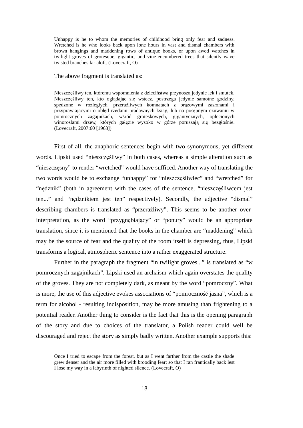Unhappy is he to whom the memories of childhood bring only fear and sadness. Wretched is he who looks back upon lone hours in vast and dismal chambers with brown hangings and maddening rows of antique books, or upon awed watches in twilight groves of grotesque, gigantic, and vine-encumbered trees that silently wave twisted branches far aloft. (Lovecraft, O)

The above fragment is translated as:

Nieszczęśliwy ten, któremu wspomnienia z dzieciństwa przynoszą jedynie lęk i smutek. Nieszczęśliwy ten, kto oglądając się wstecz, postrzega jedynie samotne godziny, spędzone w rozległych, przeraźliwych komnatach z brązowymi zasłonami i przyprawiającymi o obłęd rzędami pradawnych ksiąg, lub na posępnym czuwaniu w pomrocznych zagajnikach, wśród groteskowych, gigantycznych, oplecionych winoroślami drzew, których gałęzie wysoko w górze poruszają się bezgłośnie. (Lovecraft, 2007:60 [1963])

First of all, the anaphoric sentences begin with two synonymous, yet different words. Lipski used "nieszczęśliwy" in both cases, whereas a simple alteration such as "nieszczęsny" to render "wretched" would have sufficed. Another way of translating the two words would be to exchange "unhappy" for "nieszczęśliwiec" and "wretched" for "nędznik" (both in agreement with the cases of the sentence, "nieszczęśliwcem jest ten..." and "nędznikiem jest ten" respectively). Secondly, the adjective "dismal" describing chambers is translated as "przeraźliwy". This seems to be another overinterpretation, as the word "przygnębiający" or "ponury" would be an appropriate translation, since it is mentioned that the books in the chamber are "maddening" which may be the source of fear and the quality of the room itself is depressing, thus, Lipski transforms a logical, atmospheric sentence into a rather exaggerated structure.

Further in the paragraph the fragment "in twilight groves..." is translated as "w pomrocznych zagajnikach". Lipski used an archaism which again overstates the quality of the groves. They are not completely dark, as meant by the word "pomroczny". What is more, the use of this adjective evokes associations of "pomroczność jasna", which is a term for alcohol - resulting indisposition, may be more amusing than frightening to a potential reader. Another thing to consider is the fact that this is the opening paragraph of the story and due to choices of the translator, a Polish reader could well be discouraged and reject the story as simply badly written. Another example supports this:

Once I tried to escape from the forest, but as I went farther from the castle the shade grew denser and the air more filled with brooding fear; so that I ran frantically back lest I lose my way in a labyrinth of nighted silence. (Lovecraft, O)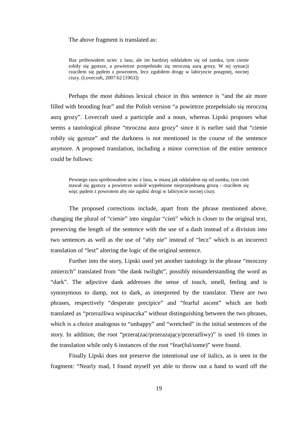The above fragment is translated as:

Raz próbowałem uciec z lasu, ale im bardziej oddalałem się od zamku, tym cienie robiły się gęstsze, a powietrze przepełniało się mroczną aurą grozy. W tej sytuacji rzuciłem się pędem z powrotem, lecz zgubiłem drogę w labiryncie posępnej, nocnej ciszy. (Lovecraft, 2007:62 [1963])

Perhaps the most dubious lexical choice in this sentence is "and the air more filled with brooding fear" and the Polish version "a powietrze przepełniało się mroczną aurą grozy". Lovecraft used a participle and a noun, whereas Lipski proposes what seems a tautological phrase "mroczna aura grozy" since it is earlier said that "cienie robiły się gęstsze" and the darkness is not mentioned in the course of the sentence anymore. A proposed translation, including a minor correction of the entire sentence could be follows:

Pewnego razu spróbowałem uciec z lasu, w miarę jak oddalałem się od zamku, tym cień stawał się gęstszy a powietrze wokół wypełnione nieprzejednaną grozą - rzuciłem się więc pędem z powrotem aby nie zgubić drogi w labiryncie nocnej ciszy.

The proposed corrections include, apart from the phrase mentioned above, changing the plural of "cienie" into singular "cień" which is closer to the original text, preserving the length of the sentence with the use of a dash instead of a division into two sentences as well as the use of "aby nie" instead of "lecz" which is an incorrect translation of "lest" altering the logic of the original sentence.

Further into the story, Lipski used yet another tautology in the phrase "mroczny zmierzch" translated from "the dank twilight", possibly misunderstanding the word as "dark". The adjective dank addresses the sense of touch, smell, feeling and is synonymous to damp, not to dark, as interpreted by the translator. There are two phrases, respectively "desperate precipice" and "fearful ascent" which are both translated as "przeraźliwa wspinaczka" without distinguishing between the two phrases, which is a choice analogous to "unhappy" and "wretched" in the initial sentences of the story. In addition, the root "przera(żać/przerażający/przeraźliwy)" is used 16 times in the translation while only 6 instances of the root "fear(ful/some)" were found.

Finally Lipski does not preserve the intentional use of italics, as is seen in the fragment: "Nearly mad, I found myself yet able to throw out a hand to ward off the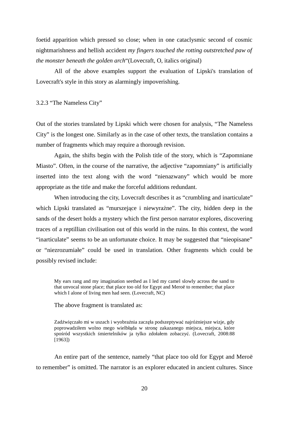foetid apparition which pressed so close; when in one cataclysmic second of cosmic nightmarishness and hellish accident *my fingers touched the rotting outstretched paw of the monster beneath the golden arch*"(Lovecraft, O, italics original)

All of the above examples support the evaluation of Lipski's translation of Lovecraft's style in this story as alarmingly impoverishing.

3.2.3 "The Nameless City"

Out of the stories translated by Lipski which were chosen for analysis, "The Nameless City" is the longest one. Similarly as in the case of other texts, the translation contains a number of fragments which may require a thorough revision.

Again, the shifts begin with the Polish title of the story, which is "Zapomniane Miasto". Often, in the course of the narrative, the adjective "zapomniany" is artificially inserted into the text along with the word "nienazwany" which would be more appropriate as the title and make the forceful additions redundant.

When introducing the city, Lovecraft describes it as "crumbling and inarticulate" which Lipski translated as "murszejące i niewyraźne". The city, hidden deep in the sands of the desert holds a mystery which the first person narrator explores, discovering traces of a reptillian civilisation out of this world in the ruins. In this context, the word "inarticulate" seems to be an unfortunate choice. It may be suggested that "nieopisane" or "niezrozumiałe" could be used in translation. Other fragments which could be possibly revised include:

My ears rang and my imagination seethed as I led my camel slowly across the sand to that unvocal stone place; that place too old for Egypt and Meroë to remember; that place which I alone of living men had seen. (Lovecraft, NC)

The above fragment is translated as:

Zadźwięczało mi w uszach i wyobraźnia zaczęła podszeptywać najróżniejsze wizje, gdy poprowadziłem wolno mego wielbłąda w stronę zakazanego miejsca, miejsca, które spośród wszystkich śmiertelników ja tylko zdołałem zobaczyć. (Lovecraft, 2008:88 [1963])

An entire part of the sentence, namely "that place too old for Egypt and Meroë to remember" is omitted. The narrator is an explorer educated in ancient cultures. Since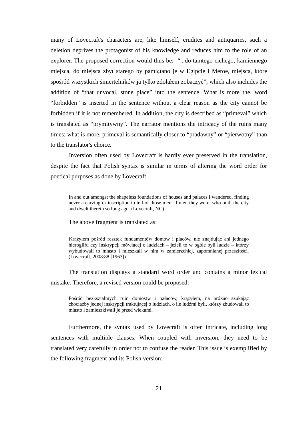many of Lovecraft's characters are, like himself, erudites and antiquaries, such a deletion deprives the protagonist of his knowledge and reduces him to the role of an explorer. The proposed correction would thus be: "...do tamtego cichego, kamiennego miejsca, do miejsca zbyt starego by pamiętano je w Egipcie i Meroe, miejsca, które spośród wszystkich śmiertelników ja tylko zdołałem zobaczyć", which also includes the addition of "that unvocal, stone place" into the sentence. What is more the, word "forbidden" is inserted in the sentence without a clear reason as the city cannot be forbidden if it is not remembered. In addition, the city is described as "primeval" which is translated as "prymitywny". The narrator mentions the intricacy of the ruins many times; what is more, primeval is semantically closer to "pradawny" or "pierwotny" than to the translator's choice.

Inversion often used by Lovecraft is hardly ever preserved in the translation, despite the fact that Polish syntax is similar in terms of altering the word order for poetical purposes as done by Lovecraft.

In and out amongst the shapeless foundations of houses and palaces I wandered, finding never a carving or inscription to tell of those men, if men they were, who built the city and dwelt therein so long ago. (Lovecraft, NC)

The above fragment is translated as:

Krążyłem pośród resztek fundamentów domów i placów, nie znajdując ani jednego hieroglifu czy inskrypcji mówiącej o ludziach – jeżeli to w ogóle byli ludzie – którzy wybudowali to miasto i mieszkali w nim w zamierzchłej, zapomnianej przeszłości. (Lovecraft, 2008:88 [1963])

The translation displays a standard word order and contains a minor lexical mistake. Therefore, a revised version could be proposed:

Pośród bezkształtnych ruin domostw i pałaców, krążyłem, na próżno szukając chociażby jednej inskrypcji traktującej o ludziach, o ile ludźmi byli, którzy zbudowali to miasto i zamieszkiwali je przed wiekami.

Furthermore, the syntax used by Lovecraft is often intricate, including long sentences with multiple clauses. When coupled with inversion, they need to be translated very carefully in order not to confuse the reader. This issue is exemplified by the following fragment and its Polish version: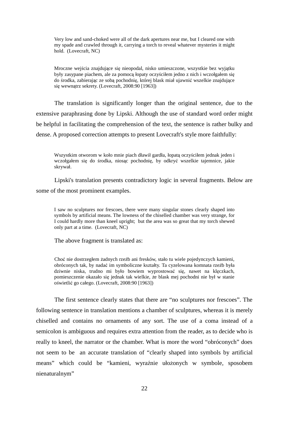Very low and sand-choked were all of the dark apertures near me, but I cleared one with my spade and crawled through it, carrying a torch to reveal whatever mysteries it might hold. (Lovecraft, NC)

Mroczne wejścia znajdujące się nieopodal, nisko umieszczone, wszystkie bez wyjątku były zasypane piachem, ale za pomocą łopaty oczyściłem jedno z nich i wczołgałem się do środka, zabierając ze sobą pochodnię, której blask miał ujawnić wszelkie znajdujące się wewnątrz sekrety. (Lovecraft, 2008:90 [1963])

The translation is significantly longer than the original sentence, due to the extensive paraphrasing done by Lipski. Although the use of standard word order might be helpful in facilitating the comprehension of the text, the sentence is rather bulky and dense. A proposed correction attempts to present Lovecraft's style more faithfully:

Wszystkim otworom w koło mnie piach dławił gardła, łopatą oczyściłem jednak jeden i wczołgałem się do środka, niosąc pochodnię, by odkryć wszelkie tajemnice, jakie skrywał.

Lipski's translation presents contradictory logic in several fragments. Below are some of the most prominent examples.

I saw no sculptures nor frescoes, there were many singular stones clearly shaped into symbols by artificial means. The lowness of the chiselled chamber was very strange, for I could hardly more than kneel upright; but the area was so great that my torch shewed only part at a time. (Lovecraft, NC)

The above fragment is translated as:

Choć nie dostrzegłem żadnych rzeźb ani fresków, stało tu wiele pojedynczych kamieni, obróconych tak, by nadać im symboliczne kształty. Ta cyzelowana komnata rzeźb była dziwnie niska, trudno mi było bowiem wyprostować się, nawet na klęczkach, pomieszczenie okazało się jednak tak wielkie, że blask mej pochodni nie był w stanie oświetlić go całego. (Lovecraft, 2008:90 [1963])

The first sentence clearly states that there are "no sculptures nor frescoes". The following sentence in translation mentions a chamber of sculptures, whereas it is merely chiselled and contains no ornaments of any sort. The use of a coma instead of a semicolon is ambiguous and requires extra attention from the reader, as to decide who is really to kneel, the narrator or the chamber. What is more the word "obróconych" does not seem to be an accurate translation of "clearly shaped into symbols by artificial means" which could be "kamieni, wyraźnie ułożonych w symbole, sposobem nienaturalnym"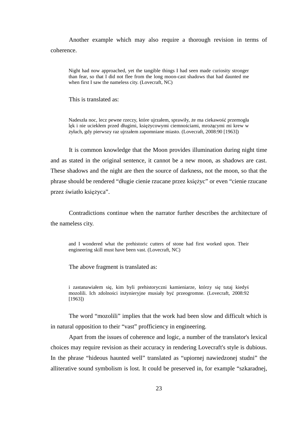Another example which may also require a thorough revision in terms of coherence.

Night had now approached, yet the tangible things I had seen made curiosity stronger than fear, so that I did not flee from the long moon-cast shadows that had daunted me when first I saw the nameless city. (Lovecraft, NC)

This is translated as:

Nadeszła noc, lecz pewne rzeczy, które ujrzałem, sprawiły, że ma ciekawość przemogła lęk i nie uciekłem przed długimi, księżycowymi ciemnościami, mrożącymi mi krew w żyłach, gdy pierwszy raz ujrzałem zapomniane miasto. (Lovecraft, 2008:90 [1963])

It is common knowledge that the Moon provides illumination during night time and as stated in the original sentence, it cannot be a new moon, as shadows are cast. These shadows and the night are then the source of darkness, not the moon, so that the phrase should be rendered "długie cienie rzucane przez księżyc" or even "cienie rzucane przez światło księżyca".

Contradictions continue when the narrator further describes the architecture of the nameless city.

and I wondered what the prehistoric cutters of stone had first worked upon. Their engineering skill must have been vast. (Lovecraft, NC)

The above fragment is translated as:

i zastanawiałem się, kim byli prehistoryczni kamieniarze, którzy się tutaj kiedyś mozolili. Ich zdolności inżynieryjne musiały być przeogromne. (Lovecraft, 2008:92 [1963])

The word "mozolili" implies that the work had been slow and difficult which is in natural opposition to their "vast" profficiency in engineering.

Apart from the issues of coherence and logic, a number of the translator's lexical choices may require revision as their accuracy in rendering Lovecraft's style is dubious. In the phrase "hideous haunted well" translated as "upiornej nawiedzonej studni" the alliterative sound symbolism is lost. It could be preserved in, for example "szkaradnej,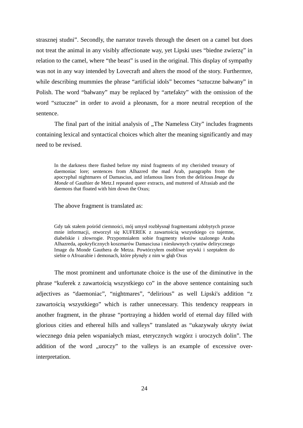strasznej studni". Secondly, the narrator travels through the desert on a camel but does not treat the animal in any visibly affectionate way, yet Lipski uses "biedne zwierzę" in relation to the camel, where "the beast" is used in the original. This display of sympathy was not in any way intended by Lovecraft and alters the mood of the story. Furthermre, while describing mummies the phrase "artificial idols" becomes "sztuczne bałwany" in Polish. The word "bałwany" may be replaced by "artefakty" with the omission of the word "sztuczne" in order to avoid a pleonasm, for a more neutral reception of the sentence.

The final part of the initial analysis of "The Nameless City" includes fragments containing lexical and syntactical choices which alter the meaning significantly and may need to be revised.

In the darkness there flashed before my mind fragments of my cherished treasury of daemoniac lore; sentences from Alhazred the mad Arab, paragraphs from the apocryphal nightmares of Damascius, and infamous lines from the delirious *Image du Monde* of Gauthier de Metz.I repeated queer extracts, and muttered of Afrasiab and the daemons that floated with him down the Oxus;

The above fragment is translated as:

Gdy tak stałem pośród ciemności, mój umysł rozbłysnął fragmentami zdobytych przeze mnie informacji, otworzył się KUFEREK z zawartością wszystkiego co tajemne, diabelskie i złowrogie. Przypomniałem sobie fragmenty tekstów szalonego Araba Alhazreda, apokryficznych koszmarów Damasciusa i niesławnych cytatów delirycznego Image du Monde Gauthera de Metza. Powtórzyłem osobliwe urywki i szeptałem do siebie o Afroarabie i demonach, które płynęły z nim w głąb Oxus

The most prominent and unfortunate choice is the use of the diminutive in the phrase "kuferek z zawartością wszystkiego co" in the above sentence containing such adjectives as "daemoniac", "nightmares", "delirious" as well Lipski's addition "z zawartością wszystkiego" which is rather unnecessary. This tendency reappears in another fragment, in the phrase "portraying a hidden world of eternal day filled with glorious cities and ethereal hills and valleys" translated as "ukazywały ukryty świat wiecznego dnia pełen wspaniałych miast, eterycznych wzgórz i uroczych dolin". The addition of the word "uroczy" to the valleys is an example of excessive overinterpretation.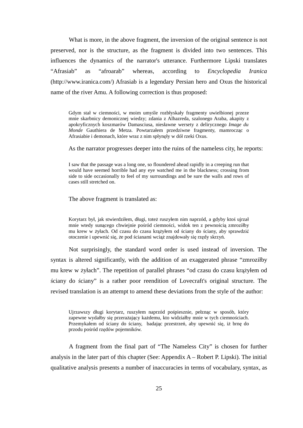What is more, in the above fragment, the inversion of the original sentence is not preserved, nor is the structure, as the fragment is divided into two sentences. This influences the dynamics of the narrator's utterance. Furthermore Lipski translates "Afrasiab" as "afroarab" whereas, according to *Encyclopedia Iranica* (http://www.iranica.com/) Afrasiab is a legendary Persian hero and Oxus the historical name of the river Amu. A following correction is thus proposed:

Gdym stał w ciemności, w moim umyśle rozbłyskały fragmenty uwielbionej przeze mnie skarbnicy demonicznej wiedzy; zdania z Alhazreda, szalonego Araba, akapity z apokryficznych koszmarów Damasciusa, niesławne wersety z delirycznego *Image du Monde* Gauthiera de Metza. Powtarzałem przedziwne fragmenty, mamrocząc o Afrasiabie i demonach, które wraz z nim spłynęły w dół rzeki Oxus.

As the narrator progresses deeper into the ruins of the nameless city, he reports:

I saw that the passage was a long one, so floundered ahead rapidly in a creeping run that would have seemed horrible had any eye watched me in the blackness; crossing from side to side occasionally to feel of my surroundings and be sure the walls and rows of cases still stretched on.

The above fragment is translated as:

Korytarz był, jak stwierdziłem, długi, toteż ruszyłem nim naprzód, a gdyby ktoś ujrzał mnie wtedy sunącego chwiejnie pośród ciemności, widok ten z pewnością zmroziłby mu krew w żyłach. Od czasu do czasu krążyłem od ściany do ściany, aby sprawdzić otoczenie i upewnić się, że pod ścianami wciąż znajdowały się rzędy skrzyń.

Not surprisingly, the standard word order is used instead of inversion. The syntax is altered significantly, with the addition of an exaggerated phrase "zmroziłby mu krew w żyłach". The repetition of parallel phrases "od czasu do czasu krążyłem od ściany do ściany" is a rather poor reendition of Lovecraft's original structure. The revised translation is an attempt to amend these deviations from the style of the author:

Ujrzawszy długi korytarz, ruszyłem naprzód pośpiesznie, pełznąc w sposób, który zapewne wydałby się przerażający każdemu, kto widziałby mnie w tych ciemnościach. Przemykałem od ściany do ściany, badając przestrzeń, aby upewnić się, iż brnę do przodu pośród rzędów pojemników.

A fragment from the final part of "The Nameless City" is chosen for further analysis in the later part of this chapter (See: Appendix A – Robert P. Lipski). The initial qualitative analysis presents a number of inaccuracies in terms of vocabulary, syntax, as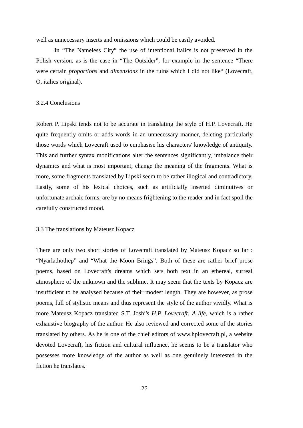well as unnecessary inserts and omissions which could be easily avoided.

In "The Nameless City" the use of intentional italics is not preserved in the Polish version, as is the case in "The Outsider", for example in the sentence "There were certain *proportions* and *dimensions* in the ruins which I did not like" (Lovecraft, O, italics original).

## 3.2.4 Conclusions

Robert P. Lipski tends not to be accurate in translating the style of H.P. Lovecraft. He quite frequently omits or adds words in an unnecessary manner, deleting particularly those words which Lovecraft used to emphasise his characters' knowledge of antiquity. This and further syntax modifications alter the sentences significantly, imbalance their dynamics and what is most important, change the meaning of the fragments. What is more, some fragments translated by Lipski seem to be rather illogical and contradictory. Lastly, some of his lexical choices, such as artificially inserted diminutives or unfortunate archaic forms, are by no means frightening to the reader and in fact spoil the carefully constructed mood.

## 3.3 The translations by Mateusz Kopacz

There are only two short stories of Lovecraft translated by Mateusz Kopacz so far : "Nyarlathothep" and "What the Moon Brings". Both of these are rather brief prose poems, based on Lovecraft's dreams which sets both text in an ethereal, surreal atmosphere of the unknown and the sublime. It may seem that the texts by Kopacz are insufficient to be analysed because of their modest length. They are however, as prose poems, full of stylistic means and thus represent the style of the author vividly. What is more Mateusz Kopacz translated S.T. Joshi's *H.P. Lovecraft: A life*, which is a rather exhaustive biography of the author. He also reviewed and corrected some of the stories translated by others. As he is one of the chief editors of www.hplovecraft.pl, a website devoted Lovecraft, his fiction and cultural influence, he seems to be a translator who possesses more knowledge of the author as well as one genuinely interested in the fiction he translates.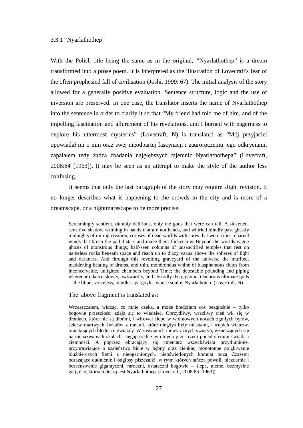## 3.3.1 "Nyarlathothep"

With the Polish title being the same as in the original, *"*Nyarlathothep" is a dream transformed into a prose poem. It is interpreted as the illustration of Lovecraft's fear of the often prophesied fall of civilisation (Joshi, 1999: 67). The initial analysis of the story allowed for a generally positive evaluation. Sentence structure, logic and the use of inversion are preserved. In one case, the translator inserts the name of Nyarlathothep into the sentence in order to clarify it so that "My friend had told me of him, and of the impelling fascination and allurement of his revelations, and I burned with eagerness to explore his uttermost mysteries" (Lovecraft, N) is translated as "Mój przyjaciel opowiadał mi o nim oraz swej nieodpartej fascynacji i zauroroczeniu jego odkryciami, zapałałem tedy żądzą zbadania najgłębszych tajemnic Nyarlathothepa" (Lovecraft, 2008:84 [1963]). It may be seen as an attempt to make the style of the author less confusing.

It seems that only the last paragraph of the story may require slight revision. It no longer describes what is happening to the crowds in the city and is more of a dreamscape, or a nightmarescape to be more precise.

Screamingly sentient, dumbly delirious, only the gods that were can tell. A sickened, sensitive shadow writhing in hands that are not hands, and whirled blindly past ghastly midnights of rotting creation, corpses of dead worlds with sores that were cities, charnel winds that brush the pallid stars and make them flicker low. Beyond the worlds vague ghosts of monstrous things; half-seen columns of unsanctified temples that rest on nameless rocks beneath space and reach up to dizzy vacua above the spheres of light and darkness. And through this revolting graveyard of the universe the muffled, maddening beating of drums, and thin, monotonous whine of blasphemous flutes from inconceivable, unlighted chambers beyond Time; the detestable pounding and piping whereunto dance slowly, awkwardly, and absurdly the gigantic, tenebrous ultimate gods —the blind, voiceless, mindless gargoyles whose soul is Nyarlathotep. (Lovecraft, N)

#### The above fragment is translated as:

Wrzeszczałem, widząc, co mnie czeka, a może bredziłem coś bezgłośnie – tylko bogowie przeszłości zdają się to wiedzieć. Obrzydliwy, wrażliwy cień wił się w dłoniach, które nie są dłońmi, i wirował ślepo w widmowych nocach zgniłych bytów, ścierw martwych światów z ranami, które niegdyś były miastami, i trupich wiatrów, omiatających blednące gwiazdy. W zaświatach niewyraźnych świątyń, wznoszących się na nienazwanych skałach, sięgających zawrotnych przestrzeni ponad sferami światła i ciemności. A poprzez obracający się cmentarz wszechświata przytłumione, przyprawiające o szaleństwo bicie w bębny oraz cienkie, monotonne pojękiwanie bluźnierczych fletni z nieogarnionych, nieoświetlonych komnat poza Czasem; odrażające dudnienie I odgłosy piszczałki, w rytm których tańczą powoli, niezdarnie i bezsensownie gigantyczni, mroczni, ostateczni bogowie – ślepe, nieme, bezmyślne gargulce, których duszą jest Nyarlathothep. (Lovecraft, 2008:86 [1963])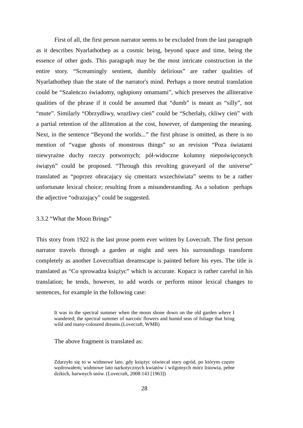First of all, the first person narrator seems to be excluded from the last paragraph as it describes Nyarlathothep as a cosmic being, beyond space and time, being the essence of other gods. This paragraph may be the most intricate construction in the entire story. "Screamingly sentient, dumbly delirious" are rather qualities of Nyarlathothep than the state of the narrator's mind. Perhaps a more neutral translation could be "Szaleńczo świadomy, ogłupiony omamami", which preserves the alliterative qualities of the phrase if it could be assumed that "dumb" is meant as "silly", not "mute". Similarly "Obrzydliwy, wrażliwy cień" could be "Scherlały, ckliwy cień" with a partial retention of the alliteration at the cost, however, of dampening the meaning. Next, in the sentence "Beyond the worlds..." the first phrase is omitted, as there is no mention of "vague ghosts of monstrous things" so an revision "Poza światami niewyraźne duchy rzeczy potwornych; pół-widoczne kolumny niepoświęconych świątyń" could be proposed. "Through this revolting graveyard of the universe" translated as "poprzez obracający się cmentarz wszechświata" seems to be a rather unfortunate lexical choice; resulting from a misunderstanding. As a solution perhaps the adjective "odrażający" could be suggested.

#### 3.3.2 "What the Moon Brings"

This story from 1922 is the last prose poem ever written by Lovecraft. The first person narrator travels through a garden at night and sees his surroundings transform completely as another Lovecraftian dreamscape is painted before his eyes. The title is translated as "Co sprowadza księżyc" which is accurate. Kopacz is rather careful in his translation; he tends, however, to add words or perform minor lexical changes to sentences, for example in the following case:

It was in the spectral summer when the moon shone down on the old garden where I wandered; the spectral summer of narcotic flowers and humid seas of foliage that bring wild and many-coloured dreams.(Lovecraft, WMB)

The above fragment is translated as:

Zdarzyło się to w widmowe lato, gdy księżyc oświecał stary ogród, po którym często wędrowałem; widmowe lato narkotycznych kwiatów i wilgotnych mórz listowia, pełne dzikich, barwnych snów. (Lovecraft, 2008:143 [1963])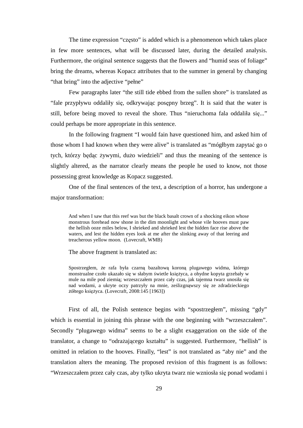The time expression "często" is added which is a phenomenon which takes place in few more sentences, what will be discussed later, during the detailed analysis. Furthermore, the original sentence suggests that the flowers and "humid seas of foliage" bring the dreams, whereas Kopacz attributes that to the summer in general by changing "that bring" into the adjective "pełne"

Few paragraphs later "the still tide ebbed from the sullen shore" is translated as "fale przypływu oddaliły się, odkrywając posępny brzeg". It is said that the water is still, before being moved to reveal the shore. Thus "nieruchoma fala oddaliła się..." could perhaps be more appropriate in this sentence.

In the following fragment "I would fain have questioned him, and asked him of those whom I had known when they were alive" is translated as "mógłbym zapytać go o tych, którzy będąc żywymi, dużo wiedzieli" and thus the meaning of the sentence is slightly altered, as the narrator clearly means the people he used to know, not those possessing great knowledge as Kopacz suggested.

One of the final sentences of the text, a description of a horror, has undergone a major transformation:

And when I saw that this reef was but the black basalt crown of a shocking eikon whose monstrous forehead now shone in the dim moonlight and whose vile hooves must paw the hellish ooze miles below, I shrieked and shrieked lest the hidden face rise above the waters, and lest the hidden eyes look at me after the slinking away of that leering and treacherous yellow moon. (Lovecraft, WMB)

The above fragment is translated as:

Spostrzegłem, że rafa była czarną bazaltową koroną plugawego widma, którego monstrualne czoło ukazało się w słabym świetle księżyca, a ohydne kopyta grzebały w mule na mile pod ziemią; wrzeszczałem przez cały czas, jak tajemna twarz unosiła się nad wodami, a ukryte oczy patrzyły na mnie, ześlizgnąwszy się ze zdradzieckiego żółtego księżyca. (Lovecraft, 2008:145 [1963])

First of all, the Polish sentence begins with "spostrzegłem", missing "gdy" which is essential in joining this phrase with the one beginning with "wrzeszczałem". Secondly "plugawego widma" seems to be a slight exaggeration on the side of the translator, a change to "odrażającego kształtu" is suggested. Furthermore, "hellish" is omitted in relation to the hooves. Finally, "lest" is not translated as "aby nie" and the translation alters the meaning. The proposed revision of this fragment is as follows: "Wrzeszczałem przez cały czas, aby tylko ukryta twarz nie wzniosła się ponad wodami i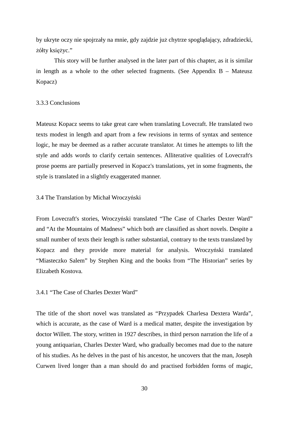by ukryte oczy nie spojrzały na mnie, gdy zajdzie już chytrze spoglądający, zdradziecki, żółty księżyc."

This story will be further analysed in the later part of this chapter, as it is similar in length as a whole to the other selected fragments. (See Appendix  $B - M$ ateusz Kopacz)

#### 3.3.3 Conclusions

Mateusz Kopacz seems to take great care when translating Lovecraft. He translated two texts modest in length and apart from a few revisions in terms of syntax and sentence logic, he may be deemed as a rather accurate translator. At times he attempts to lift the style and adds words to clarify certain sentences. Alliterative qualities of Lovecraft's prose poems are partially preserved in Kopacz's translations, yet in some fragments, the style is translated in a slightly exaggerated manner.

# 3.4 The Translation by Michał Wroczyński

From Lovecraft's stories, Wroczyński translated "The Case of Charles Dexter Ward" and "At the Mountains of Madness" which both are classified as short novels. Despite a small number of texts their length is rather substantial, contrary to the texts translated by Kopacz and they provide more material for analysis. Wroczyński translated "Miasteczko Salem" by Stephen King and the books from "The Historian" series by Elizabeth Kostova.

# 3.4.1 "The Case of Charles Dexter Ward"

The title of the short novel was translated as "Przypadek Charlesa Dextera Warda", which is accurate, as the case of Ward is a medical matter, despite the investigation by doctor Willett. The story, written in 1927 describes, in third person narration the life of a young antiquarian, Charles Dexter Ward, who gradually becomes mad due to the nature of his studies. As he delves in the past of his ancestor, he uncovers that the man, Joseph Curwen lived longer than a man should do and practised forbidden forms of magic,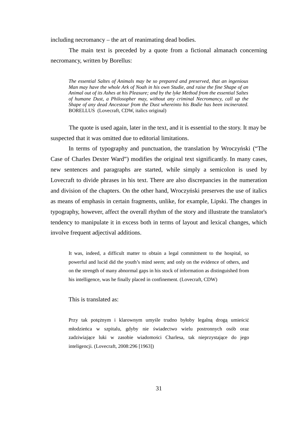including necromancy – the art of reanimating dead bodies.

The main text is preceded by a quote from a fictional almanach concerning necromancy, written by Borellus:

*The essential Saltes of Animals may be so prepared and preserved, that an ingenious Man may have the whole Ark of Noah in his own Studie, and raise the fine Shape of an Animal out of its Ashes at his Pleasure; and by the lyke Method from the essential Saltes of humane Dust, a Philosopher may, without any criminal Necromancy, call up the Shape of any dead Ancestour from the Dust whereinto his Bodie has been incinerated.* BORELLUS (Lovecraft, CDW, italics original)

The quote is used again, later in the text, and it is essential to the story. It may be suspected that it was omitted due to editorial limitations.

In terms of typography and punctuation, the translation by Wroczyński ("The Case of Charles Dexter Ward") modifies the original text significantly. In many cases, new sentences and paragraphs are started, while simply a semicolon is used by Lovecraft to divide phrases in his text. There are also discrepancies in the numeration and division of the chapters. On the other hand, Wroczyński preserves the use of italics as means of emphasis in certain fragments, unlike, for example, Lipski. The changes in typography, however, affect the overall rhythm of the story and illustrate the translator's tendency to manipulate it in excess both in terms of layout and lexical changes, which involve frequent adjectival additions.

It was, indeed, a difficult matter to obtain a legal commitment to the hospital, so powerful and lucid did the youth's mind seem; and only on the evidence of others, and on the strength of many abnormal gaps in his stock of information as distinguished from his intelligence, was he finally placed in confinement. (Lovecraft, CDW)

This is translated as:

Przy tak potężnym i klarownym umyśle trudno byłoby legalną drogą umieścić młodzieńca w szpitalu, gdyby nie świadectwo wielu postronnych osób oraz zadziwiające luki w zasobie wiadomości Charlesa, tak nieprzystające do jego inteligencji. (Lovecraft, 2008:296 [1963])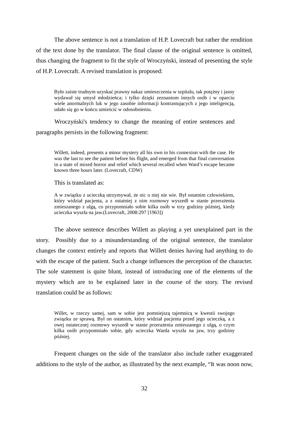The above sentence is not a translation of H.P. Lovecraft but rather the rendition of the text done by the translator. The final clause of the original sentence is omitted, thus changing the fragment to fit the style of Wroczyński, instead of presenting the style of H.P. Lovecraft. A revised translation is proposed:

Było zaiste trudnym uzyskać prawny nakaz umieszczenia w szpitalu, tak potężny i jasny wydawał się umysł młodzieńca; i tylko dzięki zeznaniom innych osób i w oparciu wiele anormalnych luk w jego zasobie informacji kontrastujących z jego inteligencją, udało się go w końcu umieścić w odosobnieniu.

Wroczyński's tendency to change the meaning of entire sentences and paragraphs persists in the following fragment:

Willett, indeed, presents a minor mystery all his own in his connexion with the case. He was the last to see the patient before his flight, and emerged from that final conversation in a state of mixed horror and relief which several recalled when Ward's escape became known three hours later. (Lovecraft, CDW)

This is translated as:

A w związku z ucieczką utrzymywał, że nic o niej nie wie. Był ostatnim człowiekiem, który widział pacjenta, a z ostatniej z nim rozmowy wyszedł w stanie przerażenia zmieszanego z ulgą, co przypomniało sobie kilka osób w trzy godziny później, kiedy ucieczka wyszła na jaw.(Lovecraft, 2008:297 [1963])

The above sentence describes Willett as playing a yet unexplained part in the story. Possibly due to a misunderstanding of the original sentence, the translator changes the context entirely and reports that Willett denies having had anything to do with the escape of the patient. Such a change influences the perception of the character. The sole statement is quite blunt, instead of introducing one of the elements of the mystery which are to be explained later in the course of the story. The revised translation could be as follows:

Willet, w rzeczy samej, sam w sobie jest pomniejszą tajemnicą w kwestii swojego związku ze sprawą. Był on ostatnim, który widział pacjenta przed jego ucieczką, a z owej ostatecznej rozmowy wyszedł w stanie przerażenia zmieszanego z ulgą, o czym kilka osób przypomniało sobie, gdy ucieczka Warda wyszła na jaw, trzy godziny później.

Frequent changes on the side of the translator also include rather exaggerated additions to the style of the author, as illustrated by the next example, "It was noon now,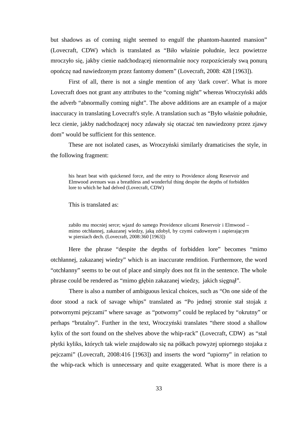but shadows as of coming night seemed to engulf the phantom-haunted mansion" (Lovecraft, CDW) which is translated as "Biło właśnie południe, lecz powietrze mroczyło się, jakby cienie nadchodzącej nienormalnie nocy rozpozścierały swą ponurą opończę nad nawiedzonym przez fantomy domem" (Lovecraft, 2008: 428 [1963]).

First of all, there is not a single mention of any 'dark cover'. What is more Lovecraft does not grant any attributes to the "coming night" whereas Wroczyński adds the adverb "abnormally coming night". The above additions are an example of a major inaccuracy in translating Lovecraft's style. A translation such as "Było właśnie południe, lecz cienie, jakby nadchodzącej nocy zdawały się otaczać ten nawiedzony przez zjawy dom" would be sufficient for this sentence.

These are not isolated cases, as Wroczyński similarly dramaticises the style, in the following fragment:

his heart beat with quickened force, and the entry to Providence along Reservoir and Elmwood avenues was a breathless and wonderful thing despite the depths of forbidden lore to which he had delved (Lovecraft, CDW)

This is translated as:

zabiło mu mocniej serce; wjazd do samego Providence ulicami Reservoir i Elmwood – mimo otchłannej, zakazanej wiedzy, jaką zdobył, by czymś cudownym i zapierającym w piersiach dech. (Lovecraft, 2008:360 [1963])

Here the phrase "despite the depths of forbidden lore" becomes "mimo otchłannej, zakazanej wiedzy" which is an inaccurate rendition. Furthermore, the word "otchłanny" seems to be out of place and simply does not fit in the sentence. The whole phrase could be rendered as "mimo głębin zakazanej wiedzy, jakich sięgnął".

There is also a number of ambiguous lexical choices, such as "On one side of the door stood a rack of savage whips" translated as "Po jednej stronie stał stojak z potwornymi pejczami" where savage as "potworny" could be replaced by "okrutny" or perhaps "brutalny". Further in the text, Wroczyński translates "there stood a shallow kylix of the sort found on the shelves above the whip-rack" (Lovecraft, CDW) as "stał płytki kyliks, których tak wiele znajdowało się na półkach powyżej upiornego stojaka z pejczami" (Lovecraft, 2008:416 [1963]) and inserts the word "upiorny" in relation to the whip-rack which is unnecessary and quite exaggerated. What is more there is a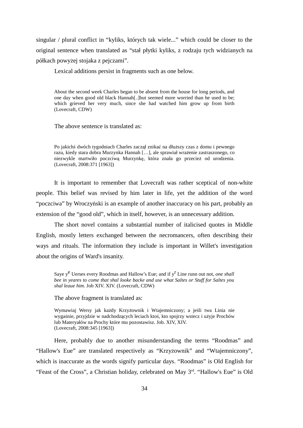singular / plural conflict in "kyliks, których tak wiele..." which could be closer to the original sentence when translated as "stał płytki kyliks, z rodzaju tych widzianych na półkach powyżej stojaka z pejczami".

Lexical additions persist in fragments such as one below.

About the second week Charles began to be absent from the house for long periods, and one day when good old black Hannah[..]but seemed more worried than he used to be; which grieved her very much, since she had watched him grow up from birth (Lovecraft, CDW)

The above sentence is translated as:

Po jakichś dwóch tygodniach Charles zaczął znikać na dłuższy czas z domu i pewnego razu, kiedy stara dobra Murzynka Hannah […], ale sprawiał wrażenie zastraszonego, co niezwykle martwiło poczciwą Murzynkę, która znała go przecież od urodzenia. (Lovecraft, 2008:371 [1963])

It is important to remember that Lovecraft was rather sceptical of non-white people. This belief was revised by him later in life, yet the addition of the word "poczciwa" by Wroczyński is an example of another inaccuracy on his part, probably an extension of the "good old", which in itself, however, is an unnecessary addition.

The short novel contains a substantial number of italicised quotes in Middle English, mostly letters exchanged between the necromancers, often describing their ways and rituals. The information they include is important in Willet's investigation about the origins of Ward's insanity.

Saye y<sup>e</sup> Uerses every Roodmas and Hallow's Eue; and if y<sup>r</sup> Line runn out not, *one shall bee in yeares to come that shal looke backe and use what Saltes or Stuff for Saltes you shal leaue him.* Job XIV. XIV. (Lovecraft, CDW)

The above fragment is translated as:

Wymawiaj Wersy jak każdy Krzyżownik i Wtajemniczony; a jeśli twa Linia nie wygaśnie, przyjdzie w nadchodzących leciach ktoś, kto spojrzy wstecz i użyje Prochów lub Materyałów na Prochy które mu pozostawisz. Job. XIV, XIV. (Lovecraft, 2008:345 [1963])

Here, probably due to another misunderstanding the terms "Roodmas" and "Hallow's Eue" are translated respectively as "Krzyżownik" and "Wtajemniczony", which is inaccurate as the words signify particular days. "Roodmas" is Old English for "Feast of the Cross", a Christian holiday, celebrated on May 3rd. "Hallow's Eue" is Old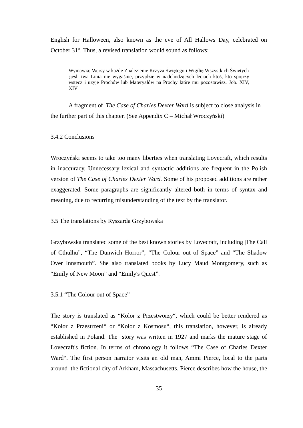English for Halloween, also known as the eve of All Hallows Day, celebrated on October 31<sup>st</sup>. Thus, a revised translation would sound as follows:

Wymawiaj Wersy w każde Znalezienie Krzyża Świętego i Wigilię Wszystkich Świętych ;jeśli twa Linia nie wygaśnie, przyjdzie w nadchodzących leciach ktoś, kto spojrzy wstecz i użyje Prochów lub Materyałów na Prochy które mu pozostawisz. Job. XIV, XIV

A fragment of *The Case of Charles Dexter Ward* is subject to close analysis in the further part of this chapter. (See Appendix  $C -$  Michał Wroczyński)

3.4.2 Conclusions

Wroczyński seems to take too many liberties when translating Lovecraft, which results in inaccuracy. Unnecessary lexical and syntactic additions are frequent in the Polish version of *The Case of Charles Dexter Ward.* Some of his proposed additions are rather exaggerated. Some paragraphs are significantly altered both in terms of syntax and meaning, due to recurring misunderstanding of the text by the translator.

3.5 The translations by Ryszarda Grzybowska

Grzybowska translated some of the best known stories by Lovecraft, including |The Call of Cthulhu", "The Dunwich Horror", "The Colour out of Space" and "The Shadow Over Innsmouth". She also translated books by Lucy Maud Montgomery, such as "Emily of New Moon" and "Emily's Quest".

3.5.1 "The Colour out of Space"

The story is translated as "Kolor z Przestworzy", which could be better rendered as "Kolor z Przestrzeni" or "Kolor z Kosmosu", this translation, however, is already established in Poland. The story was written in 1927 and marks the mature stage of Lovecraft's fiction. In terms of chronology it follows "The Case of Charles Dexter Ward". The first person narrator visits an old man, Ammi Pierce, local to the parts around the fictional city of Arkham, Massachusetts. Pierce describes how the house, the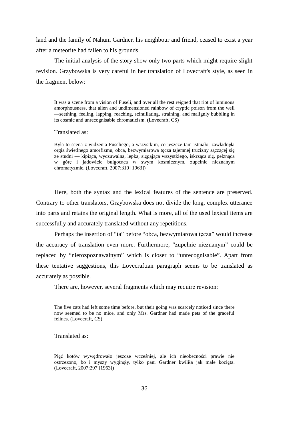land and the family of Nahum Gardner, his neighbour and friend, ceased to exist a year after a meteorite had fallen to his grounds.

The initial analysis of the story show only two parts which might require slight revision. Grzybowska is very careful in her translation of Lovecraft's style, as seen in the fragment below:

It was a scene from a vision of Fuseli, and over all the rest reigned that riot of luminous amorphousness, that alien and undimensioned rainbow of cryptic poison from the well —seething, feeling, lapping, reaching, scintillating, straining, and malignly bubbling in its cosmic and unrecognisable chromaticism. (Lovecraft, CS)

Translated as:

Była to scena z widzenia Fuseliego, a wszystkim, co jeszcze tam istniało, zawładnęła orgia świetlnego amorfizmu, obca, bezwymiarowa tęcza tajemnej trucizny sączącej się ze studni — kipiąca, wyczuwalna, lepka, sięgająca wszystkiego, iskrząca się, pełznąca w górę i jadowicie bulgocąca w swym kosmicznym, zupełnie nieznanym chromatyzmie. (Lovecraft, 2007:310 [1963])

Here, both the syntax and the lexical features of the sentence are preserved. Contrary to other translators, Grzybowska does not divide the long, complex utterance into parts and retains the original length. What is more, all of the used lexical items are successfully and accurately translated without any repetitions.

Perhaps the insertion of "ta" before "obca, bezwymiarowa tęcza" would increase the accuracy of translation even more. Furthermore, "zupełnie nieznanym" could be replaced by "nierozpoznawalnym" which is closer to "unrecognisable". Apart from these tentative suggestions, this Lovecraftian paragraph seems to be translated as accurately as possible.

There are, however, several fragments which may require revision:

The five cats had left some time before, but their going was scarcely noticed since there now seemed to be no mice, and only Mrs. Gardner had made pets of the graceful felines. (Lovecraft, CS)

Translated as:

Pięć kotów wywędrowało jeszcze wcześniej, ale ich nieobecności prawie nie ostrzeżono, bo i myszy wyginęły, tylko pani Gardner kwiliła jak małe kocięta. (Lovecraft, 2007:297 [1963])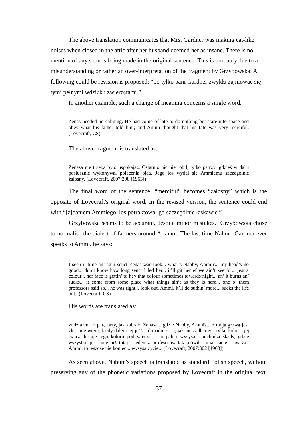The above translation communicates that Mrs. Gardner was making cat-like noises when closed in the attic after her husband deemed her as insane. There is no mention of any sounds being made in the original sentence. This is probably due to a misunderstanding or rather an over-interpretation of the fragment by Grzybowska. A following could be revision is proposed: "bo tylko pani Gardner zwykła zajmować się tymi pełnymi wdzięku zwierzętami."

In another example, such a change of meaning concerns a single word.

Zenas needed no calming. He had come of late to do nothing but stare into space and obey what his father told him; and Ammi thought that his fate was very merciful. (Lovecraft, CS)

The above fragment is translated as:

Zenasa nie trzeba było uspokajać. Ostatnio nic nie robił, tylko patrzył gdzieś w dal i posłusznie wykonywał polecenia ojca. Jego los wydał się Ammiemu szczególnie żałosny. (Lovecraft, 2007:298 [1963])

The final word of the sentence, "merciful" becomes "żałosny" which is the opposite of Lovecraft's original word. In the revised version, the sentence could end with."[z]daniem Ammiego, los potraktował go szczególnie łaskawie."

Grzybowska seems to be accurate, despite minor mistakes. Grzybowska chose to normalise the dialect of farmers around Arkham. The last time Nahum Gardner ever speaks to Ammi, he says:

I seen it time an' agin senct Zenas was took... whar's Nabby, Ammi?... my head's no good... dun't know how long senct I fed her... it'll git her ef we ain't keerful... jest a colour... her face is gettin' to hev that colour sometimes towards night... an' it burns an' sucks... it come from some place whar things ain't as they is here... one o' them professors said so... he was right... look out, Ammi, it'll do suthin' more... sucks the life out...(Lovecraft, CS)

His words are translated as:

widziałem to parę razy, jak zabrało Zenasa... gdzie Nabby, Ammi?... z moją głową jest źle... nie wiem, kiedy dałem jej jeść... dopadnie i ją, jak nie zadbamy... tylko kolor... jej twarz dostaje tego koloru pod wieczór... to pali i wysysa... pochodzi skądś, gdzie wszystko jest inne niż tutaj... jeden z profesorów tak mówił... miał rację... uważaj, Ammi, to jeszcze nie koniec... wysysa życie... (Lovecraft, 2007:302 [1963])

As seen above, Nahum's speech is translated as standard Polish speech, without preserving any of the phonetic variations proposed by Lovecraft in the original text.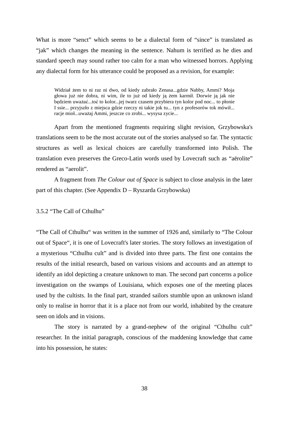What is more "senct" which seems to be a dialectal form of "since" is translated as "jak" which changes the meaning in the sentence. Nahum is terrified as he dies and standard speech may sound rather too calm for a man who witnessed horrors. Applying any dialectal form for his utterance could be proposed as a revision, for example:

Widział żem to ni raz ni dwo, od kiedy zabrało Zenasa...gdzie Nabby, Ammi? Moja głowa już nie dobra, ni wim, ile to już od kiedy ją żem karmił. Dorwie ją jak nie będziem uważać...toć to kolor...jej twarz czasem przybiera tyn kolor pod noc... to płonie I ssie... przyjszło z miejsca gdzie rzeczy ni takie jok tu... tyn z profesorów tok mówił... racje mioł...uważaj Ammi, jeszcze co zrobi... wysysa zycie...

Apart from the mentioned fragments requiring slight revision, Grzybowska's translations seem to be the most accurate out of the stories analysed so far. The syntactic structures as well as lexical choices are carefully transformed into Polish. The translation even preserves the Greco-Latin words used by Lovecraft such as "aërolite" rendered as "aerolit".

A fragment from *The Colour out of Space* is subject to close analysis in the later part of this chapter. (See Appendix D – Ryszarda Grzybowska)

3.5.2 "The Call of Cthulhu"

"The Call of Cthulhu" was written in the summer of 1926 and, similarly to "The Colour out of Space", it is one of Lovecraft's later stories. The story follows an investigation of a mysterious "Cthulhu cult" and is divided into three parts. The first one contains the results of the initial research, based on various visions and accounts and an attempt to identify an idol depicting a creature unknown to man. The second part concerns a police investigation on the swamps of Louisiana, which exposes one of the meeting places used by the cultists. In the final part, stranded sailors stumble upon an unknown island only to realise in horror that it is a place not from our world, inhabited by the creature seen on idols and in visions.

The story is narrated by a grand-nephew of the original "Cthulhu cult" researcher. In the initial paragraph, conscious of the maddening knowledge that came into his possession, he states: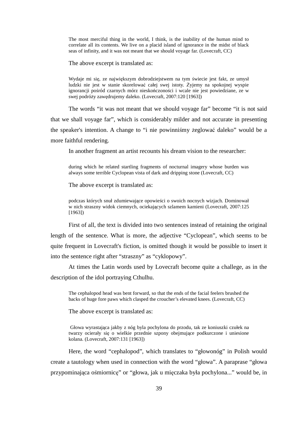The most merciful thing in the world, I think, is the inability of the human mind to correlate all its contents. We live on a placid island of ignorance in the midst of black seas of infinity, and it was not meant that we should voyage far. (Lovecraft, CC)

The above excerpt is translated as:

Wydaje mi się, ze największym dobrodziejstwem na tym świecie jest fakt, ze umysł ludzki nie jest w stanie skorelować całej swej istoty. Żyjemy na spokojnej wyspie ignorancji pośród czarnych mórz nieskończoności i wcale nie jest powiedziane, ze w swej podróży zawędrujemy daleko. (Lovecraft, 2007:120 [1963])

The words "it was not meant that we should voyage far" become "it is not said that we shall voyage far", which is considerably milder and not accurate in presenting the speaker's intention. A change to "i nie powinniśmy żeglować daleko" would be a more faithful rendering.

In another fragment an artist recounts his dream vision to the researcher:

during which he related startling fragments of nocturnal imagery whose burden was always some terrible Cyclopean vista of dark and dripping stone (Lovecraft, CC)

The above excerpt is translated as:

podczas których snuł zdumiewające opowieści o swoich nocnych wizjach. Dominował w nich straszny widok ciemnych, ociekających szlamem kamieni (Lovecraft, 2007:125 [1963])

First of all, the text is divided into two sentences instead of retaining the original length of the sentence. What is more, the adjective "Cyclopean", which seems to be quite frequent in Lovecraft's fiction, is omitted though it would be possible to insert it into the sentence right after "straszny" as "cyklopowy".

At times the Latin words used by Lovecraft become quite a challege, as in the description of the idol portraying Cthulhu.

The cephalopod head was bent forward, so that the ends of the facial feelers brushed the backs of huge fore paws which clasped the croucher's elevated knees. (Lovecraft, CC)

The above excerpt is translated as:

 Głowa wyrastająca jakby z nóg byla pochylona do przodu, tak ze koniuszki czułek na twarzy ocierały się o wielkie przednie szpony obejmujące podkurczone i uniesione kolana. (Lovecraft, 2007:131 [1963])

Here, the word "cephalopod", which translates to "głowonóg" in Polish would create a tautology when used in connection with the word "głowa". A paraprase "głowa przypominająca ośmiornicę" or "głowa, jak u mięczaka była pochylona..." would be, in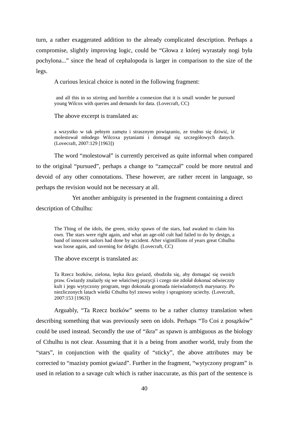turn, a rather exaggerated addition to the already complicated description. Perhaps a compromise, slightly improving logic, could be "Głowa z której wyrastały nogi była pochylona..." since the head of cephalopoda is larger in comparison to the size of the legs.

A curious lexical choice is noted in the following fragment:

 and all this in so stirring and horrible a connexion that it is small wonder he pursued young Wilcox with queries and demands for data. (Lovecraft, CC)

The above excerpt is translated as:

a wszystko w tak pełnym zamętu i strasznym powiązaniu, ze trudno się dziwić, iż molestował młodego Wilcoxa pytaniami i domagał się szczegółowych danych. (Lovecraft, 2007:129 [1963])

The word "molestował" is currently perceived as quite informal when compared to the original "pursued", perhaps a change to "zamęczał" could be more neutral and devoid of any other connotations. These however, are rather recent in language, so perhaps the revision would not be necessary at all.

Yet another ambiguity is presented in the fragment containing a direct

description of Cthulhu:

The Thing of the idols, the green, sticky spawn of the stars, had awaked to claim his own. The stars were right again, and what an age-old cult had failed to do by design, a band of innocent sailors had done by accident. After vigintillions of years great Cthulhu was loose again, and ravening for delight. (Lovecraft, CC)

The above excerpt is translated as:

Ta Rzecz bożków, zielona, lepka ikra gwiazd, obudziła się, aby domagać się swoich praw. Gwiazdy znalazły się we właściwej pozycji i czego nie zdołał dokonać odwieczny kult i jego wytyczony program, tego dokonała gromada nieświadomych marynarzy. Po niezliczonych latach wielki Cthulhu byl znowu wolny i spragniony uciechy. (Lovecraft, 2007:153 [1963])

Arguably, "Ta Rzecz bożków" seems to be a rather clumsy translation when describing something that was previously seen on idols. Perhaps "To Coś z posążków" could be used instead. Secondly the use of "ikra" as spawn is ambiguous as the biology of Cthulhu is not clear. Assuming that it is a being from another world, truly from the "stars", in conjunction with the quality of "sticky", the above attributes may be corrected to "mazisty pomiot gwiazd". Further in the fragment, "wytyczony program" is used in relation to a savage cult which is rather inaccurate, as this part of the sentence is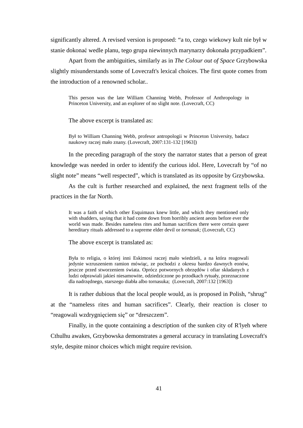significantly altered. A revised version is proposed: "a to, czego wiekowy kult nie był w stanie dokonać wedle planu, tego grupa niewinnych marynarzy dokonała przypadkiem".

Apart from the ambiguities, similarly as in *The Colour out of Space* Grzybowska slightly misunderstands some of Lovecraft's lexical choices. The first quote comes from the introduction of a renowned scholar..

This person was the late William Channing Webb, Professor of Anthropology in Princeton University, and an explorer of no slight note. (Lovecraft, CC)

The above excerpt is translated as:

Był to William Channing Webb, profesor antropologii w Princeton University, badacz naukowy raczej mało znany. (Lovecraft, 2007:131-132 [1963])

In the preceding paragraph of the story the narrator states that a person of great knowledge was needed in order to identify the curious idol. Here, Lovecraft by "of no slight note" means "well respected", which is translated as its opposite by Grzybowska.

As the cult is further researched and explained, the next fragment tells of the practices in the far North.

It was a faith of which other Esquimaux knew little, and which they mentioned only with shudders, saying that it had come down from horribly ancient aeons before ever the world was made. Besides nameless rites and human sacrifices there were certain queer hereditary rituals addressed to a supreme elder devil or *tornasuk;* (Lovecraft, CC)

The above excerpt is translated as:

Była to religia, o której inni Eskimosi raczej mało wiedzieli, a na która reagowali jedynie wzruszeniem ramion mówiąc, ze pochodzi z okresu bardzo dawnych eonów, jeszcze przed stworzeniem świata. Oprócz potwornych obrzędów i ofiar składanych z ludzi odprawiali jakieś niesamowite, odziedziczone po przodkach rytuały, przeznaczone dla nadrzędnego, starszego diabła albo tornasuka; (Lovecraft, 2007:132 [1963])

It is rather dubious that the local people would, as is proposed in Polish, "shrug" at the "nameless rites and human sacrifices". Clearly, their reaction is closer to "reagowali wzdrygnięciem się" or "dreszczem".

Finally, in the quote containing a description of the sunken city of R'lyeh where Cthulhu awakes, Grzybowska demonstrates a general accuracy in translating Lovecraft's style, despite minor choices which might require revision.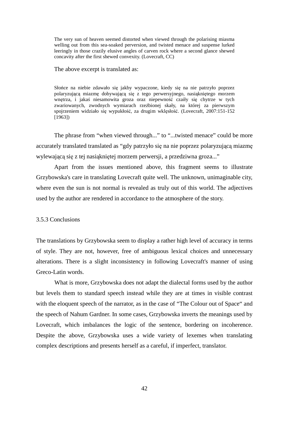The very sun of heaven seemed distorted when viewed through the polarising miasma welling out from this sea-soaked perversion, and twisted menace and suspense lurked leeringly in those crazily elusive angles of carven rock where a second glance shewed concavity after the first shewed convexity. (Lovecraft, CC)

The above excerpt is translated as:

Słońce na niebie zdawało się jakby wypaczone, kiedy się na nie patrzyło poprzez polaryzującą miazmę dobywającą się z tego perwersyjnego, nasiąkniętego morzem wnętrza, i jakaś niesamowita groza oraz niepewność czaiły się chytrze w tych zwariowanych, zwodnych wymiarach rzeźbionej skały, na której za pierwszym spojrzeniem widziało się wypukłość, za drugim wklęsłość. (Lovecraft, 2007:151-152 [1963])

The phrase from "when viewed through..." to "...twisted menace" could be more accurately translated translated as "gdy patrzyło się na nie poprzez polaryzującą miazmę wylewającą się z tej nasiąkniętej morzem perwersji, a przedziwna groza..."

Apart from the issues mentioned above, this fragment seems to illustrate Grzybowska's care in translating Lovecraft quite well. The unknown, unimaginable city, where even the sun is not normal is revealed as truly out of this world. The adjectives used by the author are rendered in accordance to the atmosphere of the story.

3.5.3 Conclusions

The translations by Grzybowska seem to display a rather high level of accuracy in terms of style. They are not, however, free of ambiguous lexical choices and unnecessary alterations. There is a slight inconsistency in following Lovecraft's manner of using Greco-Latin words.

What is more, Grzybowska does not adapt the dialectal forms used by the author but levels them to standard speech instead while they are at times in visible contrast with the eloquent speech of the narrator, as in the case of "The Colour out of Space" and the speech of Nahum Gardner. In some cases, Grzybowska inverts the meanings used by Lovecraft, which imbalances the logic of the sentence, bordering on incoherence. Despite the above, Grzybowska uses a wide variety of lexemes when translating complex descriptions and presents herself as a careful, if imperfect, translator.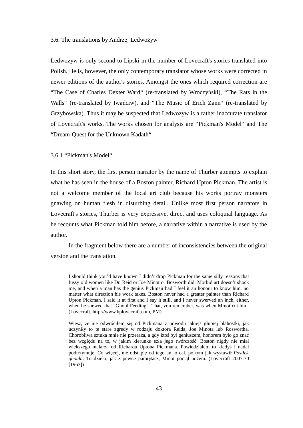#### 3.6. The translations by Andrzej Ledwożyw

Ledwożyw is only second to Lipski in the number of Lovecraft's stories translated into Polish. He is, however, the only contemporary translator whose works were corrected in newer editions of the author's stories. Amongst the ones which required correction are "The Case of Charles Dexter Ward" (re-translated by Wroczyński), "The Rats in the Walls" (re-translated by Iwańciw), and "The Music of Erich Zann" (re-translated by Grzybowska). Thus it may be suspected that Ledwożyw is a rather inaccurate translator of Lovecraft's works. The works chosen for analysis are "Pickman's Model" and The "Dream-Quest for the Unknown Kadath".

3.6.1 "Pickman's Model"

In this short story, the first person narrator by the name of Thurber attempts to explain what he has seen in the house of a Boston painter, Richard Upton Pickman. The artist is not a welcome member of the local art club because his works portray monsters gnawing on human flesh in disturbing detail. Unlike most first person narrators in Lovecraft's stories, Thurber is very expressive, direct and uses coloquial language. As he recounts what Pickman told him before, a narrative within a narrative is used by the author.

In the fragment below there are a number of inconsistencies between the original version and the translation.

I should think you'd have known I didn't drop Pickman for the same silly reasons that fussy old women like Dr. Reid or Joe Minot or Bosworth did. Morbid art doesn't shock me, and when a man has the genius Pickman had I feel it an honour to know him, no matter what direction his work takes. Boston never had a greater painter than Richard Upton Pickman. I said it at first and I say it still, and I never swerved an inch, either, when he shewed that "Ghoul Feeding". That, you remember, was when Minot cut him. (Lovecraft, http://www.hplovecraft.com, PM)

Wiesz, że nie odwróciłem się od Pickmana z powodu jakiejś głupiej błahostki, jak uczyniły to te stare zgredy w rodzaju doktora Reida, Joe Minota lub Roswortha. Chorobliwa sztuka mnie nie przeraża, a gdy ktoś był geniuszem, honorem było go znać bez względu na to, w jakim kierunku szła jego twórczość. Boston nigdy nie miał większego malarza od Richarda Uptona Pickmana. Powiedziałem to kiedyś i nadal podtrzymuję. Co więcej, nie odstąpię od tego ani o cal, po tym jak wystawił *Posiłek ghoula*. To dzieło, jak zapewne pamiętasz, Minot pociął nożem. (Lovecraft 2007:70 [1963])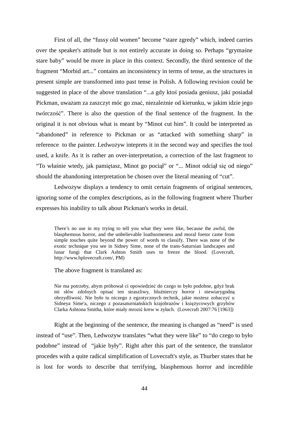First of all, the "fussy old women" become "stare zgredy" which, indeed carries over the speaker's attitude but is not entirely accurate in doing so. Perhaps "grymaśne stare baby" would be more in place in this context. Secondly, the third sentence of the fragment "Morbid art..." contains an inconsistency in terms of tense, as the structures in present simple are transformed into past tense in Polish. A following revision could be suggested in place of the above translation "...a gdy ktoś posiada geniusz, jaki posiadał Pickman, uważam za zaszczyt móc go znać, niezależnie od kierunku, w jakim idzie jego twórczość". There is also the question of the final sentence of the fragment. In the original it is not obvious what is meant by "Minot cut him". It could be interpreted as "abandoned" in reference to Pickman or as "attacked with something sharp" in reference to the painter. Ledwożyw inteprets it in the second way and specifies the tool used, a knife. As it is rather an over-interpretation, a correction of the last fragment to "To właśnie wtedy, jak pamiętasz, Minot go pociął" or "... Minot odciął się od niego" should the abandoning interpretation be chosen over the literal meaning of "cut".

Ledwożyw displays a tendency to omit certain fragments of original sentences, ignoring some of the complex descriptions, as in the following fragment where Thurber expresses his inability to talk about Pickman's works in detail.

There's no use in my trying to tell you what they were like, because the awful, the blasphemous horror, and the unbelievable loathsomeness and moral foetor came from simple touches quite beyond the power of words to classify. There was none of the exotic technique you see in Sidney Sime, none of the trans-Saturnian landscapes and lunar fungi that Clark Ashton Smith uses to freeze the blood. (Lovecraft, http://www.hplovecraft.com/, PM)

The above fragment is translated as:

Nie ma potrzeby, abym próbował ci opowiedzieć do czego to było podobne, gdyż brak mi słów zdolnych opisać ten straszliwy, bluźnierczy horror i niewiarygodną obrzydliwość. Nie było tu niczego z egzotycznych technik, jakie możesz zobaczyć u Sidneya Sime'a, niczego z pozasaturniańskich krajobrazów i księżycowych grzybów Clarka Ashtona Smitha, które miały mrozić krew w żyłach. (Lovecraft 2007:76 [1963])

Right at the beginning of the sentence, the meaning is changed as "need" is used instead of "use". Then, Ledwożyw translates "what they were like" to "do czego to było podobne" instead of "jakie były". Right after this part of the sentence, the translator procedes with a quite radical simplification of Lovecraft's style, as Thurber states that he is lost for words to describe that terrifying, blasphemous horror and incredible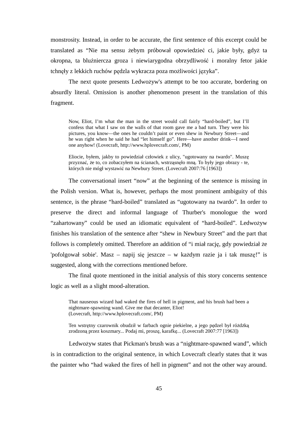monstrosity. Instead, in order to be accurate, the first sentence of this excerpt could be translated as "Nie ma sensu żebym próbował opowiedzieć ci, jakie były, gdyż ta okropna, ta bluźniercza groza i niewiarygodna obrzydliwość i moralny fetor jakie tchnęły z lekkich ruchów pędzla wykracza poza możliwości języka".

The next quote presents Ledwożyw's attempt to be too accurate, bordering on absurdly literal. Omission is another phenomenon present in the translation of this fragment.

Now, Eliot, I'm what the man in the street would call fairly "hard-boiled", but I'll confess that what I saw on the walls of that room gave me a bad turn. They were his pictures, you know—the ones he couldn't paint or even shew in Newbury Street—and he was right when he said he had "let himself go". Here—have another drink—I need one anyhow! (Lovecraft, http://www.hplovecraft.com/, PM)

Eliocie, byłem, jakby to powiedział człowiek z ulicy, "ugotowany na twardo". Muszę przyznać, że to, co zobaczyłem na ścianach, wstrząsnęło mną. To były jego obrazy - te, których nie mógł wystawić na Newbury Street. (Lovecraft 2007:76 [1963])

The conversational insert "now" at the beginning of the sentence is missing in the Polish version. What is, however, perhaps the most prominent ambiguity of this sentence, is the phrase "hard-boiled" translated as "ugotowany na twardo". In order to preserve the direct and informal language of Thurber's monologue the word "zahartowany" could be used an idiomatic equivalent of "hard-boiled". Ledwożyw finishes his translation of the sentence after "shew in Newbury Street" and the part that follows is completely omitted. Therefore an addition of "i miał rację, gdy powiedział że 'pofolgował sobie'. Masz – napij się jeszcze – w każdym razie ja i tak muszę!" is suggested, along with the corrections mentioned before.

The final quote mentioned in the initial analysis of this story concerns sentence logic as well as a slight mood-alteration.

That nauseous wizard had waked the fires of hell in pigment, and his brush had been a nightmare-spawning wand. Give me that decanter, Eliot! (Lovecraft, http://www.hplovecraft.com/, PM)

Ten wstrętny czarownik obudził w farbach ognie piekielne, a jego pędzel był różdżką zrodzoną przez koszmary... Podaj mi, proszę, karafkę... (Lovecraft 2007:77 [1963])

Ledwożyw states that Pickman's brush was a "nightmare-spawned wand", which is in contradiction to the original sentence, in which Lovecraft clearly states that it was the painter who "had waked the fires of hell in pigment" and not the other way around.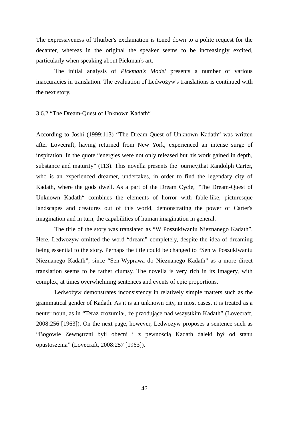The expressiveness of Thurber's exclamation is toned down to a polite request for the decanter, whereas in the original the speaker seems to be increasingly excited, particularly when speaking about Pickman's art.

The initial analysis of *Pickman's Model* presents a number of various inaccuracies in translation. The evaluation of Ledwożyw's translations is continued with the next story.

## 3.6.2 "The Dream-Quest of Unknown Kadath"

According to Joshi (1999:113) "The Dream-Quest of Unknown Kadath" was written after Lovecraft, having returned from New York, experienced an intense surge of inspiration. In the quote "energies were not only released but his work gained in depth, substance and maturity" (113). This novella presents the journey,that Randolph Carter, who is an experienced dreamer, undertakes, in order to find the legendary city of Kadath, where the gods dwell. As a part of the Dream Cycle, "The Dream-Quest of Unknown Kadath" combines the elements of horror with fable-like, picturesque landscapes and creatures out of this world, demonstrating the power of Carter's imagination and in turn, the capabilities of human imagination in general.

The title of the story was translated as "W Poszukiwaniu Nieznanego Kadath". Here, Ledwożyw omitted the word "dream" completely, despite the idea of dreaming being essential to the story. Perhaps the title could be changed to "Sen w Poszukiwaniu Nieznanego Kadath", since "Sen-Wyprawa do Nieznanego Kadath" as a more direct translation seems to be rather clumsy. The novella is very rich in its imagery, with complex, at times overwhelming sentences and events of epic proportions.

Ledwożyw demonstrates inconsistency in relatively simple matters such as the grammatical gender of Kadath. As it is an unknown city, in most cases, it is treated as a neuter noun, as in "Teraz zrozumiał, że przodujące nad wszystkim Kadath" (Lovecraft, 2008:256 [1963]). On the next page, however, Ledwożyw proposes a sentence such as "Bogowie Zewnętrzni byli obecni i z pewnością Kadath daleki był od stanu opustoszenia" (Lovecraft, 2008:257 [1963]).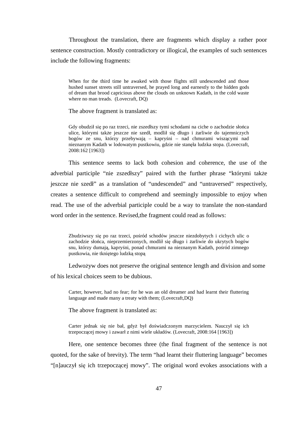Throughout the translation, there are fragments which display a rather poor sentence construction. Mostly contradictory or illogical, the examples of such sentences include the following fragments:

When for the third time he awaked with those flights still undescended and those hushed sunset streets still untraversed, he prayed long and earnestly to the hidden gods of dream that brood capricious above the clouds on unknown Kadath, in the cold waste where no man treads. (Lovecraft, DQ)

The above fragment is translated as:

Gdy obudził się po raz trzeci, nie zszedłszy tymi schodami na ciche o zachodzie słońca ulice, którymi także jeszcze nie szedł, modlił się długo i żarliwie do tajemniczych bogów ze snu, którzy przebywają – kapryśni – nad chmurami wiszącymi nad nieznanym Kadath w lodowatym pustkowiu, gdzie nie stanęła ludzka stopa. (Lovecraft, 2008:162 [1963])

This sentence seems to lack both cohesion and coherence, the use of the adverbial participle "nie zszedłszy" paired with the further phrase "którymi także jeszcze nie szedł" as a translation of "undescended" and "untraversed" respectively, creates a sentence difficult to comprehend and seemingly impossible to enjoy when read. The use of the adverbial participle could be a way to translate the non-standard word order in the sentence. Revised,the fragment could read as follows:

Zbudziwszy się po raz trzeci, pośród schodów jeszcze niezdobytych i cichych ulic o zachodzie słońca, nieprzemierzonych, modlił się długo i żarliwie do ukrytych bogów snu, którzy dumają, kapryśni, ponad chmurami na nieznanym Kadath, pośród zimnego pustkowia, nie tkniętego ludzką stopą

Ledwożyw does not preserve the original sentence length and division and some of his lexical choices seem to be dubious.

Carter, however, had no fear; for he was an old dreamer and had learnt their fluttering language and made many a treaty with them; (Lovecraft,DQ)

The above fragment is translated as:

Carter jednak się nie bał, gdyż był doświadczonym marzycielem. Nauczył się ich trzepoczącej mowy i zawarł z nimi wiele układów. (Lovecraft, 2008:164 [1963])

Here, one sentence becomes three (the final fragment of the sentence is not quoted, for the sake of brevity). The term "had learnt their fluttering language" becomes "[n]auczył się ich trzepoczącej mowy". The original word evokes associations with a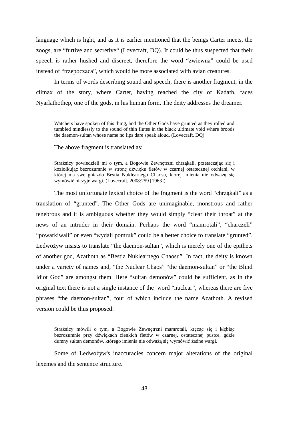language which is light, and as it is earlier mentioned that the beings Carter meets, the zoogs, are "furtive and secretive" (Lovecraft, DQ). It could be thus suspected that their speech is rather hushed and discreet, therefore the word "zwiewna" could be used instead of "trzepocząca", which would be more associated with avian creatures.

In terms of words describing sound and speech, there is another fragment, in the climax of the story, where Carter, having reached the city of Kadath, faces Nyarlathothep, one of the gods, in his human form. The deity addresses the dreamer.

Watchers have spoken of this thing, and the Other Gods have grunted as they rolled and tumbled mindlessly to the sound of thin flutes in the black ultimate void where broods the daemon-sultan whose name no lips dare speak aloud. (Lovecraft, DQ)

The above fragment is translated as:

Strażnicy powiedzieli mi o tym, a Bogowie Zewnętrzni chrząkali, przetaczając się i koziołkując bezrozumnie w stronę dźwięku fletów w czarnej ostatecznej otchłani, w której ma swe gniazdo Bestia Nuklearnego Chaosu, której imienia nie odważą się wymówić niczyje wargi. (Lovecraft, 2008:259 [1963])

The most unfortunate lexical choice of the fragment is the word "chrząkali" as a translation of "grunted". The Other Gods are unimaginable, monstrous and rather tenebrous and it is ambiguous whether they would simply "clear their throat" at the news of an intruder in their domain. Perhaps the word "mamrotali", "charczeli" "powarkiwali" or even "wydali pomruk" could be a better choice to translate "grunted". Ledwożyw insists to translate "the daemon-sultan", which is merely one of the epithets of another god, Azathoth as "Bestia Nuklearnego Chaosu". In fact, the deity is known under a variety of names and, "the Nuclear Chaos" "the daemon-sultan" or "the Blind Idiot God" are amongst them. Here "sułtan demonów" could be sufficient, as in the original text there is not a single instance of the word "nuclear", whereas there are five phrases "the daemon-sultan", four of which include the name Azathoth. A revised version could be thus proposed:

Strażnicy mówili o tym, a Bogowie Zewnętrzni mamrotali, kręcąc się i kłębiąc bezrozumnie przy dźwiękach cienkich fletów w czarnej, ostatecznej pustce, gdzie dumny sułtan demonów, którego imienia nie odważą się wymówić żadne wargi.

Some of Ledwożyw's inaccuracies concern major alterations of the original lexemes and the sentence structure.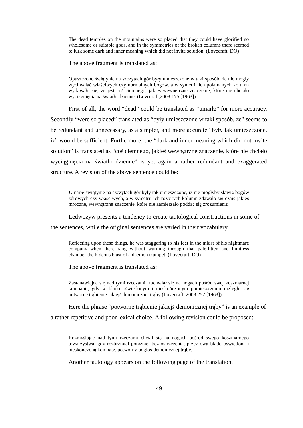The dead temples on the mountains were so placed that they could have glorified no wholesome or suitable gods, and in the symmetries of the broken columns there seemed to lurk some dark and inner meaning which did not invite solution. (Lovecraft, DQ)

The above fragment is translated as:

Opuszczone świątynie na szczytach gór były umieszczone w taki sposób, że nie mogły wychwalać właściwych czy normalnych bogów, a w symetrii ich połamanych kolumn wydawało się, że jest coś ciemnego, jakieś wewnętrzne znaczenie, które nie chciało wyciągnięcia na światło dzienne. (Lovecraft,2008:175 [1963])

First of all, the word "dead" could be translated as "umarłe" for more accuracy. Secondly "were so placed" translated as "były umieszczone w taki sposób, że" seems to be redundant and unnecessary, as a simpler, and more accurate "były tak umieszczone, iż" would be sufficient. Furthermore, the "dark and inner meaning which did not invite solution" is translated as "coś ciemnego, jakieś wewnętrzne znaczenie, które nie chciało wyciągnięcia na światło dzienne" is yet again a rather redundant and exaggerated structure. A revision of the above sentence could be:

Umarłe świątynie na szczytach gór były tak umieszczone, iż nie mogłyby sławić bogów zdrowych czy właściwych, a w symetrii ich rozbitych kolumn zdawało się czaić jakieś mroczne, wewnętrzne znaczenie, które nie zamierzało poddać się zrozumieniu.

Ledwożyw presents a tendency to create tautological constructions in some of

the sentences, while the original sentences are varied in their vocabulary.

Reflecting upon these things, he was staggering to his feet in the midst of his nightmare company when there rang without warning through that pale-litten and limitless chamber the hideous blast of a daemon trumpet. (Lovecraft, DQ)

The above fragment is translated as:

Zastanawiając się nad tymi rzeczami, zachwiał się na nogach pośród swej koszmarnej kompanii, gdy w blado oświetlonym i nieskończonym pomieszczeniu rozległo się potworne trąbienie jakiejś demonicznej trąby (Lovecraft, 2008:257 [1963])

Here the phrase "potworne trąbienie jakiejś demonicznej trąby" is an example of

a rather repetitive and poor lexical choice. A following revision could be proposed:

Rozmyślając nad tymi rzeczami chciał się na nogach pośród swego koszmarnego towarzystwa, gdy rozbrzmiał potężnie, bez ostrzeżenia, przez ową blado oświetloną i nieskończoną komnatę, potworny odgłos demonicznej trąby.

Another tautology appears on the following page of the translation.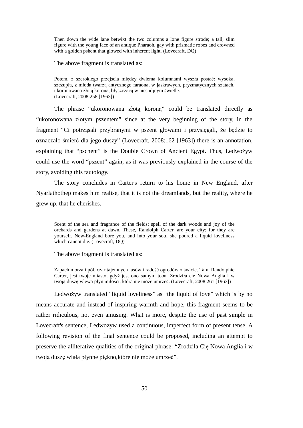Then down the wide lane betwixt the two columns a lone figure strode; a tall, slim figure with the young face of an antique Pharaoh, gay with prismatic robes and crowned with a golden pshent that glowed with inherent light. (Lovecraft, DQ)

The above fragment is translated as:

Potem, z szerokiego przejścia między dwiema kolumnami wyszła postać: wysoka, szczupła, z młodą twarzą antycznego faraona, w jaskrawych, pryzmatycznych szatach, ukoronowana złotą koroną, błyszczącą w niespójnym świetle. (Lovecraft, 2008:258 [1963])

The phrase "ukoronowana złotą koroną" could be translated directly as "ukoronowana złotym pszentem" since at the very beginning of the story, in the fragment "Ci potrząsali przybranymi w pszent głowami i przysięgali, że będzie to oznaczało śmierć dla jego duszy" (Lovecraft, 2008:162 [1963]) there is an annotation, explaining that "pschent" is the Double Crown of Ancient Egypt. Thus, Ledwożyw could use the word "pszent" again, as it was previously explained in the course of the story, avoiding this tautology.

The story concludes in Carter's return to his home in New England, after Nyarlathothep makes him realise, that it is not the dreamlands, but the reality, where he grew up, that he cherishes.

Scent of the sea and fragrance of the fields; spell of the dark woods and joy of the orchards and gardens at dawn. These, Randolph Carter, are your city; for they are yourself. New-England bore you, and into your soul she poured a liquid loveliness which cannot die. (Lovecraft, DQ)

The above fragment is translated as:

Zapach morza i pól, czar tajemnych lasów i radość ogrodów o świcie. Tam, Randolphie Carter, jest twoje miasto, gdyż jest ono samym tobą. Zrodziła cię Nowa Anglia i w twoją duszę wlewa płyn miłości, która nie może umrzeć. (Lovecraft, 2008:261 [1963])

Ledwożyw translated "liquid loveliness" as "the liquid of love" which is by no means accurate and instead of inspiring warmth and hope, this fragment seems to be rather ridiculous, not even amusing. What is more, despite the use of past simple in Lovecraft's sentence, Ledwożyw used a continuous, imperfect form of present tense. A following revision of the final sentence could be proposed, including an attempt to preserve the alliterative qualities of the original phrase: "Zrodziła Cię Nowa Anglia i w twoją duszę wlała płynne piękno,które nie może umrzeć".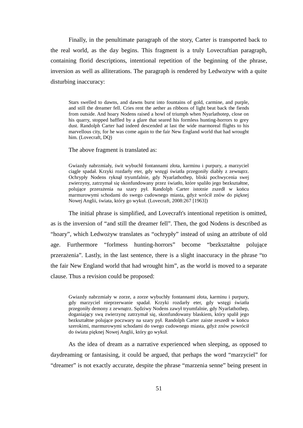Finally, in the penultimate paragraph of the story, Carter is transported back to the real world, as the day begins. This fragment is a truly Lovecraftian paragraph, containing florid descriptions, intentional repetition of the beginning of the phrase, inversion as well as alliterations. The paragraph is rendered by Ledwożyw with a quite disturbing inaccuracy:

Stars swelled to dawns, and dawns burst into fountains of gold, carmine, and purple, and still the dreamer fell. Cries rent the aether as ribbons of light beat back the fiends from outside. And hoary Nodens raised a howl of triumph when Nyarlathotep, close on his quarry, stopped baffled by a glare that seared his formless hunting-horrors to grey dust. Randolph Carter had indeed descended at last the wide marmoreal flights to his marvellous city, for he was come again to the fair New England world that had wrought him. (Lovecraft, DQ)

The above fragment is translated as:

Gwiazdy nabrzmiały, świt wybuchł fontannami złota, karminu i purpury, a marzyciel ciągle spadał. Krzyki rozdarły eter, gdy wstęgi światła przegoniły diabły z zewnątrz. Ochrypły Nodens ryknął tryumfalnie, gdy Nyarlathothep, bliski pochwycenia swej zwierzyny, zatrzymał się skonfundowany przez światło, które spaliło jego bezkształtne, polujące przerażenia na szary pył. Randolph Carter istotnie zszedł w końcu marmurowymi schodami do swego cudownego miasta, gdyż wrócił znów do pięknej Nowej Anglii, świata, który go wykuł. (Lovecraft, 2008:267 [1963])

The initial phrase is simplified, and Lovecraft's intentional repetition is omitted, as is the inversion of "and still the dreamer fell". Then, the god Nodens is described as "hoary", which Ledwożyw translates as "ochrypły" instead of using an attribute of old age. Furthermore "forlmess hunting-horrors" become "bezkształtne polujące przerażenia". Lastly, in the last sentence, there is a slight inaccuracy in the phrase "to the fair New England world that had wrought him", as the world is moved to a separate clause. Thus a revision could be proposed:

Gwiazdy nabrzmiały w zorze, a zorze wybuchły fontannami złota, karminu i purpury, gdy marzyciel nieprzerwanie spadał. Krzyki rozdarły eter, gdy wstęgi światła przegoniły demony z zewnątrz. Sędziwy Nodens zawył tryumfalnie, gdy Nyarlathothep, doganiający swą zwierzynę zatrzymał się, skonfundowany blaskiem, który spalił jego bezkształtne polujące poczwary na szary pył. Randolph Carter zaiste zeszedł w końcu szerokimi, marmurowymi schodami do swego cudownego miasta, gdyż znów powrócił do świata pięknej Nowej Anglii, który go wykuł.

As the idea of dream as a narrative experienced when sleeping, as opposed to daydreaming or fantasising, it could be argued, that perhaps the word "marzyciel" for "dreamer" is not exactly accurate, despite the phrase "marzenia senne" being present in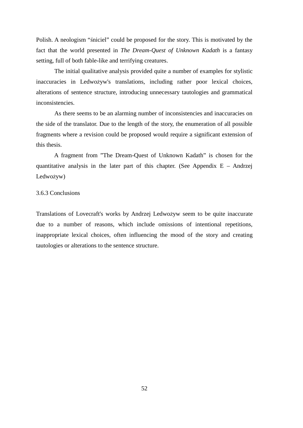Polish. A neologism "śniciel" could be proposed for the story. This is motivated by the fact that the world presented in *The Dream-Quest of Unknown Kadath* is a fantasy setting, full of both fable-like and terrifying creatures.

The initial qualitative analysis provided quite a number of examples for stylistic inaccuracies in Ledwożyw's translations, including rather poor lexical choices, alterations of sentence structure, introducing unnecessary tautologies and grammatical inconsistencies.

As there seems to be an alarming number of inconsistencies and inaccuracies on the side of the translator. Due to the length of the story, the enumeration of all possible fragments where a revision could be proposed would require a significant extension of this thesis.

A fragment from "The Dream-Quest of Unknown Kadath" is chosen for the quantitative analysis in the later part of this chapter. (See Appendix  $E -$  Andrzej Ledwożyw)

### 3.6.3 Conclusions

Translations of Lovecraft's works by Andrzej Ledwożyw seem to be quite inaccurate due to a number of reasons, which include omissions of intentional repetitions, inappropriate lexical choices, often influencing the mood of the story and creating tautologies or alterations to the sentence structure.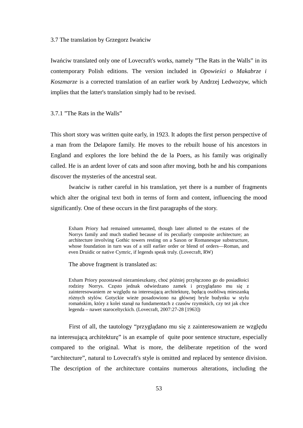#### 3.7 The translation by Grzegorz Iwańciw

Iwańciw translated only one of Lovecraft's works, namely "The Rats in the Walls" in its contemporary Polish editions. The version included in *Opowie*ś*ci o Makabrze i Koszmarze* is a corrected translation of an earlier work by Andrzej Ledwożyw, which implies that the latter's translation simply had to be revised.

3.7.1 "The Rats in the Walls"

This short story was written quite early, in 1923. It adopts the first person perspective of a man from the Delapore family. He moves to the rebuilt house of his ancestors in England and explores the lore behind the de la Poers, as his family was originally called. He is an ardent lover of cats and soon after moving, both he and his companions discover the mysteries of the ancestral seat.

Iwańciw is rather careful in his translation, yet there is a number of fragments which alter the original text both in terms of form and content, influencing the mood significantly. One of these occurs in the first paragraphs of the story.

Exham Priory had remained untenanted, though later allotted to the estates of the Norrys family and much studied because of its peculiarly composite architecture; an architecture involving Gothic towers resting on a Saxon or Romanesque substructure, whose foundation in turn was of a still earlier order or blend of orders—Roman, and even Druidic or native Cymric, if legends speak truly. (Lovecraft, RW)

The above fragment is translated as:

Exham Priory pozostawał niezamieszkany, choć później przyłączono go do posiadłości rodziny Norrys. Często jednak odwiedzano zamek i przyglądano mu się z zainteresowaniem ze względu na interesującą architekturę, będącą osobliwą mieszanką różnych stylów. Gotyckie wieże posadowiono na głównej bryle budynku w stylu romańskim, który z kolei stanął na fundamentach z czasów rzymskich, czy też jak chce legenda – nawet staroceltyckich. (Lovecraft, 2007:27-28 [1963])

First of all, the tautology "przyglądano mu się z zainteresowaniem ze względu na interesującą architekturę" is an example of quite poor sentence structure, especially compared to the original. What is more, the deliberate repetition of the word "architecture", natural to Lovecraft's style is omitted and replaced by sentence division. The description of the architecture contains numerous alterations, including the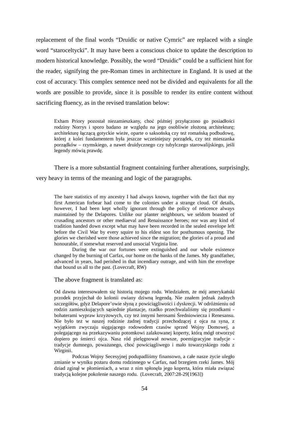replacement of the final words "Druidic or native Cymric" are replaced with a single word "staroceltycki". It may have been a conscious choice to update the description to modern historical knowledge. Possibly, the word "Druidic" could be a sufficient hint for the reader, signifying the pre-Roman times in architecture in England. It is used at the cost of accuracy. This complex sentence need not be divided and equivalents for all the words are possible to provide, since it is possible to render its entire content without sacrificing fluency, as in the revised translation below:

Exham Priory pozostał niezamieszkany, choć później przyłączono go posiadłości rodziny Norrys i sporo badano ze względu na jego osobliwie złożoną architekturę; architekturę łączącą gotyckie wieże, oparte o saksońską czy też romańską podbudowę, której z kolei fundamentem była jeszcze wcześniejszy porządek, czy też mieszanka porządków – rzymskiego, a nawet druidycznego czy tubylczego starowalijskiego, jeśli legendy mówią prawdę.

There is a more substantial fragment containing further alterations, surprisingly, very heavy in terms of the meaning and logic of the paragraphs.

The bare statistics of my ancestry I had always known, together with the fact that my first American forbear had come to the colonies under a strange cloud. Of details, however, I had been kept wholly ignorant through the policy of reticence always maintained by the Delapores. Unlike our planter neighbours, we seldom boasted of crusading ancestors or other mediaeval and Renaissance heroes; nor was any kind of tradition handed down except what may have been recorded in the sealed envelope left before the Civil War by every squire to his eldest son for posthumous opening. The glories we cherished were those achieved since the migration; the glories of a proud and honourable, if somewhat reserved and unsocial Virginia line.

During the war our fortunes were extinguished and our whole existence changed by the burning of Carfax, our home on the banks of the James. My grandfather, advanced in years, had perished in that incendiary outrage, and with him the envelope that bound us all to the past. (Lovecraft, RW)

The above fragment is translated as:

Od dawna interesowałem się historią mojego rodu. Wiedziałem, że mój amerykański przodek przyjechał do kolonii owiany dziwną legendą. Nie znałem jednak żadnych szczegółów, gdyż Delapore'owie słyną z powściągliwości i dyskrecji. W odróżnieniu od rodzin zamieszkujących sąsiednie plantacje, rzadko przechwalaliśmy się przodkami bohaterami wypraw krzyżowych, czy też innymi herosami Średniowiecza i Renesansu. Nie było też w naszej rodzinie żadnej tradycji przechodzącej z ojca na syna, z wyjątkiem zwyczaju sięgającego rodowodem czasów sprzed Wojny Domowej, a polegającego na przekazywaniu potomkowi zalakowanej koperty, którą mógł otworzyć dopiero po śmierci ojca. Nasz ród pielęgnował nowsze, poemigracyjne tradycje tradycje dumnego, poważanego, choć powściągliwego i mało towarzyskiego rodu z Wirginii.

Podczas Wojny Secesyjnej podupadliśmy finansowo, a całe nasze życie uległo zmianie w wyniku pożaru domu rodzinnego w Carfax, nad brzegiem rzeki James. Mój dziad zginął w płomieniach, a wraz z nim spłonęła jego koperta, która miała związać tradycją kolejne pokolenie naszego rodu. (Lovecraft, 2007:28-29[1963])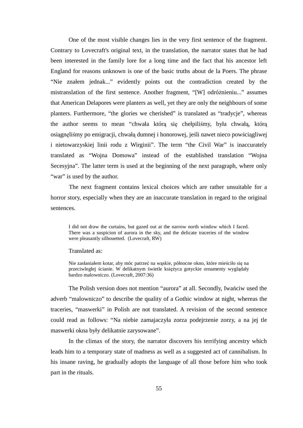One of the most visible changes lies in the very first sentence of the fragment. Contrary to Lovecraft's original text, in the translation, the narrator states that he had been interested in the family lore for a long time and the fact that his ancestor left England for reasons unknown is one of the basic truths about de la Poers. The phrase "Nie znałem jednak..." evidently points out the contradiction created by the mistranslation of the first sentence. Another fragment, "[W] odróżnieniu..." assumes that American Delapores were planters as well, yet they are only the neighbours of some planters. Furthermore, "the glories we cherished" is translated as "tradycje", whereas the author seems to mean "chwała którą się chełpiliśmy, była chwałą, którą osiągnęliśmy po emigracji, chwałą dumnej i honorowej, jeśli nawet nieco powściągliwej i nietowarzyskiej linii rodu z Wirginii". The term "the Civil War" is inaccurately translated as "Wojna Domowa" instead of the established translation "Wojna Secesyjna". The latter term is used at the beginning of the next paragraph, where only "war" is used by the author.

The next fragment contains lexical choices which are rather unsuitable for a horror story, especially when they are an inaccurate translation in regard to the original sentences.

I did not draw the curtains, but gazed out at the narrow north window which I faced. There was a suspicion of aurora in the sky, and the delicate traceries of the window were pleasantly silhouetted. (Lovecraft, RW)

Translated as:

Nie zasłaniałem kotar, aby móc patrzeć na wąskie, północne okno, które mieściło się na przeciwległej ścianie. W delikatnym świetle księżyca gotyckie ornamenty wyglądały bardzo malowniczo. (Lovecraft, 2007:36)

The Polish version does not mention "aurora" at all. Secondly, Iwańciw used the adverb "malowniczo" to describe the quality of a Gothic window at night, whereas the traceries, "maswerki" in Polish are not translated. A revision of the second sentence could read as follows: "Na niebie zamajaczyła zorza podejrzenie zorzy, a na jej tle maswerki okna były delikatnie zarysowane".

In the climax of the story, the narrator discovers his terrifying ancestry which leads him to a temporary state of madness as well as a suggested act of cannibalism. In his insane raving, he gradually adopts the language of all those before him who took part in the rituals.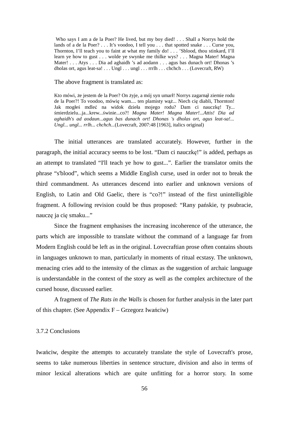Who says I am a de la Poer? He lived, but my boy died! . . . Shall a Norrys hold the lands of a de la Poer? . . . It's voodoo, I tell you . . . that spotted snake . . . Curse you, Thornton, I'll teach you to faint at what my family do! . . . 'Sblood, thou stinkard, I'll learn ye how to gust . . . wolde ye swynke me thilke wys? . . . Magna Mater! Magna Mater! . . . Atys . . . Dia ad aghaidh 's ad aodann . . . agus bas dunach ort! Dhonas 's dholas ort, agus leat-sa! . . . Ungl . . . ungl . . . rrrlh . . . chchch . . . (Lovecraft, RW)

The above fragment is translated as:

Kto mówi, że jestem de la Poer? On żyje, a mój syn umarł! Norrys zagarnął ziemie rodu de la Poer?! To voodoo, mówię wam.... ten plamisty wąż... Niech cię diabli, Thornton! Jak mogłeś mdleć na widok dzieła mojego rodu? Dam ci nauczkę! Ty... śmierdzielu...ja...krew...świnie...co?! *Magna Mater! Magna Mater!...Attis! Dia ad aghaidh's ad aodaun...agus bas dunach ort! Dhonas 's dholas ort, agus leat-sa!... Ungl... ungl... rrlh... chchch...*(Lovecraft, 2007:48 [1963], italics original)

The initial utterances are translated accurately. However, further in the paragraph, the initial accuracy seems to be lost. "Dam ci nauczkę!" is added, perhaps as an attempt to translated "I'll teach ye how to gust...". Earlier the translator omits the phrase "s'blood", which seems a Middle English curse, used in order not to break the third commandment. As utterances descend into earlier and unknown versions of English, to Latin and Old Gaelic, there is "co?!" instead of the first unintelligible fragment. A following revision could be thus proposed: "Rany pańskie, ty psubracie, naucze ja cię smaku..."

Since the fragment emphasises the increasing incoherence of the utterance, the parts which are impossible to translate without the command of a language far from Modern English could be left as in the original. Lovecraftian prose often contains shouts in languages unknown to man, particularly in moments of ritual ecstasy. The unknown, menacing cries add to the intensity of the climax as the suggestion of archaic language is understandable in the context of the story as well as the complex architecture of the cursed house, discussed earlier.

A fragment of *The Rats in the Walls* is chosen for further analysis in the later part of this chapter. (See Appendix F – Grzegorz Iwańciw)

### 3.7.2 Conclusions

Iwańciw, despite the attempts to accurately translate the style of Lovecraft's prose, seems to take numerous liberties in sentence structure, division and also in terms of minor lexical alterations which are quite unfitting for a horror story. In some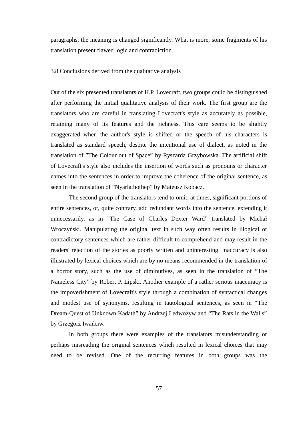paragraphs, the meaning is changed significantly. What is more, some fragments of his translation present flawed logic and contradiction.

3.8 Conclusions derived from the qualitative analysis

Out of the six presented translators of H.P. Lovecraft, two groups could be distinguished after performing the initial qualitative analysis of their work. The first group are the translators who are careful in translating Lovecraft's style as accurately as possible, retaining many of its features and the richness. This care seems to be slightly exaggerated when the author's style is shifted or the speech of his characters is translated as standard speech, despite the intentional use of dialect, as noted in the translation of "The Colour out of Space" by Ryszarda Grzybowska. The artificial shift of Lovecraft's style also includes the insertion of words such as pronouns or character names into the sentences in order to improve the coherence of the original sentence, as seen in the translation of "Nyarlathothep" by Mateusz Kopacz.

The second group of the translators tend to omit, at times, significant portions of entire sentences, or, quite contrary, add redundant words into the sentence, extending it unnecessarily, as in "The Case of Charles Dexter Ward" translated by Michał Wroczyński. Manipulating the original text in such way often results in illogical or contradictory sentences which are rather difficult to comprehend and may result in the readers' rejection of the stories as poorly written and uninteresting. Inaccuracy is also illustrated by lexical choices which are by no means recommended in the translation of a horror story, such as the use of diminutives, as seen in the translation of "The Nameless City" by Robert P. Lipski. Another example of a rather serious inaccuracy is the impoverishment of Lovecraft's style through a combination of syntactical changes and modest use of synonyms, resulting in tautological sentences, as seen in "The Dream-Quest of Unknown Kadath" by Andrzej Ledwożyw and "The Rats in the Walls" by Grzegorz Iwańciw.

In both groups there were examples of the translators misunderstanding or perhaps misreading the original sentences which resulted in lexical choices that may need to be revised. One of the recurring features in both groups was the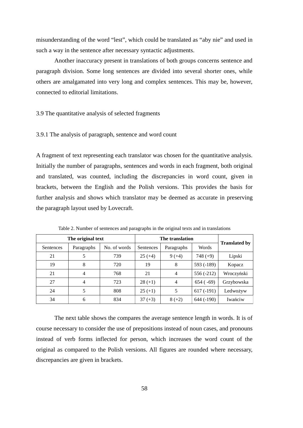misunderstanding of the word "lest", which could be translated as "aby nie" and used in such a way in the sentence after necessary syntactic adjustments.

Another inaccuracy present in translations of both groups concerns sentence and paragraph division. Some long sentences are divided into several shorter ones, while others are amalgamated into very long and complex sentences. This may be, however, connected to editorial limitations.

3.9 The quantitative analysis of selected fragments

3.9.1 The analysis of paragraph, sentence and word count

A fragment of text representing each translator was chosen for the quantitative analysis. Initially the number of paragraphs, sentences and words in each fragment, both original and translated, was counted, including the discrepancies in word count, given in brackets, between the English and the Polish versions. This provides the basis for further analysis and shows which translator may be deemed as accurate in preserving the paragraph layout used by Lovecraft.

| The original text |                |              | The translation |            |             |                      |  |
|-------------------|----------------|--------------|-----------------|------------|-------------|----------------------|--|
| Sentences         | Paragraphs     | No. of words | Sentences       | Paragraphs | Words       | <b>Translated by</b> |  |
| 21                | 5              | 739          | $25 (+4)$       | $9 (+4)$   | 748 $(+9)$  | Lipski               |  |
| 19                | 8              | 720          | 19              | 8          | 593 (-189)  | Kopacz               |  |
| 21                | $\overline{4}$ | 768          | 21              | 4          | 556 (-212)  | Wroczyński           |  |
| 27                | $\overline{4}$ | 723          | $28 (+1)$       | 4          | $654(-69)$  | Grzybowska           |  |
| 24                | 5              | 808          | $25 (+1)$       | 5          | $617(-191)$ | Ledwożyw             |  |
| 34                | 6              | 834          | $37 (+3)$       | $8 (+2)$   | 644 (-190)  | Iwańciw              |  |

Table 2. Number of sentences and paragraphs in the original texts and in translations

The next table shows the compares the average sentence length in words. It is of course necessary to consider the use of prepositions instead of noun cases, and pronouns instead of verb forms inflected for person, which increases the word count of the original as compared to the Polish versions. All figures are rounded where necessary, discrepancies are given in brackets.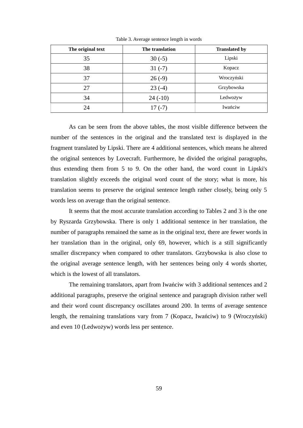| The original text | The translation | <b>Translated by</b> |  |
|-------------------|-----------------|----------------------|--|
| 35                | $30(-5)$        | Lipski               |  |
| 38                | $31(-7)$        | Kopacz               |  |
| 37                | $26(-9)$        | Wroczyński           |  |
| 27                | $23(-4)$        | Grzybowska           |  |
| 34                | $24(-10)$       | Ledwożyw             |  |
| 24                | $17(-7)$        | Iwańciw              |  |

Table 3. Average sentence length in words

As can be seen from the above tables, the most visible difference between the number of the sentences in the original and the translated text is displayed in the fragment translated by Lipski. There are 4 additional sentences, which means he altered the original sentences by Lovecraft. Furthermore, he divided the original paragraphs, thus extending them from 5 to 9. On the other hand, the word count in Lipski's translation slightly exceeds the original word count of the story; what is more, his translation seems to preserve the original sentence length rather closely, being only 5 words less on average than the original sentence.

It seems that the most accurate translation according to Tables 2 and 3 is the one by Ryszarda Grzybowska. There is only 1 additional sentence in her translation, the number of paragraphs remained the same as in the original text, there are fewer words in her translation than in the original, only 69, however, which is a still significantly smaller discrepancy when compared to other translators. Grzybowska is also close to the original average sentence length, with her sentences being only 4 words shorter, which is the lowest of all translators.

The remaining translators, apart from Iwańciw with 3 additional sentences and 2 additional paragraphs, preserve the original sentence and paragraph division rather well and their word count discrepancy oscillates around 200. In terms of average sentence length, the remaining translations vary from 7 (Kopacz, Iwańciw) to 9 (Wroczyński) and even 10 (Ledwożyw) words less per sentence.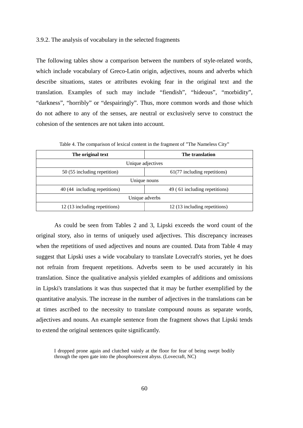#### 3.9.2. The analysis of vocabulary in the selected fragments

The following tables show a comparison between the numbers of style-related words, which include vocabulary of Greco-Latin origin, adjectives, nouns and adverbs which describe situations, states or attributes evoking fear in the original text and the translation. Examples of such may include "fiendish", "hideous", "morbidity", "darkness", "horribly" or "despairingly". Thus, more common words and those which do not adhere to any of the senses, are neutral or exclusively serve to construct the cohesion of the sentences are not taken into account.

| The original text             | The translation                 |  |  |  |
|-------------------------------|---------------------------------|--|--|--|
| Unique adjectives             |                                 |  |  |  |
| 50 (55 including repetition)  | $61(77)$ including repetitions) |  |  |  |
| Unique nouns                  |                                 |  |  |  |
| 40 (44 including repetitions) | 49 (61 including repetitions)   |  |  |  |
| Unique adverbs                |                                 |  |  |  |
| 12 (13 including repetitions) | 12 (13 including repetitions)   |  |  |  |

Table 4. The comparison of lexical content in the fragment of "The Nameless City"

As could be seen from Tables 2 and 3, Lipski exceeds the word count of the original story, also in terms of uniquely used adjectives. This discrepancy increases when the repetitions of used adjectives and nouns are counted. Data from Table 4 may suggest that Lipski uses a wide vocabulary to translate Lovecraft's stories, yet he does not refrain from frequent repetitions. Adverbs seem to be used accurately in his translation. Since the qualitative analysis yielded examples of additions and omissions in Lipski's translations it was thus suspected that it may be further exemplified by the quantitative analysis. The increase in the number of adjectives in the translations can be at times ascribed to the necessity to translate compound nouns as separate words, adjectives and nouns. An example sentence from the fragment shows that Lipski tends to extend the original sentences quite significantly.

I dropped prone again and clutched vainly at the floor for fear of being swept bodily through the open gate into the phosphorescent abyss. (Lovecraft, NC)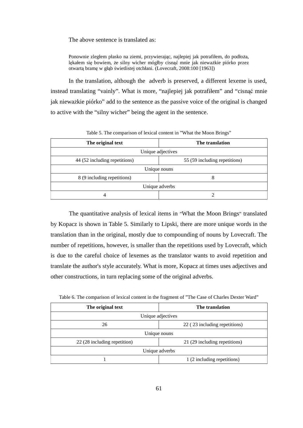The above sentence is translated as:

Ponownie zległem płasko na ziemi, przywierając, najlepiej jak potrafiłem, do podłoża, lękałem się bowiem, że silny wicher mógłby cisnąć mnie jak nieważkie piórko przez otwartą bramę w głąb świetlistej otchłani. (Lovecraft, 2008:100 [1963])

In the translation, although the adverb is preserved, a different lexeme is used, instead translating "vainly". What is more, "najlepiej jak potrafiłem" and "cisnąć mnie jak nieważkie piórko" add to the sentence as the passive voice of the original is changed to active with the "silny wicher" being the agent in the sentence.

| The original text             | The translation               |  |  |  |
|-------------------------------|-------------------------------|--|--|--|
| Unique adjectives             |                               |  |  |  |
| 44 (52 including repetitions) | 55 (59 including repetitions) |  |  |  |
| Unique nouns                  |                               |  |  |  |
| 8 (9 including repetitions)   | 8                             |  |  |  |
| Unique adverbs                |                               |  |  |  |
| 4                             |                               |  |  |  |

Table 5. The comparison of lexical content in "What the Moon Brings"

The quantitative analysis of lexical items in "What the Moon Brings" translated by Kopacz is shown in Table 5. Similarly to Lipski, there are more unique words in the translation than in the original, mostly due to compounding of nouns by Lovecraft. The number of repetitions, however, is smaller than the repetitions used by Lovecraft, which is due to the careful choice of lexemes as the translator wants to avoid repetition and translate the author's style accurately. What is more, Kopacz at times uses adjectives and other constructions, in turn replacing some of the original adverbs.

|  |  | Table 6. The comparison of lexical content in the fragment of "The Case of Charles Dexter Ward" |  |  |  |  |
|--|--|-------------------------------------------------------------------------------------------------|--|--|--|--|
|  |  |                                                                                                 |  |  |  |  |

| The original text            | The translation               |  |  |  |
|------------------------------|-------------------------------|--|--|--|
|                              |                               |  |  |  |
|                              | Unique adjectives             |  |  |  |
| 26                           | 22 (23 including repetitions) |  |  |  |
| Unique nouns                 |                               |  |  |  |
| 22 (28 including repetition) | 21 (29 including repetitions) |  |  |  |
| Unique adverbs               |                               |  |  |  |
|                              | 1 (2 including repetitions)   |  |  |  |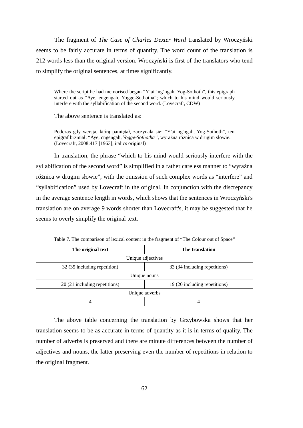The fragment of *The Case of Charles Dexter Ward* translated by Wroczyński seems to be fairly accurate in terms of quantity. The word count of the translation is 212 words less than the original version. Wroczyński is first of the translators who tend to simplify the original sentences, at times significantly.

Where the script he had memorised began "Y'ai 'ng'ngah, Yog-Sothoth", this epigraph started out as "Aye, engengah, Yogge-Sothotha"; which to his mind would seriously interfere with the syllabification of the second word. (Lovecraft, CDW)

The above sentence is translated as:

Podczas gdy wersja, którą pamiętał, zaczynała się: "Y'ai ng'ngah, Yog-Sothoth", ten epigraf brzmiał: "Aye, cngengah, *Yogge-Sothotha",* wyraźna różnica w drugim słowie. (Lovecraft, 2008:417 [1963], italics original)

In translation, the phrase "which to his mind would seriously interfere with the syllabification of the second word" is simplified in a rather careless manner to "wyraźna" różnica w drugim słowie", with the omission of such complex words as "interfere" and "syllabification" used by Lovecraft in the original. In conjunction with the discrepancy in the average sentence length in words, which shows that the sentences in Wroczyński's translation are on average 9 words shorter than Lovecraft's, it may be suggested that he seems to overly simplify the original text.

| The original text             | The translation               |  |  |  |
|-------------------------------|-------------------------------|--|--|--|
| Unique adjectives             |                               |  |  |  |
| 32 (35 including repetition)  | 33 (34 including repetitions) |  |  |  |
| Unique nouns                  |                               |  |  |  |
| 20 (21 including repetitions) | 19 (20 including repetitions) |  |  |  |
| Unique adverbs                |                               |  |  |  |
| 4                             |                               |  |  |  |

Table 7. The comparison of lexical content in the fragment of "The Colour out of Space"

The above table concerning the translation by Grzybowska shows that her translation seems to be as accurate in terms of quantity as it is in terms of quality. The number of adverbs is preserved and there are minute differences between the number of adjectives and nouns, the latter preserving even the number of repetitions in relation to the original fragment.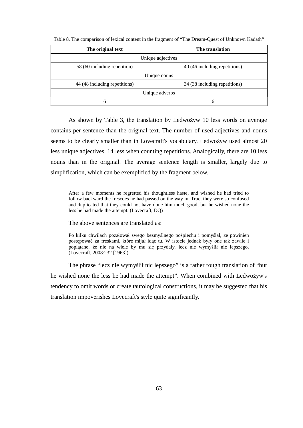| The original text             | The translation               |  |  |  |
|-------------------------------|-------------------------------|--|--|--|
|                               | Unique adjectives             |  |  |  |
| 58 (60 including repetition)  | 40 (46 including repetitions) |  |  |  |
| Unique nouns                  |                               |  |  |  |
| 44 (48 including repetitions) | 34 (38 including repetitions) |  |  |  |
| Unique adverbs                |                               |  |  |  |
| 6                             | 6                             |  |  |  |

Table 8. The comparison of lexical content in the fragment of "The Dream-Quest of Unknown Kadath"

As shown by Table 3, the translation by Ledwożyw 10 less words on average contains per sentence than the original text. The number of used adjectives and nouns seems to be clearly smaller than in Lovecraft's vocabulary. Ledwożyw used almost 20 less unique adjectives, 14 less when counting repetitions. Analogically, there are 10 less nouns than in the original. The average sentence length is smaller, largely due to simplification, which can be exemplified by the fragment below.

After a few moments he regretted his thoughtless haste, and wished he had tried to follow backward the frescoes he had passed on the way in. True, they were so confused and duplicated that they could not have done him much good, but he wished none the less he had made the attempt. (Lovecraft, DQ)

The above sentences are translated as:

Po kilku chwilach pożałował swego bezmyślnego pośpiechu i pomyślał, że powinien postępować za freskami, które mijał idąc tu. W istocie jednak były one tak zawiłe i poplątane, że nie na wiele by mu się przydały, lecz nie wymyślił nic lepszego. (Lovecraft, 2008:232 [1963])

The phrase "lecz nie wymyślił nic lepszego" is a rather rough translation of "but he wished none the less he had made the attempt". When combined with Ledwożyw's tendency to omit words or create tautological constructions, it may be suggested that his translation impoverishes Lovecraft's style quite significantly.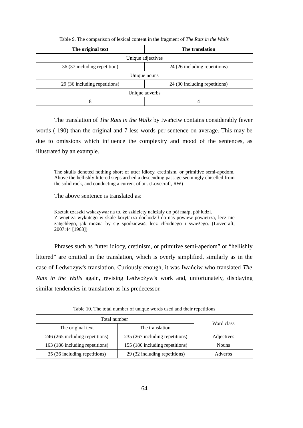| The original text             | The translation               |  |  |  |
|-------------------------------|-------------------------------|--|--|--|
| Unique adjectives             |                               |  |  |  |
| 36 (37 including repetition)  | 24 (26 including repetitions) |  |  |  |
| Unique nouns                  |                               |  |  |  |
| 29 (36 including repetitions) | 24 (30 including repetitions) |  |  |  |
| Unique adverbs                |                               |  |  |  |
| 8                             | 4                             |  |  |  |

Table 9. The comparison of lexical content in the fragment of *The Rats in the Walls*

The translation of *The Rats in the Walls* by Iwańciw contains considerably fewer words (-190) than the original and 7 less words per sentence on average. This may be due to omissions which influence the complexity and mood of the sentences, as illustrated by an example.

The skulls denoted nothing short of utter idiocy, cretinism, or primitive semi-apedom. Above the hellishly littered steps arched a descending passage seemingly chiselled from the solid rock, and conducting a current of air. (Lovecraft, RW)

The above sentence is translated as:

Kształt czaszki wskazywał na to, że szkielety należały do pół małp, pół ludzi. Z wnętrza wykutego w skale korytarza dochodził do nas powiew powietrza, lecz nie zatęchłego, jak można by się spodziewać, lecz chłodnego i świeżego. (Lovecraft, 2007:44 [1963])

Phrases such as "utter idiocy, cretinism, or primitive semi-apedom" or "hellishly littered" are omitted in the translation, which is overly simplified, similarly as in the case of Ledwożyw's translation. Curiously enough, it was Iwańciw who translated *The Rats in the Walls* again, revising Ledwożyw's work and, unfortunately, displaying similar tendencies in translation as his predecessor.

| Total number                    | Word class                      |              |  |
|---------------------------------|---------------------------------|--------------|--|
| The original text               | The translation                 |              |  |
| 246 (265 including repetitions) | 235 (267 including repetitions) | Adjectives   |  |
| 163 (186 including repetitions) | 155 (186 including repetitions) | <b>Nouns</b> |  |
| 35 (36 including repetitions)   | 29 (32 including repetitions)   | Adverbs      |  |

Table 10. The total number of unique words used and their repetitions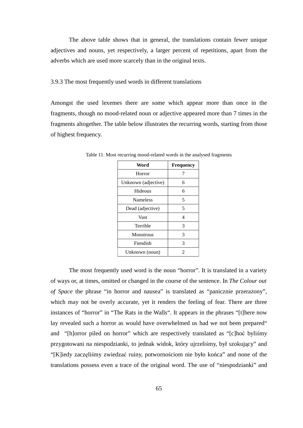The above table shows that in general, the translations contain fewer unique adjectives and nouns, yet respectively, a larger percent of repetitions, apart from the adverbs which are used more scarcely than in the original texts.

## 3.9.3 The most frequently used words in different translations

Amongst the used lexemes there are some which appear more than once in the fragments, though no mood-related noun or adjective appeared more than 7 times in the fragments altogether. The table below illustrates the recurring words, starting from those of highest frequency.

| Word                | <b>Frequency</b> |
|---------------------|------------------|
| Horror              |                  |
| Unknown (adjective) | 6                |
| Hideous             | 6                |
| <b>Nameless</b>     | 5                |
| Dead (adjective)    | 5                |
| Vast                | 4                |
| Terrible            | 3                |
| <b>Monstrous</b>    | 3                |
| Fiendish            | 3                |
| Unknown (noun)      | 2                |

Table 11. Most recurring mood-related words in the analysed fragments

The most frequently used word is the noun "horror". It is translated in a variety of ways or, at times, omitted or changed in the course of the sentence. In *The Colour out of Space* the phrase "in horror and nausea" is translated as "panicznie przerażony", which may not be overly accurate, yet it renders the feeling of fear. There are three instances of "horror" in "The Rats in the Walls". It appears in the phrases "[t]here now lay revealed such a horror as would have overwhelmed us had we not been prepared" and "[h]orror piled on horror" which are respectively translated as "[c]hoć byliśmy przygotowani na niespodzianki, to jednak widok, który ujrzeliśmy, był szokujący" and "[K]iedy zaczęliśmy zwiedzać ruiny, potwornościom nie było końca" and none of the translations possess even a trace of the original word. The use of "niespodzianki" and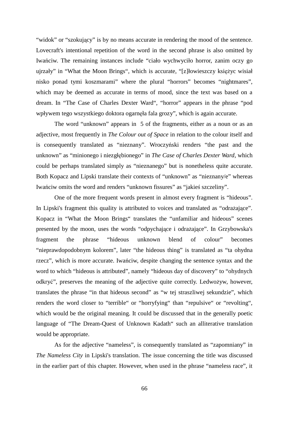"widok" or "szokujący" is by no means accurate in rendering the mood of the sentence. Lovecraft's intentional repetition of the word in the second phrase is also omitted by Iwańciw. The remaining instances include "ciało wychwyciło horror, zanim oczy go ujrzały" in "What the Moon Brings", which is accurate, "[z]łowieszczy księżyc wisiał nisko ponad tymi koszmarami" where the plural "horrors" becomes "nightmares", which may be deemed as accurate in terms of mood, since the text was based on a dream. In "The Case of Charles Dexter Ward", "horror" appears in the phrase "pod wpływem tego wszystkiego doktora ogarnęła fala grozy", which is again accurate.

The word "unknown" appears in 5 of the fragments, either as a noun or as an adjective, most frequently in *The Colour out of Space* in relation to the colour itself and is consequently translated as "nieznany". Wroczyński renders "the past and the unknown" as "minionego i niezgłębionego" in *The Case of Charles Dexter Ward*, which could be perhaps translated simply as "nieznanego" but is nonetheless quite accurate. Both Kopacz and Lipski translate their contexts of "unknown" as "nieznany/e" whereas Iwańciw omits the word and renders "unknown fissures" as "jakieś szczeliny".

One of the more frequent words present in almost every fragment is "hideous". In Lipski's fragment this quality is attributed to voices and translated as "odrażające". Kopacz in "What the Moon Brings" translates the "unfamiliar and hideous" scenes presented by the moon, uses the words "odpychające i odrażające". In Grzybowska's fragment the phrase "hideous unknown blend of colour" becomes "nieprawdopodobnym kolorem", later "the hideous thing" is translated as "ta ohydna rzecz", which is more accurate. Iwańciw, despite changing the sentence syntax and the word to which "hideous is attributed", namely "hideous day of discovery" to "ohydnych odkryć", preserves the meaning of the adjective quite correctly. Ledwożyw, however, translates the phrase "in that hideous second" as "w tej straszliwej sekundzie", which renders the word closer to "terrible" or "horryfying" than "repulsive" or "revolting", which would be the original meaning. It could be discussed that in the generally poetic language of "The Dream-Quest of Unknown Kadath" such an alliterative translation would be appropriate.

As for the adjective "nameless", is consequently translated as "zapomniany" in *The Nameless City* in Lipski's translation. The issue concerning the title was discussed in the earlier part of this chapter. However, when used in the phrase "nameless race", it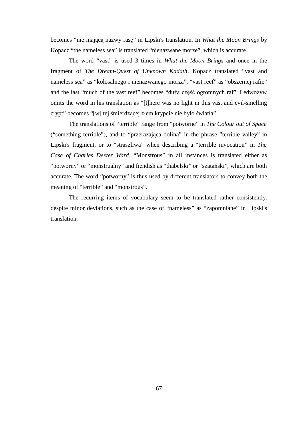becomes "nie mającą nazwy rasę" in Lipski's translation. In *What the Moon Brings* by Kopacz "the nameless sea" is translated "nienazwane morze", which is accurate.

The word "vast" is used 3 times in *What the Moon Brings* and once in the fragment of *The Dream-Quest of Unknown Kadath*. Kopacz translated "vast and nameless sea" as "kolosalnego i nienazwanego morza", "vast reef" as "obszernej rafie" and the last "much of the vast reef" becomes "dużą część ogromnych raf". Ledwożyw omits the word in his translation as "[t]here was no light in this vast and evil-smelling crypt" becomes "[w] tej śmierdzącej złem krypcie nie było światła".

The translations of "terrible" range from "potworne" in *The Colour out of Space* ("something terrible"), and to "przerażająca dolina" in the phrase "terrible valley" in Lipski's fragment, or to "straszliwa" when describing a "terrible invocation" in *The Case of Charles Dexter Ward*. "Monstrous" in all instances is translated either as "potworny" or "monstrualny" and fiendish as "diabelski" or "szatański", which are both accurate. The word "potworny" is thus used by different translators to convey both the meaning of "terrible" and "monstrous".

The recurring items of vocabulary seem to be translated rather consistently, despite minor deviations, such as the case of "nameless" as "zapomniane" in Lipski's translation.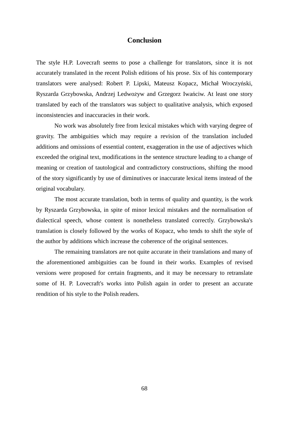# **Conclusion**

The style H.P. Lovecraft seems to pose a challenge for translators, since it is not accurately translated in the recent Polish editions of his prose. Six of his contemporary translators were analysed: Robert P. Lipski, Mateusz Kopacz, Michał Wroczyński, Ryszarda Grzybowska, Andrzej Ledwożyw and Grzegorz Iwańciw. At least one story translated by each of the translators was subject to qualitative analysis, which exposed inconsistencies and inaccuracies in their work.

No work was absolutely free from lexical mistakes which with varying degree of gravity. The ambiguities which may require a revision of the translation included additions and omissions of essential content, exaggeration in the use of adjectives which exceeded the original text, modifications in the sentence structure leading to a change of meaning or creation of tautological and contradictory constructions, shifting the mood of the story significantly by use of diminutives or inaccurate lexical items instead of the original vocabulary.

The most accurate translation, both in terms of quality and quantity, is the work by Ryszarda Grzybowska, in spite of minor lexical mistakes and the normalisation of dialectical speech, whose content is nonetheless translated correctly. Grzybowska's translation is closely followed by the works of Kopacz, who tends to shift the style of the author by additions which increase the coherence of the original sentences.

The remaining translators are not quite accurate in their translations and many of the aforementioned ambiguities can be found in their works. Examples of revised versions were proposed for certain fragments, and it may be necessary to retranslate some of H. P. Lovecraft's works into Polish again in order to present an accurate rendition of his style to the Polish readers.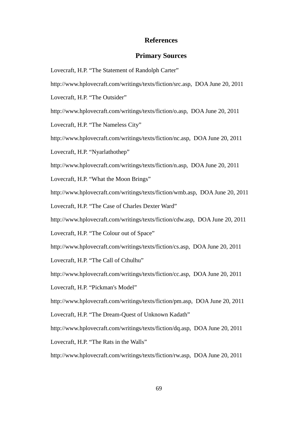## **References**

### **Primary Sources**

Lovecraft, H.P. "The Statement of Randolph Carter"

http://www.hplovecraft.com/writings/texts/fiction/src.asp, DOA June 20, 2011

Lovecraft, H.P. "The Outsider"

http://www.hplovecraft.com/writings/texts/fiction/o.asp, DOA June 20, 2011

Lovecraft, H.P. "The Nameless City"

http://www.hplovecraft.com/writings/texts/fiction/nc.asp, DOA June 20, 2011

Lovecraft, H.P. "Nyarlathothep"

http://www.hplovecraft.com/writings/texts/fiction/n.asp, DOA June 20, 2011

Lovecraft, H.P. "What the Moon Brings"

http://www.hplovecraft.com/writings/texts/fiction/wmb.asp, DOA June 20, 2011

Lovecraft, H.P. "The Case of Charles Dexter Ward"

http://www.hplovecraft.com/writings/texts/fiction/cdw.asp, DOA June 20, 2011

Lovecraft, H.P. "The Colour out of Space"

http://www.hplovecraft.com/writings/texts/fiction/cs.asp, DOA June 20, 2011

Lovecraft, H.P. "The Call of Cthulhu"

http://www.hplovecraft.com/writings/texts/fiction/cc.asp, DOA June 20, 2011

Lovecraft, H.P. "Pickman's Model"

http://www.hplovecraft.com/writings/texts/fiction/pm.asp, DOA June 20, 2011

Lovecraft, H.P. "The Dream-Quest of Unknown Kadath"

http://www.hplovecraft.com/writings/texts/fiction/dq.asp, DOA June 20, 2011

Lovecraft, H.P. "The Rats in the Walls"

http://www.hplovecraft.com/writings/texts/fiction/rw.asp, DOA June 20, 2011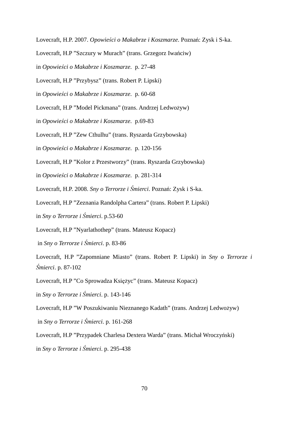- Lovecraft, H.P. 2007. *Opowie*ś*ci o Makabrze i Koszmarze*. Poznań: Zysk i S-ka.
- Lovecraft, H.P "Szczury w Murach" (trans. Grzegorz Iwańciw)
- in *Opowie*ś*ci o Makabrze i Koszmarze*. p. 27-48
- Lovecraft, H.P "Przybysz" (trans. Robert P. Lipski)
- in *Opowie*ś*ci o Makabrze i Koszmarze*. p. 60-68
- Lovecraft, H.P "Model Pickmana" (trans. Andrzej Ledwożyw)
- in *Opowie*ś*ci o Makabrze i Koszmarze*. p.69-83
- Lovecraft, H.P "Zew Cthulhu" (trans. Ryszarda Grzybowska)
- in *Opowie*ś*ci o Makabrze i Koszmarze*. p. 120-156
- Lovecraft, H.P "Kolor z Przestworzy" (trans. Ryszarda Grzybowska)
- in *Opowie*ś*ci o Makabrze i Koszmarze*. p. 281-314
- Lovecraft, H.P. 2008. *Sny o Terrorze i* Ś*mierci*. Poznań: Zysk i S-ka.
- Lovecraft, H.P "Zeznania Randolpha Cartera" (trans. Robert P. Lipski)
- in *Sny o Terrorze i* Ś*mierci*. p.53-60
- Lovecraft, H.P "Nyarlathothep" (trans. Mateusz Kopacz)
- in *Sny o Terrorze i* Ś*mierci*. p. 83-86
- Lovecraft, H.P "Zapomniane Miasto" (trans. Robert P. Lipski) in *Sny o Terrorze i* Ś*mierci*. p. 87-102
- Lovecraft, H.P "Co Sprowadza Księżyc" (trans. Mateusz Kopacz)
- in *Sny o Terrorze i* Ś*mierci*. p. 143-146
- Lovecraft, H.P "W Poszukiwaniu Nieznanego Kadath" (trans. Andrzej Ledwożyw) in *Sny o Terrorze i* Ś*mierci*. p. 161-268
- Lovecraft, H.P "Przypadek Charlesa Dextera Warda" (trans. Michał Wroczyński) in *Sny o Terrorze i* Ś*mierci*. p. 295-438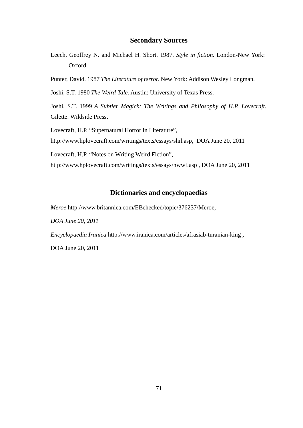# **Secondary Sources**

Leech, Geoffrey N. and Michael H. Short. 1987. *Style in fiction.* London-New York: Oxford.

Punter, David. 1987 *The Literature of terror.* New York: Addison Wesley Longman.

Joshi, S.T. 1980 *The Weird Tale.* Austin: University of Texas Press.

Joshi, S.T. 1999 *A Subtler Magick: The Writings and Philosophy of H.P. Lovecraft.* Gilette: Wildside Press.

Lovecraft, H.P. "Supernatural Horror in Literature",

http://www.hplovecraft.com/writings/texts/essays/shil.asp, DOA June 20, 2011

Lovecraft, H.P. "Notes on Writing Weird Fiction",

http://www.hplovecraft.com/writings/texts/essays/nwwf.asp , DOA June 20, 2011

# **Dictionaries and encyclopaedias**

*Meroe* http://www.britannica.com/EBchecked/topic/376237/Meroe*,* 

*DOA June 20, 2011* 

*Encyclopaedia Iranica* http://www.iranica.com/articles/afrasiab-turanian-king **,** 

DOA June 20, 2011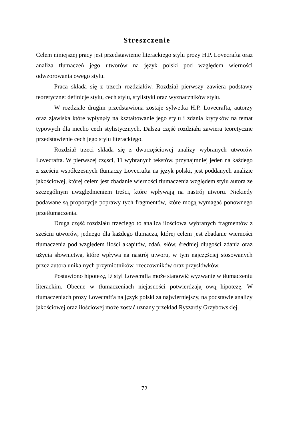# **Streszczenie**

Celem niniejszej pracy jest przedstawienie literackiego stylu prozy H.P. Lovecrafta oraz analiza tłumaczeń jego utworów na język polski pod względem wierności odwzorowania owego stylu.

Praca składa się z trzech rozdziałów. Rozdział pierwszy zawiera podstawy teoretyczne: definicje stylu, cech stylu, stylistyki oraz wyznaczników stylu.

W rozdziale drugim przedstawiona zostaje sylwetka H.P. Lovecrafta, autorzy oraz zjawiska które wpłynęły na kształtowanie jego stylu i zdania krytyków na temat typowych dla niecho cech stylistycznych. Dalsza część rozdziału zawiera teoretyczne przedstawienie cech jego stylu literackiego.

Rozdział trzeci składa się z dwuczęściowej analizy wybranych utworów Lovecrafta. W pierwszej części, 11 wybranych tekstów, przynajmniej jeden na każdego z sześciu współczesnych tłumaczy Lovecrafta na język polski, jest poddanych analizie jakościowej, której celem jest zbadanie wierności tłumaczenia względem stylu autora ze szczególnym uwzględnieniem treści, które wpływają na nastrój utworu. Niekiedy podawane są propozycje poprawy tych fragmentów, które mogą wymagać ponownego przetłumaczenia.

Druga część rozdziału trzeciego to analiza ilościowa wybranych fragmentów z sześciu utworów, jednego dla każdego tłumacza, której celem jest zbadanie wierności tłumaczenia pod względem ilości akapitów, zdań, słów, średniej długości zdania oraz użycia słownictwa, które wpływa na nastrój utworu, w tym najczęściej stosowanych przez autora unikalnych przymiotników, rzeczowników oraz przysłówków.

Postawiono hipotezę, iż styl Lovecrafta może stanowić wyzwanie w tłumaczeniu literackim. Obecne w tłumaczeniach niejasności potwierdzają ową hipotezę. W tłumaczeniach prozy Lovecraft'a na język polski za najwierniejszy, na podstawie analizy jakościowej oraz ilościowej może zostać uznany przekład Ryszardy Grzybowskiej.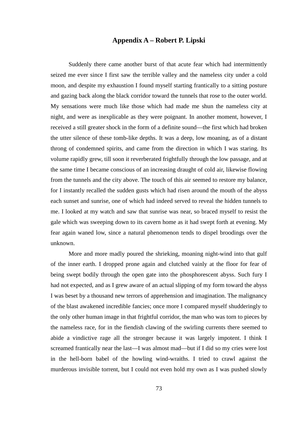# **Appendix A – Robert P. Lipski**

Suddenly there came another burst of that acute fear which had intermittently seized me ever since I first saw the terrible valley and the nameless city under a cold moon, and despite my exhaustion I found myself starting frantically to a sitting posture and gazing back along the black corridor toward the tunnels that rose to the outer world. My sensations were much like those which had made me shun the nameless city at night, and were as inexplicable as they were poignant. In another moment, however, I received a still greater shock in the form of a definite sound—the first which had broken the utter silence of these tomb-like depths. It was a deep, low moaning, as of a distant throng of condemned spirits, and came from the direction in which I was staring. Its volume rapidly grew, till soon it reverberated frightfully through the low passage, and at the same time I became conscious of an increasing draught of cold air, likewise flowing from the tunnels and the city above. The touch of this air seemed to restore my balance, for I instantly recalled the sudden gusts which had risen around the mouth of the abyss each sunset and sunrise, one of which had indeed served to reveal the hidden tunnels to me. I looked at my watch and saw that sunrise was near, so braced myself to resist the gale which was sweeping down to its cavern home as it had swept forth at evening. My fear again waned low, since a natural phenomenon tends to dispel broodings over the unknown.

More and more madly poured the shrieking, moaning night-wind into that gulf of the inner earth. I dropped prone again and clutched vainly at the floor for fear of being swept bodily through the open gate into the phosphorescent abyss. Such fury I had not expected, and as I grew aware of an actual slipping of my form toward the abyss I was beset by a thousand new terrors of apprehension and imagination. The malignancy of the blast awakened incredible fancies; once more I compared myself shudderingly to the only other human image in that frightful corridor, the man who was torn to pieces by the nameless race, for in the fiendish clawing of the swirling currents there seemed to abide a vindictive rage all the stronger because it was largely impotent. I think I screamed frantically near the last—I was almost mad—but if I did so my cries were lost in the hell-born babel of the howling wind-wraiths. I tried to crawl against the murderous invisible torrent, but I could not even hold my own as I was pushed slowly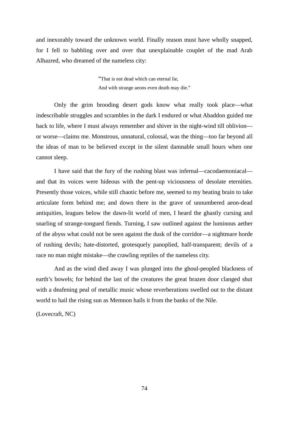and inexorably toward the unknown world. Finally reason must have wholly snapped, for I fell to babbling over and over that unexplainable couplet of the mad Arab Alhazred, who dreamed of the nameless city:

> "That is not dead which can eternal lie, And with strange aeons even death may die."

Only the grim brooding desert gods know what really took place—what indescribable struggles and scrambles in the dark I endured or what Abaddon guided me back to life, where I must always remember and shiver in the night-wind till oblivion or worse—claims me. Monstrous, unnatural, colossal, was the thing—too far beyond all the ideas of man to be believed except in the silent damnable small hours when one cannot sleep.

I have said that the fury of the rushing blast was infernal—cacodaemoniacal and that its voices were hideous with the pent-up viciousness of desolate eternities. Presently those voices, while still chaotic before me, seemed to my beating brain to take articulate form behind me; and down there in the grave of unnumbered aeon-dead antiquities, leagues below the dawn-lit world of men, I heard the ghastly cursing and snarling of strange-tongued fiends. Turning, I saw outlined against the luminous aether of the abyss what could not be seen against the dusk of the corridor—a nightmare horde of rushing devils; hate-distorted, grotesquely panoplied, half-transparent; devils of a race no man might mistake—the crawling reptiles of the nameless city.

And as the wind died away I was plunged into the ghoul-peopled blackness of earth's bowels; for behind the last of the creatures the great brazen door clanged shut with a deafening peal of metallic music whose reverberations swelled out to the distant world to hail the rising sun as Memnon hails it from the banks of the Nile.

(Lovecraft, NC)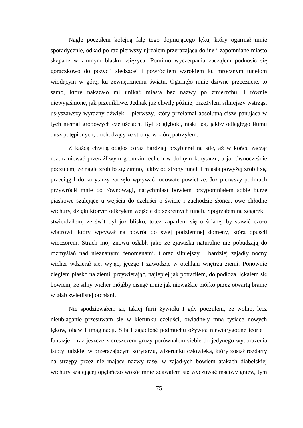Nagle poczułem kolejną falę tego dojmującego lęku, który ogarniał mnie sporadycznie, odkąd po raz pierwszy ujrzałem przerażającą dolinę i zapomniane miasto skąpane w zimnym blasku księżyca. Pomimo wyczerpania zacząłem podnosić się gorączkowo do pozycji siedzącej i powróciłem wzrokiem ku mrocznym tunelom wiodącym w górę, ku zewnętrznemu światu. Ogarnęło mnie dziwne przeczucie, to samo, które nakazało mi unikać miasta bez nazwy po zmierzchu, I równie niewyjaśnione, jak przenikliwe. Jednak już chwilę później przeżyłem silniejszy wstrząs, usłyszawszy wyraźny dźwięk – pierwszy, który przełamał absolutną ciszę panującą w tych niemal grobowych czeluściach. Był to głęboki, niski jęk, jakby odległego tłumu dusz potępionych, dochodzący ze strony, w którą patrzyłem.

Z każdą chwilą odgłos coraz bardziej przybierał na sile, aż w końcu zaczął rozbrzmiewać przeraźliwym gromkim echem w dolnym korytarzu, a ja równocześnie poczułem, że nagle zrobiło się zimno, jakby od strony tuneli I miasta powyżej zrobił się przeciąg I do korytarzy zaczęło wpływać lodowate powietrze. Już pierwszy podmuch przywrócił mnie do równowagi, natychmiast bowiem przypomniałem sobie burze piaskowe szalejące u wejścia do czeluści o świcie i zachodzie słońca, owe chłodne wichury, dzięki którym odkryłem wejście do sekretnych tuneli. Spojrzałem na zegarek I stwierdziłem, że świt był już blisko, toteż zaparłem się o ścianę, by stawić czoło wiatrowi, który wpływał na powrót do swej podziemnej domeny, którą opuścił wieczorem. Strach mój znowu osłabł, jako że zjawiska naturalne nie pobudzają do rozmyślań nad nieznanymi fenomenami. Coraz silniejszy I bardziej zajadły nocny wicher wdzierał się, wyjąc, jęcząc I zawodząc w otchłani wnętrza ziemi. Ponownie zległem płasko na ziemi, przywierając, najlepiej jak potrafiłem, do podłoża, lękałem się bowiem, że silny wicher mógłby cisnąć mnie jak nieważkie piórko przez otwartą bramę w głąb świetlistej otchłani.

Nie spodziewałem się takiej furii żywiołu I gdy poczułem, że wolno, lecz nieubłaganie przesuwam się w kierunku czeluści, owładnęły mną tysiące nowych lęków, obaw I imaginacji. Siła I zajadłość podmuchu ożywiła niewiarygodne teorie I fantazje – raz jeszcze z dreszczem grozy porównałem siebie do jedynego wyobrażenia istoty ludzkiej w przerażającym korytarzu, wizerunku człowieka, który został rozdarty na strzępy przez nie mającą nazwy rasę, w zajadłych bowiem atakach diabelskiej wichury szalejącej opętańczo wokół mnie zdawałem się wyczuwać mściwy gniew, tym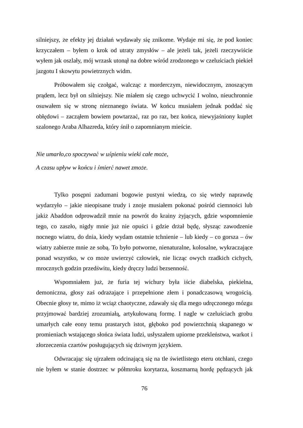silniejszy, że efekty jej działań wydawały się znikome. Wydaje mi się, że pod koniec krzyczałem – byłem o krok od utraty zmysłów – ale jeżeli tak, jeżeli rzeczywiście wyłem jak oszlały, mój wrzask utonął na dobre wśród zrodzonego w czeluściach piekieł jazgotu I skowytu powietrznych widm.

Próbowałem się czołgać, walcząc z morderczym, niewidocznym, znoszącym prądem, lecz był on silniejszy. Nie miałem się czego uchwycić I wolno, nieuchronnie osuwałem się w stronę nieznanego świata. W końcu musiałem jednak poddać się obłędowi – zacząłem bowiem powtarzać, raz po raz, bez końca, niewyjaśniony kuplet szalonego Araba Alhazreda, który śnił o zapomnianym mieście.

#### *Nie umarło,co spoczywa*ć *w u*ś*pieniu wieki całe mo*ż*e,*

*A czasu upływ w ko*ń*cu i* ś*mier*ć *nawet zmo*ż*e.*

Tylko posępni zadumani bogowie pustyni wiedzą, co się wtedy naprawdę wydarzyło – jakie nieopisane trudy i znoje musiałem pokonać pośród ciemności lub jakiż Abaddon odprowadził mnie na powrót do krainy żyjących, gdzie wspomnienie tego, co zaszło, nigdy mnie już nie opuści i gdzie drżał będę, słysząc zawodzenie nocnego wiatru, do dnia, kiedy wydam ostatnie tchnienie – lub kiedy – co gorsza – ów wiatry zabierze mnie ze sobą. To było potworne, nienaturalne, kolosalne, wykraczające ponad wszystko, w co może uwierzyć człowiek, nie licząc owych rzadkich cichych, mrocznych godzin przedświtu, kiedy dręczy ludzi bezsenność.

Wspomniałem już, że furia tej wichury była iście diabelska, piekielna, demoniczna, głosy zaś odrażające i przepełnione złem i ponadczasową wrogością. Obecnie głosy te, mimo iż wciąż chaotyczne, zdawały się dla mego udręczonego mózgu przyjmować bardziej zrozumiałą, artykułowaną formę. I nagle w czeluściach grobu umarłych całe eony temu prastarych istot, głęboko pod powierzchnią skąpanego w promieniach wstającego słońca świata ludzi, usłyszałem upiorne przekleństwa, warkot i złorzeczenia czartów posługujących się dziwnym językiem.

Odwracając się ujrzałem odcinającą się na tle świetlistego eteru otchłani, czego nie byłem w stanie dostrzec w półmroku korytarza, koszmarną hordę pędzących jak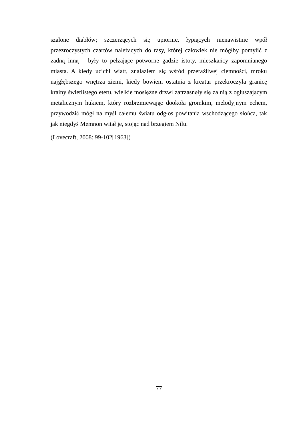szalone diabłów; szczerzących się upiornie, łypiących nienawistnie wpół przezroczystych czartów należących do rasy, której człowiek nie mógłby pomylić z żadną inną – były to pełzające potworne gadzie istoty, mieszkańcy zapomnianego miasta. A kiedy ucichł wiatr, znalazłem się wśród przeraźliwej ciemności, mroku najgłębszego wnętrza ziemi, kiedy bowiem ostatnia z kreatur przekroczyła granicę krainy świetlistego eteru, wielkie mosiężne drzwi zatrzasnęły się za nią z ogłuszającym metalicznym hukiem, który rozbrzmiewając dookoła gromkim, melodyjnym echem, przywodzić mógł na myśl całemu światu odgłos powitania wschodzącego słońca, tak jak niegdyś Memnon witał je, stojąc nad brzegiem Nilu.

(Lovecraft, 2008: 99-102[1963])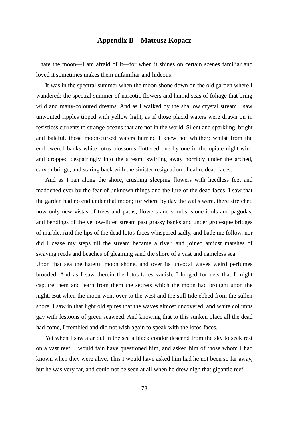### **Appendix B – Mateusz Kopacz**

I hate the moon—I am afraid of it—for when it shines on certain scenes familiar and loved it sometimes makes them unfamiliar and hideous.

 It was in the spectral summer when the moon shone down on the old garden where I wandered; the spectral summer of narcotic flowers and humid seas of foliage that bring wild and many-coloured dreams. And as I walked by the shallow crystal stream I saw unwonted ripples tipped with yellow light, as if those placid waters were drawn on in resistless currents to strange oceans that are not in the world. Silent and sparkling, bright and baleful, those moon-cursed waters hurried I knew not whither; whilst from the embowered banks white lotos blossoms fluttered one by one in the opiate night-wind and dropped despairingly into the stream, swirling away horribly under the arched, carven bridge, and staring back with the sinister resignation of calm, dead faces.

 And as I ran along the shore, crushing sleeping flowers with heedless feet and maddened ever by the fear of unknown things and the lure of the dead faces, I saw that the garden had no end under that moon; for where by day the walls were, there stretched now only new vistas of trees and paths, flowers and shrubs, stone idols and pagodas, and bendings of the yellow-litten stream past grassy banks and under grotesque bridges of marble. And the lips of the dead lotos-faces whispered sadly, and bade me follow, nor did I cease my steps till the stream became a river, and joined amidst marshes of swaying reeds and beaches of gleaming sand the shore of a vast and nameless sea.

Upon that sea the hateful moon shone, and over its unvocal waves weird perfumes brooded. And as I saw therein the lotos-faces vanish, I longed for nets that I might capture them and learn from them the secrets which the moon had brought upon the night. But when the moon went over to the west and the still tide ebbed from the sullen shore, I saw in that light old spires that the waves almost uncovered, and white columns gay with festoons of green seaweed. And knowing that to this sunken place all the dead had come, I trembled and did not wish again to speak with the lotos-faces.

 Yet when I saw afar out in the sea a black condor descend from the sky to seek rest on a vast reef, I would fain have questioned him, and asked him of those whom I had known when they were alive. This I would have asked him had he not been so far away, but he was very far, and could not be seen at all when he drew nigh that gigantic reef.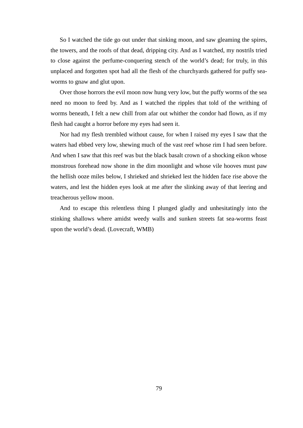So I watched the tide go out under that sinking moon, and saw gleaming the spires, the towers, and the roofs of that dead, dripping city. And as I watched, my nostrils tried to close against the perfume-conquering stench of the world's dead; for truly, in this unplaced and forgotten spot had all the flesh of the churchyards gathered for puffy seaworms to gnaw and glut upon.

 Over those horrors the evil moon now hung very low, but the puffy worms of the sea need no moon to feed by. And as I watched the ripples that told of the writhing of worms beneath, I felt a new chill from afar out whither the condor had flown, as if my flesh had caught a horror before my eyes had seen it.

 Nor had my flesh trembled without cause, for when I raised my eyes I saw that the waters had ebbed very low, shewing much of the vast reef whose rim I had seen before. And when I saw that this reef was but the black basalt crown of a shocking eikon whose monstrous forehead now shone in the dim moonlight and whose vile hooves must paw the hellish ooze miles below, I shrieked and shrieked lest the hidden face rise above the waters, and lest the hidden eyes look at me after the slinking away of that leering and treacherous yellow moon.

 And to escape this relentless thing I plunged gladly and unhesitatingly into the stinking shallows where amidst weedy walls and sunken streets fat sea-worms feast upon the world's dead. (Lovecraft, WMB)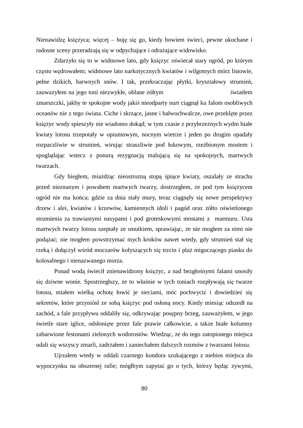Nienawidzę księżyca; więcej – boję się go, kiedy bowiem świeci, pewne ukochane i radosne sceny przeradzają się w odpychające i odrażające widowisko.

Zdarzyło się to w widmowe lato, gdy księżyc oświecał stary ogród, po którym często wędrowałem; widmowe lato narkotycznych kwiatów i wilgotnych mórz listowie, pełne dzikich, barwnych snów. I tak, przekraczając płytki, kryształowy strumień, zauważyłem na jego toni niezwykłe, oblane żółtym się wiatłem światłem się zauważyłem się z się z się z się z s zmarszczki, jakby te spokojne wody jakiś nieodparty nurt ciągnął ku falom osobliwych oceanów nie z tego świata. Ciche i skrzące, jasne i bałwochwalcze, owe przeklęte przez księżyc wody spieszyły nie wiadomo dokąd; w tym czasie z przybrzeżnych wydm białe kwiaty lotosu trzepotały w opiumowym, nocnym wietrze i jeden po drugim opadały rozpaczliwie w strumień, wirując straszliwie pod łukowym, rzeźbionym mostem i spoglądając wstecz z ponurą rezygnacją malującą się na spokojnych, martwych twarzach.

Gdy biegłem, miażdżąc nieostrożną stopą śpiące kwiaty, oszalały ze strachu przed nieznanym i powabem martwych twarzy, dostrzegłem, że pod tym księżycem ogród nie ma końca; gdzie za dnia stały mury, teraz ciągnęły się nowe perspektywy drzew i alei, kwiatów i krzewów, kamiennych idoli i pagód oraz żółto oświetlonego strumienia za trawiastymi nasypami i pod groteskowymi mostami z marmuru. Usta martwych twarzy lotosu szeptały ze smutkiem, sprawiając, że nie mogłem za nimi nie podążać; nie mogłem powstrzymać mych kroków nawet wtedy, gdy strumień stał się rzeką i dołączył wśród moczarów kołyszących się trzcin i plaż migoczącego piasku do kolosalnego i nienazwanego morza.

Ponad wodą świecił znienawidzony księżyc, a nad bezgłośnymi falami unosiły się dziwne wonie. Spostrzegłszy, że to właśnie w tych toniach rozpływają się twarze lotosu, miałem wielką ochotę łowić je sieciami, móc pochwycić i dowiedzieć się sekretów, które przyniósł ze sobą księżyc pod osłoną nocy. Kiedy miesiąc odszedł na zachód, a fale przypływu oddaliły się, odkrywając posępny brzeg, zauważyłem, w jego świetle stare iglice, odsłonięte przez fale prawie całkowicie, a także białe kolumny zabarwione festonami zielonych wodorostów. Wiedząc, że do tego zatopionego miejsca udali się wszyscy zmarli, zadrżałem i zaniechałem dalszych rozmów z twarzami lotosu.

Ujrzałem wtedy w oddali czarnego kondora szukającego z niebios miejsca do wypoczynku na obszernej rafie; mógłbym zapytać go o tych, którzy będąc żywymi,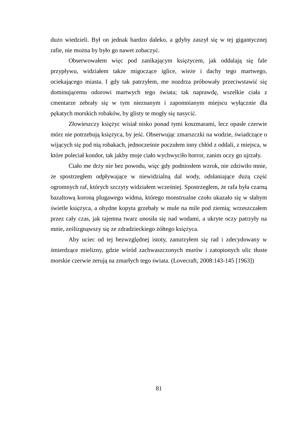dużo wiedzieli. Był on jednak bardzo daleko, a gdyby zaszył się w tej gigantycznej rafie, nie można by było go nawet zobaczyć.

Obserwowałem więc pod zanikającym księżycem, jak oddalają się fale przypływu, widziałem także migoczące iglice, wieże i dachy tego martwego, ociekającego miasta. I gdy tak patrzyłem, me nozdrza próbowały przeciwstawić się dominującemu odorowi martwych tego świata; tak naprawdę, wszelkie ciała z cmentarze zebrały się w tym nieznanym i zapomnianym miejscu wyłącznie dla pękatych morskich robaków, by glisty te mogły się nasycić.

Złowieszczy księżyc wisiał nisko ponad tymi koszmarami, lecz opasłe czerwie mórz nie potrzebują księżyca, by jeść. Obserwując zmarszczki na wodzie, świadczące o wijących się pod nią robakach, jednocześnie poczułem inny chłód z oddali, z miejsca, w które poleciał kondor, tak jakby moje ciało wychwyciło horror, zanim oczy go ujrzały.

Ciało me drży nie bez powodu, więc gdy podniosłem wzrok, nie zdziwiło mnie, że spostrzegłem odpływające w niewidzialną dal wody, odsłaniające dużą część ogromnych raf, których szczyty widziałem wcześniej. Spostrzegłem, że rafa była czarną bazaltową koroną plugawego widma, którego monstrualne czoło ukazało się w słabym świetle księżyca, a ohydne kopyta grzebały w mule na mile pod ziemią; wrzeszczałem przez cały czas, jak tajemna twarz unosiła się nad wodami, a ukryte oczy patrzyły na mnie, ześlizgnąwszy się ze zdradzieckiego żółtego księżyca.

Aby uciec od tej bezwzględnej istoty, zanurzyłem się rad i zdecydowany w śmierdzące mielizny, gdzie wśród zachwaszczonych murów i zatopionych ulic tłuste morskie czerwie żerują na zmarłych tego świata. (Lovecraft, 2008:143-145 [1963])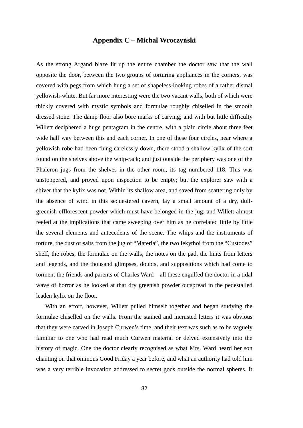#### **Appendix C – Michał Wroczy**ń**ski**

As the strong Argand blaze lit up the entire chamber the doctor saw that the wall opposite the door, between the two groups of torturing appliances in the corners, was covered with pegs from which hung a set of shapeless-looking robes of a rather dismal yellowish-white. But far more interesting were the two vacant walls, both of which were thickly covered with mystic symbols and formulae roughly chiselled in the smooth dressed stone. The damp floor also bore marks of carving; and with but little difficulty Willett deciphered a huge pentagram in the centre, with a plain circle about three feet wide half way between this and each corner. In one of these four circles, near where a yellowish robe had been flung carelessly down, there stood a shallow kylix of the sort found on the shelves above the whip-rack; and just outside the periphery was one of the Phaleron jugs from the shelves in the other room, its tag numbered 118. This was unstoppered, and proved upon inspection to be empty; but the explorer saw with a shiver that the kylix was not. Within its shallow area, and saved from scattering only by the absence of wind in this sequestered cavern, lay a small amount of a dry, dullgreenish efflorescent powder which must have belonged in the jug; and Willett almost reeled at the implications that came sweeping over him as he correlated little by little the several elements and antecedents of the scene. The whips and the instruments of torture, the dust or salts from the jug of "Materia", the two lekythoi from the "Custodes" shelf, the robes, the formulae on the walls, the notes on the pad, the hints from letters and legends, and the thousand glimpses, doubts, and suppositions which had come to torment the friends and parents of Charles Ward—all these engulfed the doctor in a tidal wave of horror as he looked at that dry greenish powder outspread in the pedestalled leaden kylix on the floor.

 With an effort, however, Willett pulled himself together and began studying the formulae chiselled on the walls. From the stained and incrusted letters it was obvious that they were carved in Joseph Curwen's time, and their text was such as to be vaguely familiar to one who had read much Curwen material or delved extensively into the history of magic. One the doctor clearly recognised as what Mrs. Ward heard her son chanting on that ominous Good Friday a year before, and what an authority had told him was a very terrible invocation addressed to secret gods outside the normal spheres. It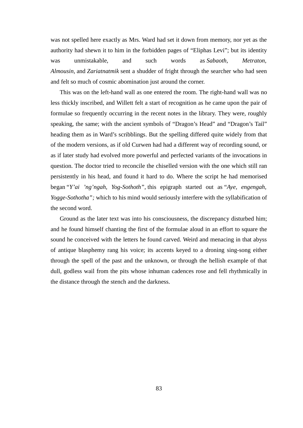was not spelled here exactly as Mrs. Ward had set it down from memory, nor yet as the authority had shewn it to him in the forbidden pages of "Eliphas Levi"; but its identity was unmistakable, and such words as *Sabaoth, Metraton, Almousin,* and *Zariatnatmik* sent a shudder of fright through the searcher who had seen and felt so much of cosmic abomination just around the corner.

 This was on the left-hand wall as one entered the room. The right-hand wall was no less thickly inscribed, and Willett felt a start of recognition as he came upon the pair of formulae so frequently occurring in the recent notes in the library. They were, roughly speaking, the same; with the ancient symbols of "Dragon's Head" and "Dragon's Tail" heading them as in Ward's scribblings. But the spelling differed quite widely from that of the modern versions, as if old Curwen had had a different way of recording sound, or as if later study had evolved more powerful and perfected variants of the invocations in question. The doctor tried to reconcile the chiselled version with the one which still ran persistently in his head, and found it hard to do. Where the script he had memorised began "*Y'ai 'ng'ngah, Yog-Sothoth",* this epigraph started out as "*Aye, engengah, Yogge-Sothotha";* which to his mind would seriously interfere with the syllabification of the second word.

 Ground as the later text was into his consciousness, the discrepancy disturbed him; and he found himself chanting the first of the formulae aloud in an effort to square the sound he conceived with the letters he found carved. Weird and menacing in that abyss of antique blasphemy rang his voice; its accents keyed to a droning sing-song either through the spell of the past and the unknown, or through the hellish example of that dull, godless wail from the pits whose inhuman cadences rose and fell rhythmically in the distance through the stench and the darkness.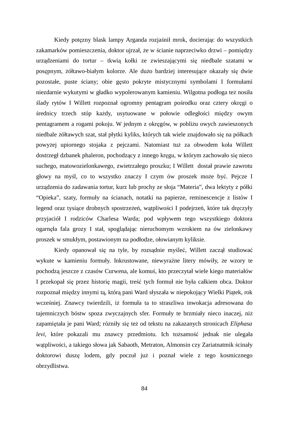Kiedy potęzny blask lampy Arganda rozjaśnił mrok, docierając do wszystkich zakamarków pomieszczenia, doktor ujrzał, że w ścianie naprzeciwko drzwi – pomiędzy urządzeniami do tortur – tkwią kołki ze zwieszającymi się niedbale szatami w posępnym, żółtawo-białym kolorze. Ale dużo bardziej interesujące okazały się dwie pozostałe, puste ściany; obie gęsto pokryte mistycznymi symbolami I formułami niezdarnie wykutymi w gładko wypolerowanym kamieniu. Wilgotna podłoga też nosiła ślady rytów I Willett rozpoznał ogromny pentagram pośrodku oraz cztery okręgi o średnicy trzech stóp każdy, usytuowane w połowie odległości między owym pentagramem a rogami pokoju. W jednym z okręgów, w pobliżu owych zawieszonych niedbale żółtawych szat, stał płytki kyliks, których tak wiele znajdowało się na półkach powyżej upiornego stojaka z pejczami. Natomiast tuż za obwodem koła Willett dostrzegł dzbanek phaleron, pochodzący z innego kręgu, w którym zachowało się nieco suchego, matowozielonkawego, zwietrzałego proszku; I Willett dostał prawie zawrotu głowy na myśl, co to wszystko znaczy I czym ów proszek może być. Pejcze I urządzenia do zadawania tortur, kurz lub prochy ze słoja "Materia", dwa lektyty z półki "Opieka", szaty, formuły na ścianach, notatki na papierze, reminescencje z listów I legend oraz tysiące drobnych spostrzeżeń, wątpliwości I podejrzeń, które tak dręczyły przyjaciół I rodziców Charlesa Warda; pod wpływem tego wszystkiego doktora ogarnęła fala grozy I stał, spoglądając nieruchomym wzrokiem na ów zielonkawy proszek w smukłym, postawionym na podłodze, ołowianym kyliksie.

Kiedy opanował się na tyle, by rozsądnie myśleć, Willett zaczął studiować wykute w kamieniu formuły. Inkrustowane, niewyraźne litery mówiły, że wzory te pochodzą jeszcze z czasów Curwena, ale komuś, kto przeczytał wiele kiego materiałów I przekopał się przez historię magii, treść tych formuł nie była całkiem obca. Doktor rozpoznał między innymi tą, którą pani Ward słyszała w niepokojący Wielki Piątek, rok wcześniej. Znawcy twierdzili, iż formuła ta to straszliwa inwokacja adresowana do tajemniczych bóstw spoza zwyczajnych sfer. Formuły te brzmiały nieco inaczej, niż zapamiętała je pani Ward; różniły się też od tekstu na zakazanych stronicach *Eliphasa levi,* które pokazali mu znawcy przedmiotu. Ich tożsamość jednak nie ulegała wątpliwości, a takiego słowa jak Sabaoth, Metraton, Almonsin czy Zariatnatmik ścinały doktorowi duszę lodem, gdy poczuł już i poznał wiele z tego kosmicznego obrzydlistwa.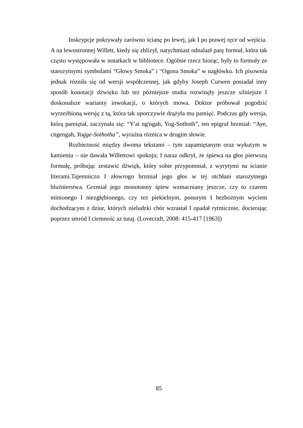Inskrypcje pokrywały zarówno ścianę po lewej, jak I po prawej ręce od wejścia. A na lewostronnej Willett, kiedy się zbliżył, natychmiast odnalazł parę formuł, która tak często występowała w notatkach w bibliotece. Ogólnie rzecz biorąc, były to formuły ze starożytnymi symbolami "Głowy Smoka" i "Ogona Smoka" w nagłówku. Ich pisownia jednak rózniła się od wersji współczesnej, jak gdyby Joseph Curwen posiadał inny sposób konotacji dźwięku lub też późniejsze studia rozwinęły jeszcze silniejsze I doskonalsze warianty inwokacji, o których mowa. Doktor próbował pogodzić wyrzeźbioną wersję z tą, która tak uporczywie drążyła mu pamięć. Podczas gdy wersja, którą pamiętał, zaczynała się: "Y'ai ng'ngah, Yog-Sothoth", ten epigraf brzmiał: "Aye, cngengah, *Yogge-Sothotha",* wyraźna różnica w drugim słowie.

Rozbieżność między dwoma tekstami – tym zapamiętanym oraz wykutym w kamieniu – nie dawała Willettowi spokoju; I naraz odkrył, że śpiewa na głos pierwszą formułę, próbując zestawić dźwięk, który sobie przypomniał, z wyrytymi na ścianie literami.Tajemniczo I złowrogo brzmiał jego głos w tej otchłani starożytnego bluźnierstwa. Grzmiał jego monotonny śpiew wzmacniany jeszcze, czy to czarem minionego I niezgłębionego, czy też piekielnym, ponurym I bezbożnym wyciem dochodzącym z dziur, których nieludzki chór wzrastał I opadał rytmicznie, docierając poprzez smród I ciemność aż tutaj. (Lovecraft, 2008: 415-417 [1963])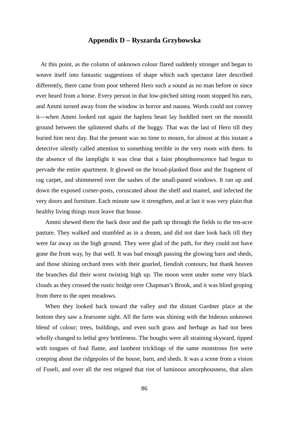# **Appendix D – Ryszarda Grzybowska**

 At this point, as the column of unknown colour flared suddenly stronger and began to weave itself into fantastic suggestions of shape which each spectator later described differently, there came from poor tethered Hero such a sound as no man before or since ever heard from a horse. Every person in that low-pitched sitting room stopped his ears, and Ammi turned away from the window in horror and nausea. Words could not convey it—when Ammi looked out again the hapless beast lay huddled inert on the moonlit ground between the splintered shafts of the buggy. That was the last of Hero till they buried him next day. But the present was no time to mourn, for almost at this instant a detective silently called attention to something terrible in the very room with them. In the absence of the lamplight it was clear that a faint phosphorescence had begun to pervade the entire apartment. It glowed on the broad-planked floor and the fragment of rag carpet, and shimmered over the sashes of the small-paned windows. It ran up and down the exposed corner-posts, coruscated about the shelf and mantel, and infected the very doors and furniture. Each minute saw it strengthen, and at last it was very plain that healthy living things must leave that house.

 Ammi shewed them the back door and the path up through the fields to the ten-acre pasture. They walked and stumbled as in a dream, and did not dare look back till they were far away on the high ground. They were glad of the path, for they could not have gone the front way, by that well. It was bad enough passing the glowing barn and sheds, and those shining orchard trees with their gnarled, fiendish contours; but thank heaven the branches did their worst twisting high up. The moon went under some very black clouds as they crossed the rustic bridge over Chapman's Brook, and it was blind groping from there to the open meadows.

 When they looked back toward the valley and the distant Gardner place at the bottom they saw a fearsome sight. All the farm was shining with the hideous unknown blend of colour; trees, buildings, and even such grass and herbage as had not been wholly changed to lethal grey brittleness. The boughs were all straining skyward, tipped with tongues of foul flame, and lambent tricklings of the same monstrous fire were creeping about the ridgepoles of the house, barn, and sheds. It was a scene from a vision of Fuseli, and over all the rest reigned that riot of luminous amorphousness, that alien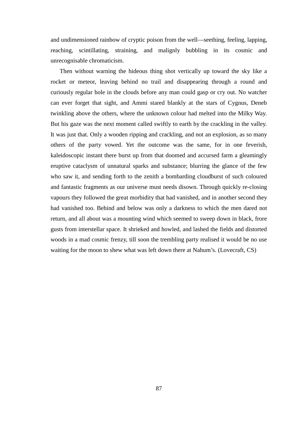and undimensioned rainbow of cryptic poison from the well—seething, feeling, lapping, reaching, scintillating, straining, and malignly bubbling in its cosmic and unrecognisable chromaticism.

 Then without warning the hideous thing shot vertically up toward the sky like a rocket or meteor, leaving behind no trail and disappearing through a round and curiously regular hole in the clouds before any man could gasp or cry out. No watcher can ever forget that sight, and Ammi stared blankly at the stars of Cygnus, Deneb twinkling above the others, where the unknown colour had melted into the Milky Way. But his gaze was the next moment called swiftly to earth by the crackling in the valley. It was just that. Only a wooden ripping and crackling, and not an explosion, as so many others of the party vowed. Yet the outcome was the same, for in one feverish, kaleidoscopic instant there burst up from that doomed and accursed farm a gleamingly eruptive cataclysm of unnatural sparks and substance; blurring the glance of the few who saw it, and sending forth to the zenith a bombarding cloudburst of such coloured and fantastic fragments as our universe must needs disown. Through quickly re-closing vapours they followed the great morbidity that had vanished, and in another second they had vanished too. Behind and below was only a darkness to which the men dared not return, and all about was a mounting wind which seemed to sweep down in black, frore gusts from interstellar space. It shrieked and howled, and lashed the fields and distorted woods in a mad cosmic frenzy, till soon the trembling party realised it would be no use waiting for the moon to shew what was left down there at Nahum's. (Lovecraft, CS)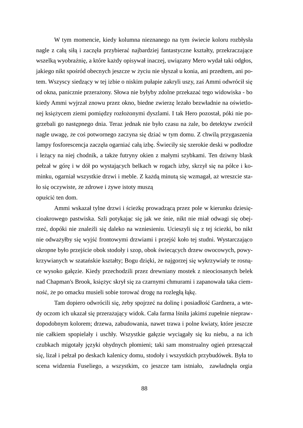W tym momencie, kiedy kolumna nieznanego na tym świecie koloru rozbłysła nagle z całą siłą i zaczęła przybierać najbardziej fantastyczne kształty, przekraczające wszelką wyobraźnię, a które każdy opisywał inaczej, uwiązany Mero wydał taki odgłos, jakiego nikt spośród obecnych jeszcze w życiu nie słyszał u konia, ani przedtem, ani potem. Wszyscy siedzący w tej izbie o niskim pułapie zakryli uszy, zaś Ammi odwrócił się od okna, panicznie przerażony. Słowa nie byłyby zdolne przekazać tego widowiska - bo kiedy Ammi wyjrzał znowu przez okno, biedne zwierzę leżało bezwładnie na oświetlonej księżycem ziemi pomiędzy rozłożonymi dyszlami. I tak Hero pozostał, póki nie pogrzebali go następnego dnia. Teraz jednak nie było czasu na żale, bo detektyw zwrócił nagle uwagę, że coś potwornego zaczyna się dziać w tym domu. Z chwilą przygaszenia lampy fosforescencja zaczęła ogarniać całą izbę. Świeciły się szerokie deski w podłodze i leżący na niej chodnik, a także futryny okien z małymi szybkami. Ten dziwny blask pełzał w górę i w dół po wystających belkach w rogach izby, skrzył się na półce i kominku, ogarniał wszystkie drzwi i meble. Z każdą minutą się wzmagał, aż wreszcie stało się oczywiste, że zdrowe i żywe istoty muszą opuścić ten dom.

Ammi wskazał tylne drzwi i ścieżkę prowadzącą przez pole w kierunku dziesięcioakrowego pastwiska. Szli potykając się jak we śnie, nikt nie miał odwagi się obejrzeć, dopóki nie znaleźli się daleko na wzniesieniu. Ucieszyli się z tej ścieżki, bo nikt nie odważyłby się wyjść frontowymi drzwiami i przejść koło tej studni. Wystarczająco okropne było przejście obok stodoły i szop, obok świecących drzew owocowych, powykrzywianych w szatańskie kształty; Bogu dzięki, że najgorzej się wykrzywiały te rosnące wysoko gałęzie. Kiedy przechodzili przez drewniany mostek z nieociosanych belek nad Chapman's Brook, księżyc skrył się za czarnymi chmurami i zapanowała taka ciemność, że po omacku musieli sobie torować drogę na rozległą łąkę.

Tam dopiero odwrócili się, żeby spojrzeć na dolinę i posiadłość Gardnera, a wtedy oczom ich ukazał się przerażający widok. Cała farma lśniła jakimś zupełnie nieprawdopodobnym kolorem; drzewa, zabudowania, nawet trawa i polne kwiaty, które jeszcze nie całkiem spopielały i uschły. Wszystkie gałęzie wyciągały się ku niebu, a na ich czubkach migotały języki ohydnych płomieni; taki sam monstrualny ogień przesączał się, lizał i pełzał po deskach kalenicy domu, stodoły i wszystkich przybudówek. Była to scena widzenia Fuseliego, a wszystkim, co jeszcze tam istniało, zawładnęła orgia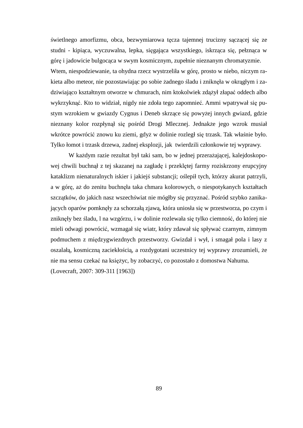świetlnego amorfizmu, obca, bezwymiarowa tęcza tajemnej trucizny sączącej się ze studni - kipiąca, wyczuwalna, lepka, sięgająca wszystkiego, iskrząca się, pełznąca w górę i jadowicie bulgocąca w swym kosmicznym, zupełnie nieznanym chromatyzmie. Wtem, niespodziewanie, ta ohydna rzecz wystrzeliła w górę, prosto w niebo, niczym rakieta albo meteor, nie pozostawiając po sobie żadnego śladu i zniknęła w okrągłym i zadziwiająco kształtnym otworze w chmurach, nim ktokolwiek zdążył złapać oddech albo wykrzyknąć. Kto to widział, nigdy nie zdoła tego zapomnieć. Ammi wpatrywał się pustym wzrokiem w gwiazdy Cygnus i Deneb skrzące się powyżej innych gwiazd, gdzie nieznany kolor rozpłynął się pośród Drogi Mlecznej. Jednakże jego wzrok musiał wkrótce powrócić znowu ku ziemi, gdyż w dolinie rozległ się trzask. Tak właśnie było. Tylko łomot i trzask drzewa, żadnej eksplozji, jak twierdzili członkowie tej wyprawy.

W każdym razie rezultat był taki sam, bo w jednej przerażającej, kalejdoskopowej chwili buchnął z tej skazanej na zagładę i przeklętej farmy roziskrzony erupcyjny kataklizm nienaturalnych iskier i jakiejś substancji; oślepił tych, którzy akurat patrzyli, a w górę, aż do zenitu buchnęła taka chmara kolorowych, o niespotykanych kształtach szczątków, do jakich nasz wszechświat nie mógłby się przyznać. Pośród szybko zanikających oparów pomknęły za schorzałą zjawą, która uniosła się w przestworza, po czym i zniknęły bez śladu, l na wzgórzu, i w dolinie rozlewała się tylko ciemność, do której nie mieli odwagi powrócić, wzmagał się wiatr, który zdawał się spływać czarnym, zimnym podmuchem z międzygwiezdnych przestworzy. Gwizdał i wył, i smagał pola i lasy z oszalałą, kosmiczną zaciekłością, a rozdygotani uczestnicy tej wyprawy zrozumieli, że nie ma sensu czekać na księżyc, by zobaczyć, co pozostało z domostwa Nahuma. (Lovecraft, 2007: 309-311 [1963])

89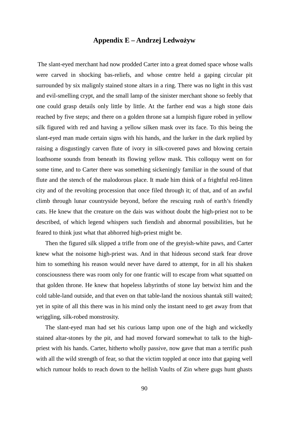# **Appendix E – Andrzej Ledwo**ż**yw**

 The slant-eyed merchant had now prodded Carter into a great domed space whose walls were carved in shocking bas-reliefs, and whose centre held a gaping circular pit surrounded by six malignly stained stone altars in a ring. There was no light in this vast and evil-smelling crypt, and the small lamp of the sinister merchant shone so feebly that one could grasp details only little by little. At the farther end was a high stone dais reached by five steps; and there on a golden throne sat a lumpish figure robed in yellow silk figured with red and having a yellow silken mask over its face. To this being the slant-eyed man made certain signs with his hands, and the lurker in the dark replied by raising a disgustingly carven flute of ivory in silk-covered paws and blowing certain loathsome sounds from beneath its flowing yellow mask. This colloquy went on for some time, and to Carter there was something sickeningly familiar in the sound of that flute and the stench of the malodorous place. It made him think of a frightful red-litten city and of the revolting procession that once filed through it; of that, and of an awful climb through lunar countryside beyond, before the rescuing rush of earth's friendly cats. He knew that the creature on the dais was without doubt the high-priest not to be described, of which legend whispers such fiendish and abnormal possibilities, but he feared to think just what that abhorred high-priest might be.

 Then the figured silk slipped a trifle from one of the greyish-white paws, and Carter knew what the noisome high-priest was. And in that hideous second stark fear drove him to something his reason would never have dared to attempt, for in all his shaken consciousness there was room only for one frantic will to escape from what squatted on that golden throne. He knew that hopeless labyrinths of stone lay betwixt him and the cold table-land outside, and that even on that table-land the noxious shantak still waited; yet in spite of all this there was in his mind only the instant need to get away from that wriggling, silk-robed monstrosity.

 The slant-eyed man had set his curious lamp upon one of the high and wickedly stained altar-stones by the pit, and had moved forward somewhat to talk to the highpriest with his hands. Carter, hitherto wholly passive, now gave that man a terrific push with all the wild strength of fear, so that the victim toppled at once into that gaping well which rumour holds to reach down to the hellish Vaults of Zin where gugs hunt ghasts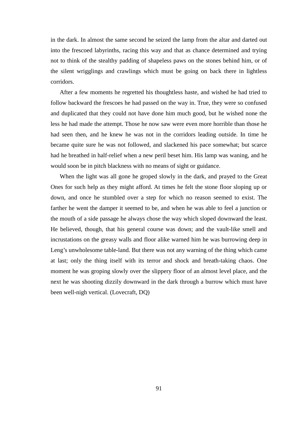in the dark. In almost the same second he seized the lamp from the altar and darted out into the frescoed labyrinths, racing this way and that as chance determined and trying not to think of the stealthy padding of shapeless paws on the stones behind him, or of the silent wrigglings and crawlings which must be going on back there in lightless corridors.

 After a few moments he regretted his thoughtless haste, and wished he had tried to follow backward the frescoes he had passed on the way in. True, they were so confused and duplicated that they could not have done him much good, but he wished none the less he had made the attempt. Those he now saw were even more horrible than those he had seen then, and he knew he was not in the corridors leading outside. In time he became quite sure he was not followed, and slackened his pace somewhat; but scarce had he breathed in half-relief when a new peril beset him. His lamp was waning, and he would soon be in pitch blackness with no means of sight or guidance.

 When the light was all gone he groped slowly in the dark, and prayed to the Great Ones for such help as they might afford. At times he felt the stone floor sloping up or down, and once he stumbled over a step for which no reason seemed to exist. The farther he went the damper it seemed to be, and when he was able to feel a junction or the mouth of a side passage he always chose the way which sloped downward the least. He believed, though, that his general course was down; and the vault-like smell and incrustations on the greasy walls and floor alike warned him he was burrowing deep in Leng's unwholesome table-land. But there was not any warning of the thing which came at last; only the thing itself with its terror and shock and breath-taking chaos. One moment he was groping slowly over the slippery floor of an almost level place, and the next he was shooting dizzily downward in the dark through a burrow which must have been well-nigh vertical. (Lovecraft, DQ)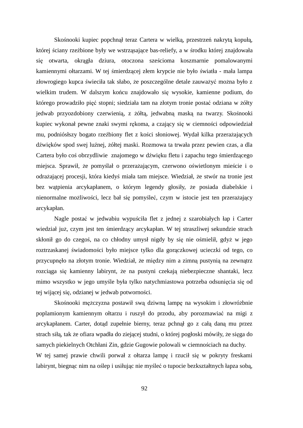Skośnooki kupiec popchnął teraz Cartera w wielką, przestrzeń nakrytą kopułą, której ściany rzeźbione były we wstrząsające bas-reliefy, a w środku której znajdowała się otwarta, okrągła dziura, otoczona sześcioma koszmarnie pomalowanymi kamiennymi ołtarzami. W tej śmierdzącej złem krypcie nie było światła - mała lampa złowrogiego kupca świeciła tak słabo, że poszczególne detale zauważyć można było z wielkim trudem. W dalszym końcu znajdowało się wysokie, kamienne podium, do którego prowadziło pięć stopni; siedziała tam na złotym tronie postać odziana w żółty jedwab przyozdobiony czerwienią, z żółtą, jedwabną maską na twarzy. Skośnooki kupiec wykonał pewne znaki swymi rękoma, a czający się w ciemności odpowiedział mu, podniósłszy bogato rzeźbiony flet z kości słoniowej. Wydał kilka przerażających dźwięków spod swej luźnej, żółtej maski. Rozmowa ta trwała przez pewien czas, a dla Cartera było coś obrzydliwie znajomego w dźwięku fletu i zapachu tego śmierdzącego miejsca. Sprawił, że pomyślał o przerażającym, czerwono oświetlonym mieście i o odrażającej procesji, która kiedyś miała tam miejsce. Wiedział, że stwór na tronie jest bez wątpienia arcykapłanem, o którym legendy głosiły, że posiada diabelskie i nienormalne możliwości, lecz bał się pomyśleć, czym w istocie jest ten przerażający arcykapłan.

Nagle postać w jedwabiu wypuściła flet z jednej z szarobiałych łap i Carter wiedział już, czym jest ten śmierdzący arcykapłan. W tej straszliwej sekundzie strach skłonił go do czegoś, na co chłodny umysł nigdy by się nie ośmielił, gdyż w jego roztrzaskanej świadomości było miejsce tylko dla gorączkowej ucieczki od tego, co przycupnęło na złotym tronie. Wiedział, że między nim a zimną pustynią na zewnątrz rozciąga się kamienny labirynt, że na pustyni czekają niebezpieczne shantaki, lecz mimo wszystko w jego umyśle była tylko natychmiastowa potrzeba odsunięcia się od tej wijącej się, odzianej w jedwab potworności.

Skośnooki mężczyzna postawił swą dziwną lampę na wysokim i złowróżbnie poplamionym kamiennym ołtarzu i ruszył do przodu, aby porozmawiać na migi z arcykapłanem. Carter, dotąd zupełnie bierny, teraz pchnął go z całą daną mu przez strach siłą, tak że ofiara wpadła do ziejącej studni, o której pogłoski mówiły, że sięga do samych piekielnych Otchłani Zin, gdzie Gugowie polowali w ciemnościach na duchy. W tej samej prawie chwili porwał z ołtarza lampę i rzucił się w pokryty freskami labirynt, biegnąc nim na oślep i usiłując nie myśleć o tupocie bezkształtnych łapza sobą,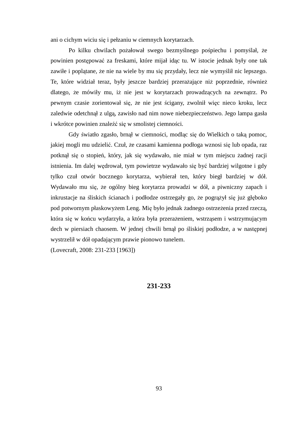ani o cichym wiciu się i pełzaniu w ciemnych korytarzach.

Po kilku chwilach pożałował swego bezmyślnego pośpiechu i pomyślał, że powinien postępować za freskami, które mijał idąc tu. W istocie jednak były one tak zawiłe i poplątane, że nie na wiele by mu się przydały, lecz nie wymyślił nic lepszego. Te, które widział teraz, były jeszcze bardziej przerażające niż poprzednie, również dlatego, że mówiły mu, iż nie jest w korytarzach prowadzących na zewnątrz. Po pewnym czasie zorientował się, że nie jest ścigany, zwolnił więc nieco kroku, lecz zaledwie odetchnął z ulgą, zawisło nad nim nowe niebezpieczeństwo. Jego lampa gasła i wkrótce powinien znaleźć się w smolistej ciemności.

Gdy światło zgasło, brnął w ciemności, modląc się do Wielkich o taką pomoc, jakiej mogli mu udzielić. Czuł, że czasami kamienna podłoga wznosi się lub opada, raz potknął się o stopień, który, jak się wydawało, nie miał w tym miejscu żadnej racji istnienia. Im dalej wędrował, tym powietrze wydawało się być bardziej wilgotne i gdy tylko czuł otwór bocznego korytarza, wybierał ten, który biegł bardziej w dół. Wydawało mu się, że ogólny bieg korytarza prowadzi w dół, a piwniczny zapach i inkrustacje na śliskich ścianach i podłodze ostrzegały go, że pogrążył się już głęboko pod potwornym płaskowyżem Leng. Mię było jednak żadnego ostrzeżenia przed rzeczą, która się w końcu wydarzyła, a która była przerażeniem, wstrząsem i wstrzymującym dech w piersiach chaosem. W jednej chwili brnął po śliskiej podłodze, a w następnej wystrzelił w dół opadającym prawie pionowo tunelem.

(Lovecraft, 2008: 231-233 [1963])

# **231-233**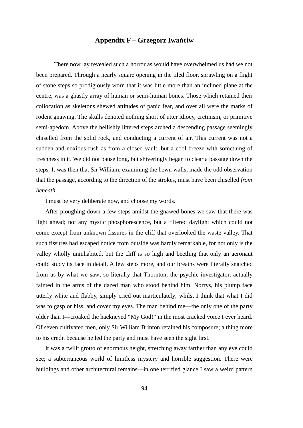# **Appendix F – Grzegorz Iwa**ń**ciw**

There now lay revealed such a horror as would have overwhelmed us had we not been prepared. Through a nearly square opening in the tiled floor, sprawling on a flight of stone steps so prodigiously worn that it was little more than an inclined plane at the centre, was a ghastly array of human or semi-human bones. Those which retained their collocation as skeletons shewed attitudes of panic fear, and over all were the marks of rodent gnawing. The skulls denoted nothing short of utter idiocy, cretinism, or primitive semi-apedom. Above the hellishly littered steps arched a descending passage seemingly chiselled from the solid rock, and conducting a current of air. This current was not a sudden and noxious rush as from a closed vault, but a cool breeze with something of freshness in it. We did not pause long, but shiveringly began to clear a passage down the steps. It was then that Sir William, examining the hewn walls, made the odd observation that the passage, according to the direction of the strokes, must have been chiselled *from beneath*.

I must be very deliberate now, and choose my words.

 After ploughing down a few steps amidst the gnawed bones we saw that there was light ahead; not any mystic phosphorescence, but a filtered daylight which could not come except from unknown fissures in the cliff that overlooked the waste valley. That such fissures had escaped notice from outside was hardly remarkable, for not only is the valley wholly uninhabited, but the cliff is so high and beetling that only an aëronaut could study its face in detail. A few steps more, and our breaths were literally snatched from us by what we saw; so literally that Thornton, the psychic investigator, actually fainted in the arms of the dazed man who stood behind him. Norrys, his plump face utterly white and flabby, simply cried out inarticulately; whilst I think that what I did was to gasp or hiss, and cover my eyes. The man behind me—the only one of the party older than I—croaked the hackneyed "My God!" in the most cracked voice I ever heard. Of seven cultivated men, only Sir William Brinton retained his composure; a thing more to his credit because he led the party and must have seen the sight first.

 It was a twilit grotto of enormous height, stretching away farther than any eye could see; a subterraneous world of limitless mystery and horrible suggestion. There were buildings and other architectural remains—in one terrified glance I saw a weird pattern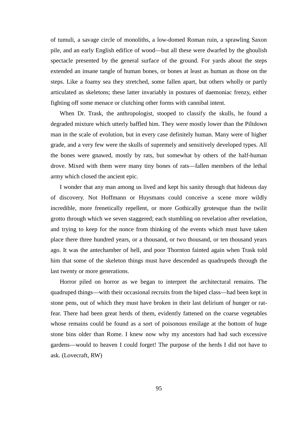of tumuli, a savage circle of monoliths, a low-domed Roman ruin, a sprawling Saxon pile, and an early English edifice of wood—but all these were dwarfed by the ghoulish spectacle presented by the general surface of the ground. For yards about the steps extended an insane tangle of human bones, or bones at least as human as those on the steps. Like a foamy sea they stretched, some fallen apart, but others wholly or partly articulated as skeletons; these latter invariably in postures of daemoniac frenzy, either fighting off some menace or clutching other forms with cannibal intent.

 When Dr. Trask, the anthropologist, stooped to classify the skulls, he found a degraded mixture which utterly baffled him. They were mostly lower than the Piltdown man in the scale of evolution, but in every case definitely human. Many were of higher grade, and a very few were the skulls of supremely and sensitively developed types. All the bones were gnawed, mostly by rats, but somewhat by others of the half-human drove. Mixed with them were many tiny bones of rats—fallen members of the lethal army which closed the ancient epic.

 I wonder that any man among us lived and kept his sanity through that hideous day of discovery. Not Hoffmann or Huysmans could conceive a scene more wildly incredible, more frenetically repellent, or more Gothically grotesque than the twilit grotto through which we seven staggered; each stumbling on revelation after revelation, and trying to keep for the nonce from thinking of the events which must have taken place there three hundred years, or a thousand, or two thousand, or ten thousand years ago. It was the antechamber of hell, and poor Thornton fainted again when Trask told him that some of the skeleton things must have descended as quadrupeds through the last twenty or more generations.

 Horror piled on horror as we began to interpret the architectural remains. The quadruped things—with their occasional recruits from the biped class—had been kept in stone pens, out of which they must have broken in their last delirium of hunger or ratfear. There had been great herds of them, evidently fattened on the coarse vegetables whose remains could be found as a sort of poisonous ensilage at the bottom of huge stone bins older than Rome. I knew now why my ancestors had had such excessive gardens—would to heaven I could forget! The purpose of the herds I did not have to ask. (Lovecraft, RW)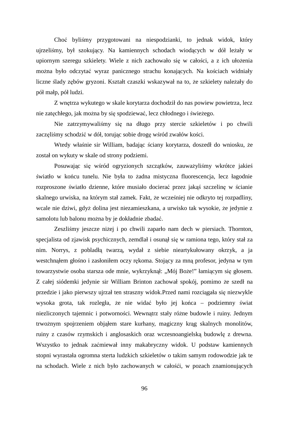Choć byliśmy przygotowani na niespodzianki, to jednak widok, który ujrzeliśmy, był szokujący. Na kamiennych schodach wiodących w dół leżały w upiornym szeregu szkielety. Wiele z nich zachowało się w całości, a z ich ułożenia można było odczytać wyraz panicznego strachu konających. Na kościach widniały liczne ślady zębów gryzoni. Kształt czaszki wskazywał na to, że szkielety należały do pół małp, pół ludzi.

Z wnętrza wykutego w skale korytarza dochodził do nas powiew powietrza, lecz nie zatęchłego, jak można by się spodziewać, lecz chłodnego i świeżego.

Nie zatrzymywaliśmy się na długo przy stercie szkieletów i po chwili zaczęliśmy schodzić w dół, torując sobie drogę wśród zwałów kości.

Wtedy właśnie sir William, badając ściany korytarza, doszedł do wniosku, że został on wykuty w skale od strony podziemi.

Posuwając się wśród ogryzionych szczątków, zauważyliśmy wkrótce jakieś światło w końcu tunelu. Nie była to żadna mistyczna fluorescencja, lecz łagodnie rozproszone światło dzienne, które musiało docierać przez jakąś szczelinę w ścianie skalnego urwiska, na którym stał zamek. Fakt, że wcześniej nie odkryto tej rozpadliny, wcale nie dziwi, gdyż dolina jest niezamieszkana, a urwisko tak wysokie, że jedynie z samolotu lub balonu można by je dokładnie zbadać.

Zeszliśmy jeszcze niżej i po chwili zaparło nam dech w piersiach. Thornton, specjalista od zjawisk psychicznych, zemdlał i osunął się w ramiona tego, który stał za nim. Norrys, z pobladłą twarzą, wydał z siebie nieartykułowany okrzyk, a ja westchnąłem głośno i zasłoniłem oczy rękoma. Stojący za mną profesor, jedyna w tym towarzystwie osoba starsza ode mnie, wykrzyknął: "Mój Boże!" łamiącym się głosem. Z całej siódemki jedynie sir William Brinton zachował spokój, pomimo że szedł na przedzie i jako pierwszy ujrzał ten straszny widok.Przed nami rozciągała się niezwykle wysoka grota, tak rozległa, że nie widać było jej końca – podziemny świat niezliczonych tajemnic i potworności. Wewnątrz stały różne budowle i ruiny. Jednym trwożnym spojrzeniem objąłem stare kurhany, magiczny krąg skalnych monolitów, ruiny z czasów rzymskich i anglosaskich oraz wczesnoangielską budowlę z drewna. Wszystko to jednak zaćmiewał inny makabryczny widok. U podstaw kamiennych stopni wyrastała ogromna sterta ludzkich szkieletów o takim samym rodowodzie jak te na schodach. Wiele z nich było zachowanych w całośći, w pozach znamionujących